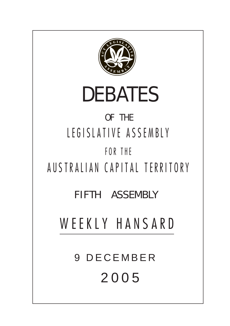

# DEBATES

# OF THE LEGISLATIVE ASSEMBLY FOR THE

AUSTRALIAN CAPITAL TERRITORY

FIFTH ASSEMBLY

WEEKLY HANSARD

9 DECEMBER 200 5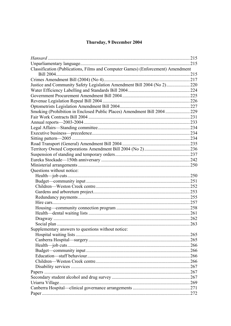# Thursday, 9 December 2004

|                                                                                 | 215 |
|---------------------------------------------------------------------------------|-----|
|                                                                                 |     |
| Classification (Publications, Films and Computer Games) (Enforcement) Amendment |     |
|                                                                                 |     |
|                                                                                 |     |
| Justice and Community Safety Legislation Amendment Bill 2004 (No 2) 220         |     |
|                                                                                 |     |
|                                                                                 |     |
|                                                                                 |     |
|                                                                                 |     |
| Smoking (Prohibition in Enclosed Public Places) Amendment Bill 2004229          |     |
|                                                                                 |     |
|                                                                                 |     |
|                                                                                 |     |
|                                                                                 |     |
|                                                                                 |     |
|                                                                                 |     |
|                                                                                 |     |
|                                                                                 |     |
|                                                                                 |     |
|                                                                                 |     |
| Questions without notice:                                                       |     |
|                                                                                 |     |
|                                                                                 |     |
|                                                                                 |     |
|                                                                                 |     |
|                                                                                 |     |
|                                                                                 |     |
|                                                                                 |     |
|                                                                                 |     |
|                                                                                 |     |
|                                                                                 |     |
| Supplementary answers to questions without notice:                              |     |
|                                                                                 |     |
|                                                                                 |     |
|                                                                                 |     |
|                                                                                 |     |
|                                                                                 |     |
|                                                                                 |     |
|                                                                                 |     |
|                                                                                 |     |
|                                                                                 |     |
|                                                                                 |     |
|                                                                                 |     |
|                                                                                 |     |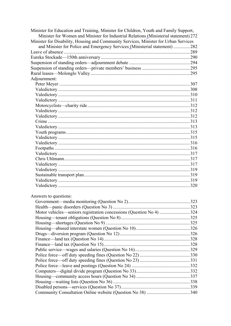| Minister for Education and Training, Minister for Children, Youth and Family Support, |  |
|---------------------------------------------------------------------------------------|--|
| Minister for Women and Minister for Industrial Relations (Ministerial statement) 272  |  |
| Minister for Disability, Housing and Community Services, Minister for Urban Services  |  |
| and Minister for Police and Emergency Services (Ministerial statement)  282           |  |
|                                                                                       |  |
|                                                                                       |  |
|                                                                                       |  |
|                                                                                       |  |
|                                                                                       |  |
| Adjournment:                                                                          |  |
|                                                                                       |  |
|                                                                                       |  |
|                                                                                       |  |
|                                                                                       |  |
|                                                                                       |  |
|                                                                                       |  |
|                                                                                       |  |
|                                                                                       |  |
|                                                                                       |  |
|                                                                                       |  |
|                                                                                       |  |
|                                                                                       |  |
|                                                                                       |  |
|                                                                                       |  |
|                                                                                       |  |
|                                                                                       |  |
|                                                                                       |  |
|                                                                                       |  |
|                                                                                       |  |
|                                                                                       |  |
|                                                                                       |  |
| Answers to questions:                                                                 |  |
|                                                                                       |  |
|                                                                                       |  |
| Motor vehicles—seniors registration concessions (Question No 4) 324                   |  |
|                                                                                       |  |
|                                                                                       |  |
|                                                                                       |  |
|                                                                                       |  |
|                                                                                       |  |
|                                                                                       |  |
|                                                                                       |  |
|                                                                                       |  |
|                                                                                       |  |
|                                                                                       |  |
|                                                                                       |  |
|                                                                                       |  |
|                                                                                       |  |
|                                                                                       |  |
|                                                                                       |  |
|                                                                                       |  |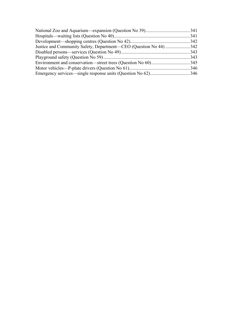| .343 |
|------|
|      |
|      |
|      |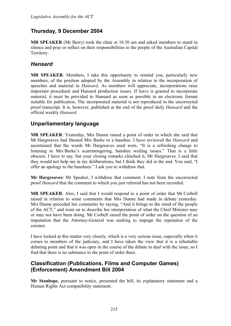# **Thursday, 9 December 2004**

**MR SPEAKER** (Mr Berry) took the chair at 10.30 am and asked members to stand in silence and pray or reflect on their responsibilities to the people of the Australian Capital Territory.

# <span id="page-4-0"></span>*Hansard*

**MR SPEAKER**: Members, I take this opportunity to remind you, particularly new members, of the position adopted by the Assembly in relation to the incorporation of speeches and material in *Hansard*. As members will appreciate, incorporations raise important procedural and Hansard production issues. If leave is granted to incorporate material, it must be provided to Hansard as soon as possible in an electronic format suitable for publication. The incorporated material is not reproduced in the uncorrected proof transcript. It is, however, published at the end of the proof daily *Hansard* and the official weekly *Hansard*.

# <span id="page-4-1"></span>**Unparliamentary language**

**MR SPEAKER**: Yesterday, Mrs Dunne raised a point of order in which she said that Mr Hargreaves had likened Mrs Burke to a banshee. I have reviewed the *Hansard* and ascertained that the words Mr Hargreaves used were, "It is a refreshing change to listening to Mrs Burke's scaremongering, banshee wailing issues." That is a little obscure, I have to say, but your closing remarks clinched it, Mr Hargreaves. I said that they would not help me in my deliberations, but I think they did in the end. You said, "I offer an apology to the banshees." I ask you to withdraw that.

**Mr Hargreaves:** Mr Speaker, I withdraw that comment. I note from the uncorrected proof *Hansard* that the comment to which you just referred has not been recorded.

**MR SPEAKER**: Also, I said that I would respond to a point of order that Mr Corbell raised in relation to some comments that Mrs Dunne had made in debate yesterday. Mrs Dunne preceded her comments by saying, "And it brings to the mind of the people of the ACT," and went on to describe her interpretation of what the Chief Minister may or may not have been doing. Mr Corbell raised the point of order on the question of an imputation that the Attorney-General was seeking to impugn the reputation of the coroner.

I have looked at this matter very closely, which is a very serious issue, especially when it comes to members of the judiciary, and I have taken the view that it is a rebuttable debating point and that it was open in the course of the debate to deal with the issue; so I find that there is no substance to the point of order there.

# <span id="page-4-2"></span>**Classification (Publications, Films and Computer Games) (Enforcement) Amendment Bill 2004**

**Mr Stanhope**, pursuant to notice, presented the bill, its explanatory statement and a Human Rights Act compatibility statement.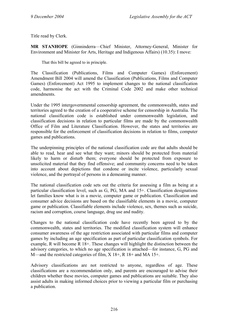Title read by Clerk.

**MR STANHOPE** (Ginninderra—Chief Minister, Attorney-General, Minister for Environment and Minister for Arts, Heritage and Indigenous Affairs) (10.35): I move:

That this bill be agreed to in principle.

The Classification (Publications, Films and Computer Games) (Enforcement) Amendment Bill 2004 will amend the Classification (Publications, Films and Computer Games) (Enforcement) Act 1995 to implement changes to the national classification code, harmonise the act with the Criminal Code 2002 and make other technical amendments.

Under the 1995 intergovernmental censorship agreement, the commonwealth, states and territories agreed to the creation of a cooperative scheme for censorship in Australia. The national classification code is established under commonwealth legislation, and classification decisions in relation to particular films are made by the commonwealth Office of Film and Literature Classification. However, the states and territories are responsible for the enforcement of classification decisions in relation to films, computer games and publications.

The underpinning principles of the national classification code are that adults should be able to read, hear and see what they want; minors should be protected from material likely to harm or disturb them; everyone should be protected from exposure to unsolicited material that they find offensive; and community concerns need to be taken into account about depictions that condone or incite violence, particularly sexual violence, and the portrayal of persons in a demeaning manner.

The national classification code sets out the criteria for assessing a film as being at a particular classification level, such as G, PG, MA and 15+. Classification designations let families know what is in a movie, computer game or publication. Classification and consumer advice decisions are based on the classifiable elements in a movie, computer game or publication. Classifiable elements include violence, sex, themes such as suicide, racism and corruption, course language, drug use and nudity.

Changes to the national classification code have recently been agreed to by the commonwealth, states and territories. The modified classification system will enhance consumer awareness of the age restriction associated with particular films and computer games by including an age specification as part of particular classification symbols. For example, R will become R 18+. These changes will highlight the distinction between the advisory categories, to which no age specification is attached—for instance, G, PG and M—and the restricted categories of film, X 18+, R 18+ and MA 15+.

Advisory classifications are not restricted to anyone, regardless of age. These classifications are a recommendation only, and parents are encouraged to advise their children whether these movies, computer games and publications are suitable. They also assist adults in making informed choices prior to viewing a particular film or purchasing a publication.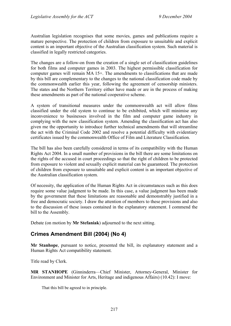Australian legislation recognises that some movies, games and publications require a mature perspective. The protection of children from exposure to unsuitable and explicit content is an important objective of the Australian classification system. Such material is classified in legally restricted categories.

The changes are a follow-on from the creation of a single set of classification guidelines for both films and computer games in 2003. The highest permissible classification for computer games will remain MA 15+. The amendments to classifications that are made by this bill are complementary to the changes to the national classification code made by the commonwealth earlier this year, following the agreement of censorship ministers. The states and the Northern Territory either have made or are in the process of making these amendments as part of the national cooperative scheme.

A system of transitional measures under the commonwealth act will allow films classified under the old system to continue to be exhibited, which will minimise any inconvenience to businesses involved in the film and computer game industry in complying with the new classification system. Amending the classification act has also given me the opportunity to introduce further technical amendments that will streamline the act with the Criminal Code 2002 and resolve a potential difficulty with evidentiary certificates issued by the commonwealth Office of Film and Literature Classification.

The bill has also been carefully considered in terms of its compatibility with the Human Rights Act 2004. In a small number of provisions in the bill there are some limitations on the rights of the accused in court proceedings so that the right of children to be protected from exposure to violent and sexually explicit material can be guaranteed. The protection of children from exposure to unsuitable and explicit content is an important objective of the Australian classification system.

Of necessity, the application of the Human Rights Act in circumstances such as this does require some value judgment to be made. In this case, a value judgment has been made by the government that these limitations are reasonable and demonstrably justified in a free and democratic society. I draw the attention of members to these provisions and also to the discussion of these issues contained in the explanatory statement. I commend the bill to the Assembly.

Debate (on motion by **Mr Stefaniak**) adjourned to the next sitting.

# <span id="page-6-0"></span>**Crimes Amendment Bill (2004) (No 4)**

**Mr Stanhope**, pursuant to notice, presented the bill, its explanatory statement and a Human Rights Act compatibility statement.

Title read by Clerk.

**MR STANHOPE** (Ginninderra—Chief Minister, Attorney-General, Minister for Environment and Minister for Arts, Heritage and indigenous Affairs) (10.42): I move:

That this bill be agreed to in principle.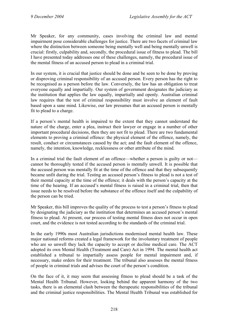Mr Speaker, for any community, cases involving the criminal law and mental impairment pose considerable challenges for justice. There are two facets of criminal law where the distinction between someone being mentally well and being mentally unwell is crucial: firstly, culpability and, secondly, the procedural issue of fitness to plead. The bill I have presented today addresses one of these challenges, namely, the procedural issue of the mental fitness of an accused person to plead in a criminal trial.

In our system, it is crucial that justice should be done and be seen to be done by proving or disproving criminal responsibility of an accused person. Every person has the right to be recognised as a person before the law. Conversely, the law has an obligation to treat everyone equally and impartially. Our system of government designates the judiciary as the institution that applies the law equally, impartially and openly. Australian criminal law requires that the test of criminal responsibility must involve an element of fault based upon a sane mind. Likewise, our law presumes that an accused person is mentally fit to plead to a charge.

If a person's mental health is impaired to the extent that they cannot understand the nature of the charge, enter a plea, instruct their lawyer or engage in a number of other important procedural decisions, then they are not fit to plead. There are two fundamental elements to proving a criminal offence: the physical element of the offence, namely, the result, conduct or circumstances caused by the act; and the fault element of the offence, namely, the intention, knowledge, recklessness or other attribute of the mind.

In a criminal trial the fault element of an offence—whether a person is guilty or not cannot be thoroughly tested if the accused person is mentally unwell. It is possible that the accused person was mentally fit at the time of the offence and that they subsequently became unfit during the trial. Testing an accused person's fitness to plead is not a test of their mental capacity at the time of the offence; it deals with the person's capacity at the time of the hearing. If an accused's mental fitness is raised in a criminal trial, then that issue needs to be resolved before the substance of the offence itself and the culpability of the person can be tried.

Mr Speaker, this bill improves the quality of the process to test a person's fitness to plead by designating the judiciary as the institution that determines an accused person's mental fitness to plead. At present, our process of testing mental fitness does not occur in open court, and the evidence is not tested according to the standards of the criminal trial.

In the early 1990s most Australian jurisdictions modernised mental health law. These major national reforms created a legal framework for the involuntary treatment of people who are so unwell they lack the capacity to accept or decline medical care. The ACT adopted its own Mental Health (Treatment and Care) Act in 1994. The mental health act established a tribunal to impartially assess people for mental impairment and, if necessary, make orders for their treatment. The tribunal also assesses the mental fitness of people in criminal trials and advises the court of the person's condition.

On the face of it, it may seem that assessing fitness to plead should be a task of the Mental Health Tribunal. However, looking behind the apparent harmony of the two tasks, there is an elemental clash between the therapeutic responsibilities of the tribunal and the criminal justice responsibilities. The Mental Health Tribunal was established for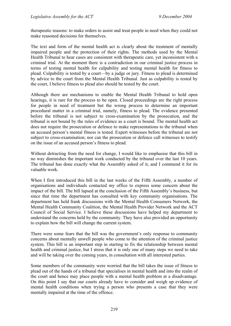therapeutic reasons: to make orders to assist and treat people in need when they could not make reasoned decisions for themselves.

The text and form of the mental health act is clearly about the treatment of mentally impaired people and the protection of their rights. The methods used by the Mental Health Tribunal to hear cases are consistent with therapeutic care, yet inconsistent with a criminal trial. At the moment there is a contradiction in our criminal justice process in terms of testing mental health for culpability and testing mental health for fitness to plead. Culpability is tested by a court—by a judge or jury. Fitness to plead is determined by advice to the court from the Mental Health Tribunal. Just as culpability is tested by the court, I believe fitness to plead also should be tested by the court.

Although there are mechanisms to enable the Mental Health Tribunal to hold open hearings, it is rare for the process to be open. Closed proceedings are the right process for people in need of treatment but the wrong process to determine an important procedural matter in a criminal trial, namely, fitness to plead. The evidence presented before the tribunal is not subject to cross-examination by the prosecution, and the tribunal is not bound by the rules of evidence as a court is bound. The mental health act does not require the prosecution or defence to make representations to the tribunal when an accused person's mental fitness is tested. Expert witnesses before the tribunal are not subject to cross-examination; nor can the prosecution or defence call witnesses to testify on the issue of an accused person's fitness to plead.

Without detracting from the need for change, I would like to emphasise that this bill in no way diminishes the important work conducted by the tribunal over the last 10 years. The tribunal has done exactly what the Assembly asked of it, and I commend it for its valuable work.

When I first introduced this bill in the last weeks of the Fifth Assembly, a number of organisations and individuals contacted my office to express some concern about the impact of the bill. The bill lapsed at the conclusion of the Fifth Assembly's business, but since that time the department has consulted with key community organisations. The department has held frank discussions with the Mental Health Consumers Network, the Mental Health Community Coalition, the Mental Health Provider Network and the ACT Council of Social Service. I believe these discussions have helped my department to understand the concerns held by the community. They have also provided an opportunity to explain how the bill will change the current system.

There were some fears that the bill was the government's only response to community concerns about mentally unwell people who come to the attention of the criminal justice system. This bill is an important step in starting to fix the relationship between mental health and criminal justice, but I stress that it is only one of many steps we need to take and will be taking over the coming years, in consultation with all interested parties.

Some members of the community were worried that the bill takes the issue of fitness to plead out of the hands of a tribunal that specialises in mental health and into the realm of the court and hence may place people with a mental health problem at a disadvantage. On this point I say that our courts already have to consider and weigh up evidence of mental health conditions when trying a person who presents a case that they were mentally impaired at the time of the offence.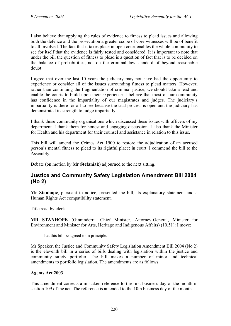I also believe that applying the rules of evidence to fitness to plead issues and allowing both the defence and the prosecution a greater scope of core witnesses will be of benefit to all involved. The fact that it takes place in open court enables the whole community to see for itself that the evidence is fairly tested and considered. It is important to note that under the bill the question of fitness to plead is a question of fact that is to be decided on the balance of probabilities, not on the criminal law standard of beyond reasonable doubt.

I agree that over the last 10 years the judiciary may not have had the opportunity to experience or consider all of the issues surrounding fitness to plead matters. However, rather than continuing the fragmentation of criminal justice, we should take a lead and enable the courts to build upon their experience. I believe that most of our community has confidence in the impartiality of our magistrates and judges. The judiciary's impartiality is there for all to see because the trial process is open and the judiciary has demonstrated its strength to judge impartially.

I thank those community organisations which discussed these issues with officers of my department. I thank them for honest and engaging discussion. I also thank the Minister for Health and his department for their counsel and assistance in relation to this issue.

This bill will amend the Crimes Act 1900 to restore the adjudication of an accused person's mental fitness to plead to its rightful place: in court. I commend the bill to the Assembly.

Debate (on motion by **Mr Stefaniak**) adjourned to the next sitting.

# <span id="page-9-0"></span>**Justice and Community Safety Legislation Amendment Bill 2004 (No 2)**

**Mr Stanhope**, pursuant to notice, presented the bill, its explanatory statement and a Human Rights Act compatibility statement.

Title read by clerk.

MR STANHOPE (Ginninderra-Chief Minister, Attorney-General, Minister for Environment and Minister for Arts, Heritage and Indigenous Affairs) (10.51): I move:

That this bill be agreed to in principle.

Mr Speaker, the Justice and Community Safety Legislation Amendment Bill 2004 (No 2) is the eleventh bill in a series of bills dealing with legislation within the justice and community safety portfolio. The bill makes a number of minor and technical amendments to portfolio legislation. The amendments are as follows.

#### **Agents Act 2003**

This amendment corrects a mistaken reference to the first business day of the month in section 109 of the act. The reference is amended to the 10th business day of the month.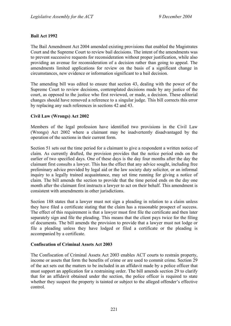#### **Bail Act 1992**

The Bail Amendment Act 2004 amended existing provisions that enabled the Magistrates Court and the Supreme Court to review bail decisions. The intent of the amendments was to prevent successive requests for reconsideration without proper justification, while also providing an avenue for reconsideration of a decision rather than going to appeal. The amendments limited applications for review on the basis of a significant change in circumstances, new evidence or information significant to a bail decision.

The amending bill was edited to ensure that section 43, dealing with the power of the Supreme Court to review decisions, contemplated decisions made by any justice of the court, as opposed to the justice who first reviewed, or made, a decision. These editorial changes should have removed a reference to a singular judge. This bill corrects this error by replacing any such references in sections 42 and 43.

#### **Civil Law (Wrongs) Act 2002**

Members of the legal profession have identified two provisions in the Civil Law (Wrongs) Act 2002 where a claimant may be inadvertently disadvantaged by the operation of the sections in their current form.

Section 51 sets out the time period for a claimant to give a respondent a written notice of claim. As currently drafted, the provision provides that the notice period ends on the earlier of two specified days. One of these days is the day four months after the day the claimant first consults a lawyer. This has the effect that any advice sought, including free preliminary advice provided by legal aid or the law society duty solicitor, or an informal inquiry to a legally trained acquaintance, may set time running for giving a notice of claim. The bill amends the section to provide that the time period ends on the day one month after the claimant first instructs a lawyer to act on their behalf. This amendment is consistent with amendments in other jurisdictions.

Section 188 states that a lawyer must not sign a pleading in relation to a claim unless they have filed a certificate stating that the claim has a reasonable prospect of success. The effect of this requirement is that a lawyer must first file the certificate and then later separately sign and file the pleading. This means that the client pays twice for the filing of documents. The bill amends the provision to provide that a lawyer must not lodge or file a pleading unless they have lodged or filed a certificate or the pleading is accompanied by a certificate.

#### **Confiscation of Criminal Assets Act 2003**

The Confiscation of Criminal Assets Act 2003 enables ACT courts to restrain property, income or assets that form the benefits of crime or are used to commit crime. Section 29 of the act sets out the matters to be included in an affidavit made by a police officer that must support an application for a restraining order. The bill amends section 29 to clarify that for an affidavit obtained under the section, the police officer is required to state whether they suspect the property is tainted or subject to the alleged offender's effective control.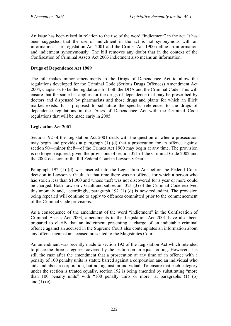An issue has been raised in relation to the use of the word "indictment" in the act. It has been suggested that the use of indictment in the act is not synonymous with an information. The Legislation Act 2001 and the Crimes Act 1900 define an information and indictment synonymously. The bill removes any doubt that in the context of the Confiscation of Criminal Assets Act 2003 indictment also means an information.

#### **Drugs of Dependence Act 1989**

The bill makes minor amendments to the Drugs of Dependence Act to allow the regulations developed for the Criminal Code (Serious Drugs Offences) Amendment Act 2004, chapter 6, to be the regulations for both the DDA and the Criminal Code. This will ensure that the same list applies for the drugs of dependence that may be prescribed by doctors and dispensed by pharmacists and those drugs and plants for which an illicit market exists. It is proposed to substitute the specific references to the drugs of dependence regulations in the Drugs of Dependence Act with the Criminal Code regulations that will be made early in 2005.

#### **Legislation Act 2001**

Section 192 of the Legislation Act 2001 deals with the question of when a prosecution may begin and provides at paragraph (1) (d) that a prosecution for an offence against section 90—minor theft—of the Crimes Act 1900 may begin at any time. The provision is no longer required, given the provisions of section 321 of the Criminal Code 2002 and the 2002 decision of the full Federal Court in Lawson v Gault.

Paragraph 192 (1) (d) was inserted into the Legislation Act before the Federal Court decision in Lawson v Gault. At that time there was no offence for which a person who had stolen less than \$1,000 and whose theft was not discovered for a year or more could be charged. Both Lawson v Gault and subsection 321 (3) of the Criminal Code resolved this anomaly and, accordingly, paragraph 192 (1) (d) is now redundant. The provision being repealed will continue to apply to offences committed prior to the commencement of the Criminal Code provisions.

As a consequence of the amendment of the word "indictment" in the Confiscation of Criminal Assets Act 2003, amendments to the Legislation Act 2001 have also been prepared to clarify that an indictment presenting a charge of an indictable criminal offence against an accused in the Supreme Court also contemplates an information about any offence against an accused presented to the Magistrates Court.

An amendment was recently made to section 192 of the Legislation Act which intended to place the three categories covered by the section on an equal footing. However, it is still the case after the amendment that a prosecution at any time of an offence with a penalty of 100 penalty units is statute barred against a corporation and an individual who aids and abets a corporation, but not against an individual. To ensure that each category under the section is treated equally, section 192 is being amended by substituting "more than 100 penalty units" with "100 penalty units or more" at paragraphs (1) (b) and  $(1)$  (c).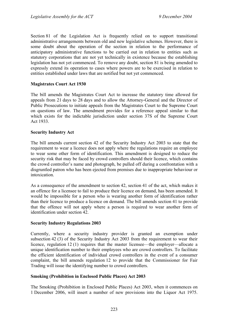Section 81 of the Legislation Act is frequently relied on to support transitional administrative arrangements between old and new legislative schemes. However, there is some doubt about the operation of the section in relation to the performance of anticipatory administrative functions to be carried out in relation to entities such as statutory corporations that are not yet technically in existence because the establishing legislation has not yet commenced. To remove any doubt, section 81 is being amended to expressly extend its operation to cases where powers are to be exercised in relation to entities established under laws that are notified but not yet commenced.

#### **Magistrates Court Act 1930**

The bill amends the Magistrates Court Act to increase the statutory time allowed for appeals from 21 days to 28 days and to allow the Attorney-General and the Director of Public Prosecutions to initiate appeals from the Magistrates Court to the Supreme Court on questions of law. The amendment provides for a reference appeal similar to that which exists for the indictable jurisdiction under section 37S of the Supreme Court Act 1933.

#### **Security Industry Act**

The bill amends current section 42 of the Security Industry Act 2003 to state that the requirement to wear a licence does not apply where the regulations require an employee to wear some other form of identification. This amendment is designed to reduce the security risk that may be faced by crowd controllers should their licence, which contains the crowd controller's name and photograph, be pulled off during a confrontation with a disgruntled patron who has been ejected from premises due to inappropriate behaviour or intoxication.

As a consequence of the amendment to section 42, section 41 of the act, which makes it an offence for a licensee to fail to produce their licence on demand, has been amended. It would be impossible for a person who is wearing another form of identification rather than their licence to produce a licence on demand. The bill amends section 41 to provide that the offence will not apply where a person is required to wear another form of identification under section 42.

#### **Security Industry Regulations 2003**

Currently, where a security industry provider is granted an exemption under subsection 42 (3) of the Security Industry Act 2003 from the requirement to wear their licence, regulation 12 (1) requires that the master licensee—the employer—allocate a unique identification number to their employees who are crowd controllers. To facilitate the efficient identification of individual crowd controllers in the event of a consumer complaint, the bill amends regulation 12 to provide that the Commissioner for Fair Trading will issue the identifying number to crowd controllers.

#### **Smoking (Prohibition in Enclosed Public Places) Act 2003**

The Smoking (Prohibition in Enclosed Public Places) Act 2003, when it commences on 1 December 2006, will insert a number of new provisions into the Liquor Act 1975.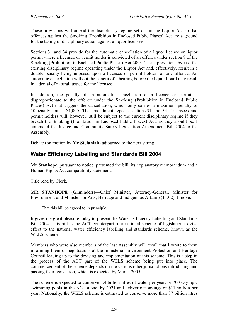These provisions will amend the disciplinary regime set out in the Liquor Act so that offences against the Smoking (Prohibition in Enclosed Public Places) Act are a ground for the taking of disciplinary action against a liquor licensee.

Sections 31 and 34 provide for the automatic cancellation of a liquor licence or liquor permit where a licensee or permit holder is convicted of an offence under section 8 of the Smoking (Prohibition in Enclosed Public Places) Act 2003. These provisions bypass the existing disciplinary regime operating under the Liquor Act and, effectively, result in a double penalty being imposed upon a licensee or permit holder for one offence. An automatic cancellation without the benefit of a hearing before the liquor board may result in a denial of natural justice for the licensee.

In addition, the penalty of an automatic cancellation of a licence or permit is disproportionate to the offence under the Smoking (Prohibition in Enclosed Public Places) Act that triggers the cancellation, which only carries a maximum penalty of 10 penalty units—\$1,000. The amendment repeals sections 31 and 34. Licensees and permit holders will, however, still be subject to the current disciplinary regime if they breach the Smoking (Prohibition in Enclosed Public Places) Act, as they should be. I commend the Justice and Community Safety Legislation Amendment Bill 2004 to the Assembly.

Debate (on motion by **Mr Stefaniak**) adjourned to the next sitting.

# <span id="page-13-0"></span>**Water Efficiency Labelling and Standards Bill 2004**

**Mr Stanhope**, pursuant to notice, presented the bill, its explanatory memorandum and a Human Rights Act compatibility statement.

Title read by Clerk.

MR STANHOPE (Ginninderra—Chief Minister, Attorney-General, Minister for Environment and Minister for Arts, Heritage and Indigenous Affairs) (11.02): I move:

That this bill be agreed to in principle.

It gives me great pleasure today to present the Water Efficiency Labelling and Standards Bill 2004. This bill is the ACT counterpart of a national scheme of legislation to give effect to the national water efficiency labelling and standards scheme, known as the WELS scheme.

Members who were also members of the last Assembly will recall that I wrote to them informing them of negotiations at the ministerial Environment Protection and Heritage Council leading up to the devising and implementation of this scheme. This is a step in the process of the ACT part of the WELS scheme being put into place. The commencement of the scheme depends on the various other jurisdictions introducing and passing their legislation, which is expected by March 2005.

The scheme is expected to conserve 1.4 billion litres of water per year, or 700 Olympic swimming pools in the ACT alone, by 2021 and deliver net savings of \$11 million per year. Nationally, the WELS scheme is estimated to conserve more than 87 billion litres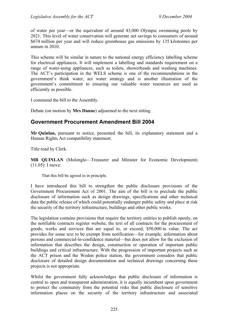of water per year—or the equivalent of around 43,000 Olympic swimming pools by 2021. This level of water conservation will generate net savings to consumers of around \$674 million per year and will reduce greenhouse gas emissions by 135 kilotonnes per annum in 2010.

This scheme will be similar in nature to the national energy efficiency labelling scheme for electrical appliances. It will implement a labelling and standards requirement on a range of water-using appliances, such as toilets, showerheads and washing machines. The ACT's participation in the WELS scheme is one of the recommendations in the government's think water, act water strategy and is another illustration of the government's commitment to ensuring our valuable water resources are used as efficiently as possible.

I commend the bill to the Assembly.

Debate (on motion by **Mrs Dunne**) adjourned to the next sitting.

# <span id="page-14-0"></span>**Government Procurement Amendment Bill 2004**

**Mr Quinlan,** pursuant to notice, presented the bill, its explanatory statement and a Human Rights Act compatibility statement.

Title read by Clerk.

**MR QUINLAN** (Molonglo—Treasurer and Minister for Economic Development) (11.05): I move:

That this bill be agreed to in principle.

I have introduced this bill to strengthen the public disclosure provisions of the Government Procurement Act of 2001. The aim of the bill is to preclude the public disclosure of information such as design drawings, specifications and other technical data the public release of which could potentially endanger public safety and place at risk the security of the territory infrastructure, buildings and other public works.

The legislation contains provisions that require the territory entities to publish openly, on the notifiable contracts register website, the text of all contracts for the procurement of goods, works and services that are equal to, or exceed, \$50,000 in value. The act provides for some text to be exempt from notification—for example, information about persons and commercial-in-confidence material—but does not allow for the exclusion of information that describes the design, construction or operation of important public buildings and critical infrastructure. With the progression of important projects such as the ACT prison and the Woden police station, the government considers that public disclosure of detailed design documentation and technical drawings concerning these projects is not appropriate.

Whilst the government fully acknowledges that public disclosure of information is central to open and transparent administration, it is equally incumbent upon government to protect the community from the potential risks that public disclosure of sensitive information places on the security of the territory infrastructure and associated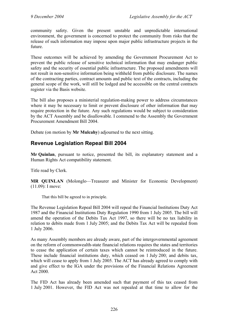community safety. Given the present unstable and unpredictable international environment, the government is concerned to protect the community from risks that the release of such information may impose upon major public infrastructure projects in the future.

These outcomes will be achieved by amending the Government Procurement Act to prevent the public release of sensitive technical information that may endanger public safety and the security of essential public infrastructure. The proposed amendments will not result in non-sensitive information being withheld from public disclosure. The names of the contracting parties, contract amounts and public text of the contracts, including the general scope of the work, will still be lodged and be accessible on the central contracts register via the Basis website.

The bill also proposes a ministerial regulation-making power to address circumstances where it may be necessary to limit or prevent disclosure of other information that may require protection in the future. Any such regulations would be subject to consideration by the ACT Assembly and be disallowable. I commend to the Assembly the Government Procurement Amendment Bill 2004.

Debate (on motion by **Mr Mulcahy**) adjourned to the next sitting.

# <span id="page-15-0"></span>**Revenue Legislation Repeal Bill 2004**

**Mr Quinlan**, pursuant to notice, presented the bill, its explanatory statement and a Human Rights Act compatibility statement.

Title read by Clerk.

**MR QUINLAN** (Molonglo—Treasurer and Minister for Economic Development) (11.09): I move:

That this bill be agreed to in principle.

The Revenue Legislation Repeal Bill 2004 will repeal the Financial Institutions Duty Act 1987 and the Financial Institutions Duty Regulation 1990 from 1 July 2005. The bill will amend the operation of the Debits Tax Act 1997, so there will be no tax liability in relation to debits made from 1 July 2005; and the Debits Tax Act will be repealed from 1 July 2006.

As many Assembly members are already aware, part of the intergovernmental agreement on the reform of commonwealth-state financial relations requires the states and territories to cease the application of certain taxes which cannot be reintroduced in the future. These include financial institutions duty, which ceased on 1 July 200; and debits tax, which will cease to apply from 1 July 2005. The ACT has already agreed to comply with and give effect to the IGA under the provisions of the Financial Relations Agreement Act 2000.

The FID Act has already been amended such that payment of this tax ceased from 1 July 2001. However, the FID Act was not repealed at that time to allow for the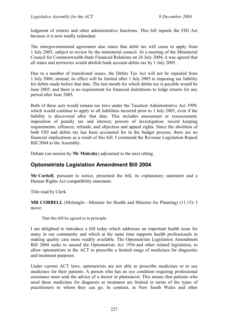lodgment of returns and other administrative functions. This bill repeals the FID Act because it is now totally redundant.

The intergovernmental agreement also states that debit tax will cease to apply from 1 July 2005, subject to review by the ministerial council. At a meeting of the Ministerial Council for Commonwealth-State Financial Relations on 26 July 2004, it was agreed that all states and territories would abolish bank account debits tax by 1 July 2005.

Due to a number of transitional issues, the Debits Tax Act will not be repealed from 1 July 2006; instead, its effect will be limited after 1 July 2005 to imposing tax liability for debits made before that date. The last month for which debits tax is payable would be June 2005, and there is no requirement for financial institutions to lodge returns for any period after June 2005.

Both of these acts would remain tax laws under the Taxation Administrative Act 1999, which would continue to apply to all liabilities incurred prior to 1 July 2005, even if the liability is discovered after that date. This includes assessment or reassessment; imposition of penalty tax and interest; powers of investigation; record keeping requirements; offences; refunds; and objection and appeal rights. Since the abolition of both FID and debits tax has been accounted for in the budget process, there are no financial implications as a result of this bill. I commend the Revenue Legislation Repeal Bill 2004 to the Assembly.

Debate (on motion by **Mr Mulcahy**) adjourned to the next sitting.

# <span id="page-16-0"></span>**Optometrists Legislation Amendment Bill 2004**

**Mr Corbell**, pursuant to notice, presented the bill, its explanatory statement and a Human Rights Act compatibility statement.

Title read by Clerk.

**MR CORBELL** (Molonglo—Minister for Health and Minister for Planning) (11.13): I move:

That this bill be agreed to in principle.

I am delighted to introduce a bill today which addresses an important health issue for many in our community and which at the same time supports health professionals in making quality care more readily available. The Optometrists Legislation Amendment Bill 2004 seeks to amend the Optometrists Act 1956 and other related legislation, to allow optometrists in the ACT to prescribe a limited range of medicines for diagnostic and treatment purposes.

Under current ACT laws, optometrists are not able to prescribe medicines or to use medicines for their patients. A person who has an eye condition requiring professional assistance must seek the advice of a doctor or pharmacist. This means that patients who need these medicines for diagnosis or treatment are limited in terms of the types of practitioners to whom they can go. In contrast, in New South Wales and other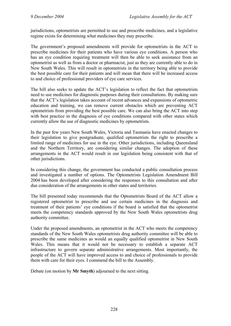jurisdictions, optometrists are permitted to use and prescribe medicines, and a legislative regime exists for determining what medicines they may prescribe.

The government's proposed amendments will provide for optometrists in the ACT to prescribe medicines for their patients who have various eye conditions. A person who has an eye condition requiring treatment will then be able to seek assistance from an optometrist as well as from a doctor or pharmacist, just as they are currently able to do in New South Wales. This will result in optometrists in the territory being able to provide the best possible care for their patients and will mean that there will be increased access to and choice of professional providers of eye care services.

The bill also seeks to update the ACT's legislation to reflect the fact that optometrists need to use medicines for diagnostic purposes during their consultations. By making sure that the ACT's legislation takes account of recent advances and expansions of optometric education and training, we can remove current obstacles which are preventing ACT optometrists from providing the best possible care. We can also bring the ACT into step with best practice in the diagnosis of eye conditions compared with other states which currently allow the use of diagnostic medicines by optometrists.

In the past few years New South Wales, Victoria and Tasmania have enacted changes to their legislation to give postgraduate, qualified optometrists the right to prescribe a limited range of medicines for use in the eye. Other jurisdictions, including Queensland and the Northern Territory, are considering similar changes. The adoption of these arrangements in the ACT would result in our legislation being consistent with that of other jurisdictions.

In considering this change, the government has conducted a public consultation process and investigated a number of options. The Optometrists Legislation Amendment Bill 2004 has been developed after considering the responses to this consultation and after due consideration of the arrangements in other states and territories.

The bill presented today recommends that the Optometrists Board of the ACT allow a registered optometrist to prescribe and use certain medicines in the diagnosis and treatment of their patients' eye conditions if the board is satisfied that the optometrist meets the competency standards approved by the New South Wales optometrists drug authority committee.

Under the proposed amendments, an optometrist in the ACT who meets the competency standards of the New South Wales optometrists drug authority committee will be able to prescribe the same medicines as would an equally qualified optometrist in New South Wales. This means that it would not be necessary to establish a separate ACT infrastructure to govern separate administrative arrangements. Most importantly, the people of the ACT will have improved access to and choice of professionals to provide them with care for their eyes. I commend the bill to the Assembly.

Debate (on motion by **Mr Smyth**) adjourned to the next sitting.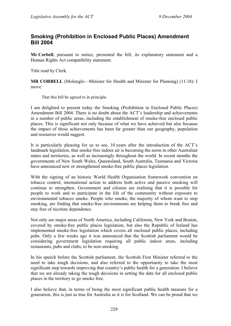# <span id="page-18-0"></span>**Smoking (Prohibition in Enclosed Public Places) Amendment Bill 2004**

**Mr Corbell**, pursuant to notice, presented the bill, its explanatory statement and a Human Rights Act compatibility statement.

Title read by Clerk.

**MR CORBELL** (Molonglo—Minister for Health and Minister for Planning) (11.18): I move:

That this bill be agreed to in principle.

I am delighted to present today the Smoking (Prohibition in Enclosed Public Places) Amendment Bill 2004. There is no doubt about the ACT's leadership and achievements in a number of public areas, including the establishment of smoke-free enclosed public places. This is significant not only because of what we have achieved but also because the impact of those achievements has been far greater than our geography, population and resources would suggest.

It is particularly pleasing for us to see, 10 years after the introduction of the ACT's landmark legislation, that smoke-free indoor air is becoming the norm in other Australian states and territories, as well as increasingly throughout the world. In recent months the governments of New South Wales, Queensland, South Australia, Tasmania and Victoria have announced new or strengthened smoke-free public places legislation.

With the signing of an historic World Health Organisation framework convention on tobacco control, international action to address both active and passive smoking will continue to strengthen. Government and citizens are realising that it is possible for people to work and to participate in the life of the community without exposure to environmental tobacco smoke. People who smoke, the majority of whom want to stop smoking, are finding that smoke-free environments are helping them to break free and stay free of nicotine dependence.

Not only are major areas of North America, including California, New York and Boston, covered by smoke-free public places legislation, but also the Republic of Ireland has implemented smoke-free legislation which covers all enclosed public places, including pubs. Only a few weeks ago it was announced that the Scottish parliament would be considering government legislation requiring all public indoor areas, including restaurants, pubs and clubs, to be non-smoking.

In his speech before the Scottish parliament, the Scottish First Minister referred to the need to take tough decisions, and also referred to the opportunity to take the most significant step towards improving that country's public health for a generation. I believe that we are already taking the tough decisions in setting the date for all enclosed public places in the territory to go smoke free.

I also believe that, in terms of being the most significant public health measure for a generation, this is just as true for Australia as it is for Scotland. We can be proud that we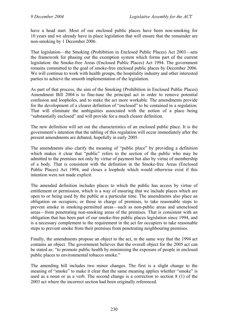have a head start. Most of our enclosed public places have been non-smoking for 10 years and we already have in place legislation that will ensure that the remainder are non-smoking by 1 December 2006.

That legislation—the Smoking (Prohibition in Enclosed Public Places) Act 2003—sets the framework for phasing out the exemption system which forms part of the current legislation: the Smoke-free Areas (Enclosed Public Places) Act 1994. The government remains committed to the goal of smoke-free enclosed public places by December 2006. We will continue to work with health groups, the hospitality industry and other interested parties to achieve the smooth implementation of the legislation.

As part of that process, the aim of the Smoking (Prohibition in Enclosed Public Places) Amendment Bill 2004 is to fine-tune the principal act in order to remove potential confusion and loopholes, and to make the act more workable. The amendments provide for the development of a clearer definition of "enclosed" to be contained in a regulation. That will eliminate the ambiguities associated with the notion of a place being "substantially enclosed" and will provide for a much clearer definition.

The new definition will set out the characteristics of an enclosed public place. It is the government's intention that the tabling of this regulation will occur immediately after the present amendments are debated, hopefully in early 2005.

The amendments also clarify the meaning of "public place" by providing a definition which makes it clear that "public" refers to the section of the public who may be admitted to the premises not only by virtue of payment but also by virtue of membership of a body. That is consistent with the definition in the Smoke-free Areas (Enclosed Public Places) Act 1994, and closes a loophole which would otherwise exist if this intention were not made explicit.

The amended definition includes places to which the public has access by virtue of entitlement or permission, which is a way of ensuring that we include places which are open to or being used by the public at a particular time. The amendments also place an obligation on occupiers, or those in charge of premises, to take reasonable steps to prevent smoke in smoking-permitted areas—such as non-public areas and unenclosed areas—from penetrating non-smoking areas of the premises. That is consistent with an obligation that has been part of our smoke-free public places legislation since 1994, and is a necessary complement to the requirement in the act for occupiers to take reasonable steps to prevent smoke from their premises from penetrating neighbouring premises.

Finally, the amendments propose an object to the act, in the same way that the 1994 act contains an object. The government believes that the overall object for the 2005 act can be stated as: "to promote public health by minimising the exposure of people in enclosed public places to environmental tobacco smoke."

The amending bill includes two minor changes. The first is a slight change to the meaning of "smoke" to make it clear that the same meaning applies whether "smoke" is used as a noun or as a verb. The second change is a correction to section 8 (1) of the 2003 act where the incorrect section had been originally referenced.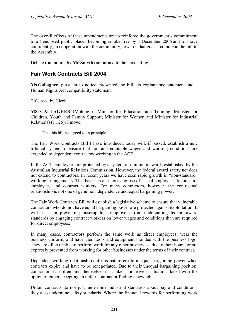The overall effects of these amendments are to reinforce the government's commitment to all enclosed public places becoming smoke free by 1 December 2006 and to move confidently, in cooperation with the community, towards that goal. I commend the bill to the Assembly.

Debate (on motion by **Mr Smyth**) adjourned to the next sitting.

# <span id="page-20-0"></span>**Fair Work Contracts Bill 2004**

**Ms Gallagher**, pursuant to notice, presented the bill, its explanatory statement and a Human Rights Act compatibility statement.

Title read by Clerk.

**MS GALLAGHER** (Molonglo—Minister for Education and Training, Minister for Children, Youth and Family Support, Minister for Women and Minister for Industrial Relations) (11.25): I move:

That this bill be agreed to in principle.

The Fair Work Contracts Bill I have introduced today will, if passed, establish a new tribunal system to ensure that fair and equitable wages and working conditions are extended to dependent contractors working in the ACT.

In the ACT, employees are protected by a system of minimum awards established by the Australian Industrial Relations Commission. However, the federal award safety net does not extend to contractors. In recent years we have seen rapid growth in "non-standard" working arrangements. This has seen an increasing use of casual employees, labour hire employees and contract workers. For many contractors, however, the contractual relationship is not one of genuine independence and equal bargaining power.

The Fair Work Contracts Bill will establish a legislative scheme to ensure that vulnerable contractors who do not have equal bargaining power are protected against exploitation. It will assist in preventing unscrupulous employers from undercutting federal award standards by engaging contract workers on lower wages and conditions than are required for direct employees.

In many cases, contractors perform the same work as direct employees, wear the business uniform, and have their tools and equipment branded with the business logo. They are often unable to perform work for any other businesses, due to their hours, or are expressly prevented from working for other businesses under the terms of their contract.

Dependent working relationships of this nature create unequal bargaining power when contracts expire and have to be renegotiated. Due to their unequal bargaining position, contractors can often find themselves in a take it or leave it situation, faced with the option of either accepting an unfair contract or finding a new job.

Unfair contracts do not just undermine industrial standards about pay and conditions; they also undermine safety standards. Where the financial rewards for performing work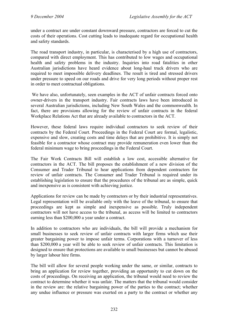under a contract are under constant downward pressure, contractors are forced to cut the costs of their operations. Cost cutting leads to inadequate regard for occupational health and safety standards.

The road transport industry, in particular, is characterised by a high use of contractors, compared with direct employment. This has contributed to low wages and occupational health and safety problems in the industry. Inquiries into road fatalities in other Australian jurisdictions have heard evidence about long-haul truck drivers who are required to meet impossible delivery deadlines. The result is tired and stressed drivers under pressure to speed on our roads and drive for very long periods without proper rest in order to meet contractual obligations.

 We have also, unfortunately, seen examples in the ACT of unfair contracts forced onto owner-drivers in the transport industry. Fair contracts laws have been introduced in several Australian jurisdictions, including New South Wales and the commonwealth. In fact, there are provisions allowing for the review of unfair contracts in the federal Workplace Relations Act that are already available to contractors in the ACT.

However, these federal laws require individual contractors to seek review of their contracts by the Federal Court. Proceedings in the Federal Court are formal, legalistic, expensive and slow, creating costs and time delays that are prohibitive. It is simply not feasible for a contractor whose contract may provide remuneration even lower than the federal minimum wage to bring proceedings in the Federal Court.

The Fair Work Contracts Bill will establish a low cost, accessible alternative for contractors in the ACT. The bill proposes the establishment of a new division of the Consumer and Trader Tribunal to hear applications from dependent contractors for review of unfair contracts. The Consumer and Trader Tribunal is required under its establishing legislation to ensure that the procedures of the tribunal are as simple, quick and inexpensive as is consistent with achieving justice.

Applications for review can be made by contractors or by their industrial representatives. Legal representation will be available only with the leave of the tribunal, to ensure that proceedings are kept as simple and inexpensive as possible. Truly independent contractors will not have access to the tribunal, as access will be limited to contractors earning less than \$200,000 a year under a contract.

In addition to contractors who are individuals, the bill will provide a mechanism for small businesses to seek review of unfair contracts with larger firms which use their greater bargaining power to impose unfair terms. Corporations with a turnover of less than \$200,000 a year will be able to seek review of unfair contracts. This limitation is designed to ensure that protections are available to small businesses but cannot be abused by larger labour hire firms.

The bill will allow for several people working under the same, or similar, contracts to bring an application for review together, providing an opportunity to cut down on the costs of proceedings. On receiving an application, the tribunal would need to review the contract to determine whether it was unfair. The matters that the tribunal would consider in the review are: the relative bargaining power of the parties to the contract; whether any undue influence or pressure was exerted on a party to the contract or whether any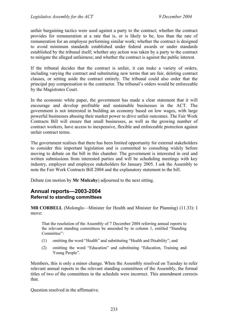unfair bargaining tactics were used against a party to the contract; whether the contract provides for remuneration at a rate that is, or is likely to be, less than the rate of remuneration for an employee performing similar work; whether the contract is designed to avoid minimum standards established under federal awards or under standards established by the tribunal itself; whether any action was taken by a party to the contract to mitigate the alleged unfairness; and whether the contract is against the public interest.

If the tribunal decides that the contract is unfair, it can make a variety of orders, including varying the contract and substituting new terms that are fair, deleting contract clauses, or setting aside the contract entirely. The tribunal could also order that the principal pay compensation to the contractor. The tribunal's orders would be enforceable by the Magistrates Court.

In the economic white paper, the government has made a clear statement that it will encourage and develop profitable and sustainable businesses in the ACT. The government is not interested in building an economy based on low wages, with large powerful businesses abusing their market power to drive unfair outcomes. The Fair Work Contracts Bill will ensure that small businesses, as well as the growing number of contract workers, have access to inexpensive, flexible and enforceable protection against unfair contract terms.

The government realises that there has been limited opportunity for external stakeholders to consider this important legislation and is committed to consulting widely before moving to debate on the bill in this chamber. The government is interested in oral and written submissions from interested parties and will be scheduling meetings with key industry, employer and employee stakeholders for January 2005. I ask the Assembly to note the Fair Work Contracts Bill 2004 and the explanatory statement to the bill.

Debate (on motion by **Mr Mulcahy**) adjourned to the next sitting.

# <span id="page-22-0"></span>**Annual reports—2003-2004 Referral to standing committees**

**MR CORBELL** (Molonglo—Minister for Health and Minister for Planning) (11.33): I move:

That the resolution of the Assembly of 7 December 2004 referring annual reports to the relevant standing committees be amended by in column 1, entitled "Standing Committee":

- (1) omitting the word "Health" and substituting "Health and Disability"; and
- (2) omitting the word "Education" and substituting "Education, Training and Young People".

Members, this is only a minor change. When the Assembly resolved on Tuesday to refer relevant annual reports to the relevant standing committees of the Assembly, the formal titles of two of the committees in the schedule were incorrect. This amendment corrects that.

Question resolved in the affirmative.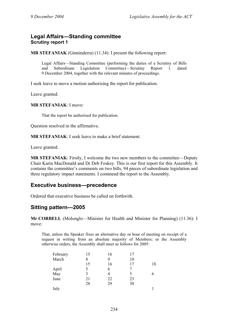# <span id="page-23-0"></span>**Legal Affairs—Standing committee Scrutiny report 1**

**MR STEFANIAK** (Ginninderra) (11.34): I present the following report:

Legal Affairs—Standing Committee (performing the duties of a Scrutiny of Bills and Subordinate Legislation Committee)—Scrutiny Report 1*,* dated 9 December 2004, together with the relevant minutes of proceedings.

I seek leave to move a motion authorising the report for publication.

Leave granted.

**MR STEFANIAK**: I move:

That the report be authorised for publication.

Question resolved in the affirmative.

**MR STEFANIAK**: I seek leave to make a brief statement.

Leave granted.

**MR STEFANIAK**: Firstly, I welcome the two new members to the committee—Deputy Chair Karin MacDonald and Dr Deb Foskey. This is our first report for this Assembly. It contains the committee's comments on two bills, 94 pieces of subordinate legislation and three regulatory impact statements. I commend the report to the Assembly.

#### <span id="page-23-1"></span>**Executive business—precedence**

Ordered that executive business be called on forthwith.

#### <span id="page-23-2"></span>**Sitting pattern—2005**

**Mr CORBELL** (Molonglo—Minister for Health and Minister for Planning) (11.36): I move:

That, unless the Speaker fixes an alternative day or hour of meeting on receipt of a request in writing from an absolute majority of Members; or the Assembly otherwise orders, the Assembly shall meet as follows for 2005:

| February | 15 | 16 | 17 |    |
|----------|----|----|----|----|
| March    | 8  | 9  | 10 |    |
|          | 15 | 16 | 17 | 18 |
| April    | 5  | 6  |    |    |
| May      | 3  | 4  | 5  |    |
| June     | 21 | 22 | 23 |    |
|          | 28 | 29 | 30 |    |
| July     |    |    |    |    |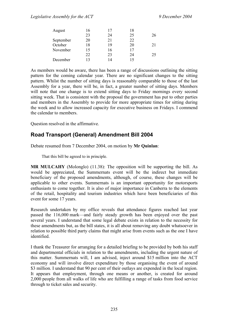| August    | 16 | 17 | 18 |    |
|-----------|----|----|----|----|
|           | 23 | 24 | 25 | 26 |
| September | 20 | 21 | 22 |    |
| October   | 18 | 19 | 20 | 21 |
| November  | 15 | 16 | 17 |    |
|           | 22 | 23 | 24 | 25 |
| December  | 13 | 14 | 15 |    |

As members would be aware, there has been a range of discussions outlining the sitting pattern for the coming calendar year. There are no significant changes to the sitting pattern. Whilst the number of sitting days is reasonably comparable to those of the last Assembly for a year, there will be, in fact, a greater number of sitting days. Members will note that one change is to extend sitting days to Friday mornings every second sitting week. That is consistent with the proposal the government has put to other parties and members in the Assembly to provide for more appropriate times for sitting during the week and to allow increased capacity for executive business on Fridays. I commend the calendar to members.

Question resolved in the affirmative.

# <span id="page-24-0"></span>**Road Transport (General) Amendment Bill 2004**

Debate resumed from 7 December 2004, on motion by **Mr Quinlan**:

That this bill be agreed to in principle.

**MR MULCAHY** (Molonglo) (11.38): The opposition will be supporting the bill. As would be appreciated, the Summernats event will be the indirect but immediate beneficiary of the proposed amendments, although, of course, these changes will be applicable to other events. Summernats is an important opportunity for motorsports enthusiasts to come together. It is also of major importance in Canberra to the elements of the retail, hospitality and tourism industries which have been beneficiaries of this event for some 17 years.

Research undertaken by my office reveals that attendance figures reached last year passed the 116,000 mark—and fairly steady growth has been enjoyed over the past several years. I understand that some legal debate exists in relation to the necessity for these amendments but, as the bill states, it is all about removing any doubt whatsoever in relation to possible third party claims that might arise from events such as the one I have identified.

I thank the Treasurer for arranging for a detailed briefing to be provided by both his staff and departmental officials in relation to the amendments, including the urgent nature of this matter. Summernats will, I am advised, inject around \$15 million into the ACT economy and will involve direct expenditure by those organising the event of around \$3 million. I understand that 90 per cent of their outlays are expended in the local region. It appears that employment, through one means or another, is created for around 2,000 people from all walks of life who are fulfilling a range of tasks from food service through to ticket sales and security.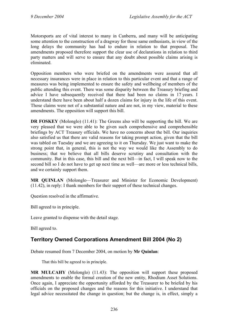Motorsports are of vital interest to many in Canberra, and many will be anticipating some attention to the construction of a dragway for those same enthusiasts, in view of the long delays the community has had to endure in relation to that proposal. The amendments proposed therefore support the clear use of declarations in relation to third party matters and will serve to ensure that any doubt about possible claims arising is eliminated.

Opposition members who were briefed on the amendments were assured that all necessary insurances were in place in relation to this particular event and that a range of measures was being implemented to ensure the safety and wellbeing of members of the public attending this event. There was some disparity between the Treasury briefing and advice I have subsequently received that there had been no claims in 17 years. I understand there have been about half a dozen claims for injury in the life of this event. Those claims were not of a substantial nature and are not, in my view, material to these amendments. The opposition will support this bill.

**DR FOSKEY** (Molonglo) (11.41): The Greens also will be supporting the bill. We are very pleased that we were able to be given such comprehensive and comprehensible briefings by ACT Treasury officials. We have no concerns about the bill. Our inquiries also satisfied us that there are valid reasons for taking prompt action, given that the bill was tabled on Tuesday and we are agreeing to it on Thursday. We just want to make the strong point that, in general, this is not the way we would like the Assembly to do business; that we believe that all bills deserve scrutiny and consultation with the community. But in this case, this bill and the next bill—in fact, I will speak now to the second bill so I do not have to get up next time as well—are more or less technical bills, and we certainly support them.

**MR QUINLAN** (Molonglo—Treasurer and Minister for Economic Development) (11.42), in reply: I thank members for their support of these technical changes.

Question resolved in the affirmative.

Bill agreed to in principle.

Leave granted to dispense with the detail stage.

Bill agreed to.

# <span id="page-25-0"></span>**Territory Owned Corporations Amendment Bill 2004 (No 2)**

Debate resumed from 7 December 2004, on motion by **Mr Quinlan**:

That this bill be agreed to in principle.

**MR MULCAHY** (Molonglo) (11.43): The opposition will support these proposed amendments to enable the formal creation of the new entity, Rhodium Asset Solutions. Once again, I appreciate the opportunity afforded by the Treasurer to be briefed by his officials on the proposed changes and the reasons for this initiative. I understand that legal advice necessitated the change in question; but the change is, in effect, simply a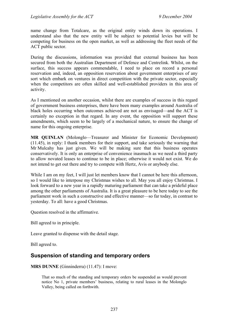name change from Totalcare, as the original entity winds down its operations. I understand also that the new entity will be subject to potential levies but will be competing for business on the open market, as well as addressing the fleet needs of the ACT public sector.

During the discussions, information was provided that external business has been secured from both the Australian Department of Defence and Centrelink. Whilst, on the surface, this success appears commendable, I need to place on record a personal reservation and, indeed, an opposition reservation about government enterprises of any sort which embark on ventures in direct competition with the private sector, especially when the competitors are often skilled and well-established providers in this area of activity.

As I mentioned on another occasion, whilst there are examples of success in this regard of government business enterprises, there have been many examples around Australia of black holes occurring when outcomes achieved are not as envisaged—and the ACT is certainly no exception in that regard. In any event, the opposition will support these amendments, which seem to be largely of a mechanical nature, to ensure the change of name for this ongoing enterprise.

**MR QUINLAN** (Molonglo—Treasurer and Minister for Economic Development) (11.45), in reply: I thank members for their support, and take seriously the warning that Mr Mulcahy has just given. We will be making sure that this business operates conservatively. It is only an enterprise of convenience inasmuch as we need a third party to allow novated leases to continue to be in place; otherwise it would not exist. We do not intend to get out there and try to compete with Hertz, Avis or anybody else.

While I am on my feet, I will just let members know that I cannot be here this afternoon, so I would like to interpose my Christmas wishes to all. May you all enjoy Christmas. I look forward to a new year in a rapidly maturing parliament that can take a prideful place among the other parliaments of Australia. It is a great pleasure to be here today to see the parliament work in such a constructive and effective manner—so far today, in contrast to yesterday. To all: have a good Christmas.

Question resolved in the affirmative.

Bill agreed to in principle.

Leave granted to dispense with the detail stage.

Bill agreed to.

#### <span id="page-26-0"></span>**Suspension of standing and temporary orders**

**MRS DUNNE** (Ginninderra) (11.47): I move:

That so much of the standing and temporary orders be suspended as would prevent notice No 1, private members' business, relating to rural leases in the Molonglo Valley, being called on forthwith.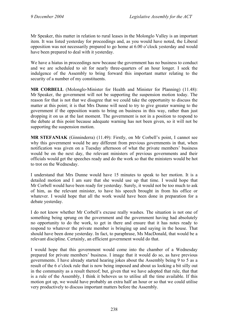Mr Speaker, this matter in relation to rural leases in the Molonglo Valley is an important item. It was listed yesterday for proceedings and, as you would have noted, the Liberal opposition was not necessarily prepared to go home at 6.00 o'clock yesterday and would have been prepared to deal with it yesterday.

We have a hiatus in proceedings now because the government has no business to conduct and we are scheduled to sit for nearly three-quarters of an hour longer. I seek the indulgence of the Assembly to bring forward this important matter relating to the security of a number of my constituents.

**MR CORBELL** (Molonglo-Minister for Health and Minister for Planning) (11.48): Mr Speaker, the government will not be supporting the suspension motion today. The reason for that is not that we disagree that we could take the opportunity to discuss the matter at this point; it is that Mrs Dunne will need to try to give greater warning to the government if the opposition wants to bring on business in this way, rather than just dropping it on us at the last moment. The government is not in a position to respond to the debate at this point because adequate warning has not been given, so it will not be supporting the suspension motion.

**MR STEFANIAK** (Ginninderra) (11.49): Firstly, on Mr Corbell's point, I cannot see why this government would be any different from previous governments in that, when notification was given on a Tuesday afternoon of what the private members' business would be on the next day, the relevant ministers of previous governments and their officials would get the speeches ready and do the work so that the ministers would be hot to trot on the Wednesday.

I understand that Mrs Dunne would have 15 minutes to speak to her motion. It is a detailed motion and I am sure that she would use up that time. I would hope that Mr Corbell would have been ready for yesterday. Surely, it would not be too much to ask of him, as the relevant minister, to have his speech brought in from his office or whatever. I would hope that all the work would have been done in preparation for a debate yesterday.

I do not know whether Mr Corbell's excuse really washes. The situation is not one of something being sprung on the government and the government having had absolutely no opportunity to do the work, to get in there and ensure that it has notes ready to respond to whatever the private member is bringing up and saying in the house. That should have been done yesterday. In fact, to paraphrase, Ms MacDonald, that would be a relevant discipline. Certainly, an efficient government would do that.

I would hope that this government would come into the chamber of a Wednesday prepared for private members' business. I image that it would do so, as have previous governments. I have already started hearing jokes about the Assembly being 9 to 5 as a result of the 6 o'clock rule that is now being imposed and about us looking a bit silly out in the community as a result thereof; but, given that we have adopted that rule, that that is a rule of the Assembly, I think it behoves us to utilise all the time available. If this motion got up, we would have probably an extra half an hour or so that we could utilise very productively to discuss important matters before the Assembly.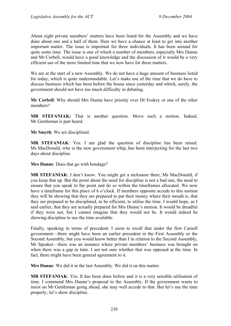About eight private members' matters have been listed for the Assembly and we have done about one and a half of them. Here we have a chance at least to get into another important matter. The issue is important for three individuals. It has been around for quite some time. The issue is one of which a number of members, especially Mrs Dunne and Mr Corbell, would have a good knowledge and the discussion of it would be a very efficient use of the more limited time that we now have for these matters.

We are at the start of a new Assembly. We do not have a huge amount of business listed for today, which is quite understandable. Let's make use of the time that we do have to discuss business which has been before the house since yesterday and which, surely, the government should not have too much difficulty in debating.

**Mr Corbell**: Why should Mrs Dunne have priority over Dr Foskey or one of the other members?

**MR STEFANIAK:** That is another question. Move such a motion. Indeed, Mr Gentleman is part heard.

**Mr Smyth**: We are disciplined.

**MR STEFANIAK**: Yes. I am glad the question of discipline has been raised. Ms MacDonald, who is the new government whip, has been interjecting for the last two days about discipline.

**Mrs Dunne**: Does that go with bondage?

**MR STEFANIAK**: I don't know. You might get a nickname there, Ms MacDonald, if you keep that up. But the point about the need for discipline is not a bad one, the need to ensure that you speak to the point and do so within the timeframes allocated. We now have a timeframe for this place of 6 o'clock. If members opposite accede to this motion they will be showing that they are prepared to put their money where their mouth is, that they are prepared to be disciplined, to be efficient, to utilise the time. I would hope, as I said earlier, that they are actually prepared for Mrs Dunne's motion. It would be dreadful if they were not, but I cannot imagine that they would not be. It would indeed be showing discipline to use the time available.

Finally, speaking in terms of precedent, I seem to recall that under the first Carnell government—there might have been an earlier precedent in the First Assembly or the Second Assembly, but you would know better than I in relation to the Second Assembly, Mr Speaker—there was an instance where private members' business was brought on when there was a gap in time. I am not sure whether that was opposed at the time. In fact, there might have been general agreement to it.

**Mrs Dunne**: We did it in the last Assembly. We did it on this matter.

**MR STEFANIAK**: Yes. It has been done before and it is a very sensible utilisation of time. I commend Mrs Dunne's proposal to the Assembly. If the government wants to insist on Mr Gentleman going ahead, she may well accede to that. But let's use the time properly; let's show discipline.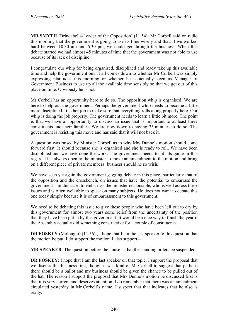**MR SMYTH** (Brindabella-Leader of the Opposition) (11.54): Mr Corbell said on radio this morning that the government is going to use its time wisely and that, if we worked hard between 10.30 am and 6.30 pm, we could get through the business. When this debate started we had almost 45 minutes of time that the government was not able to use because of its lack of discipline.

I congratulate our whip for being organised, disciplined and ready take up this available time and help the government out. It all comes down to whether Mr Corbell was simply expressing platitudes this morning or whether he is actually keen as Manager of Government Business to use up all the available time sensibly so that we get out of this place on time. Obviously he is not.

Mr Corbell has an opportunity here to do so. The opposition whip is organised. We are here to help out the government. Perhaps the government whip needs to become a little more disciplined. It is her job to make sure that everything rolls along properly here. Our whip is doing the job properly. The government needs to learn a little bit more. The point is that we have an opportunity to discuss an issue that is important to at least three constituents and their families. We are now down to having 35 minutes to do so. The government is resisting this move and has said that it will not back it.

A question was raised by Minister Corbell as to why Mrs Dunne's motion should come forward first. It should because she is organised and she is ready to roll. We have been disciplined and we have done the work. The government needs to lift its game in this regard. It is always open to the minister to move an amendment to the motion and bring on a different piece of private members' business should he so wish.

We have seen yet again the government gagging debate in this place, particularly that of the opposition and the crossbench, on issues that have the potential to embarrass the government—in this case, to embarrass the minister responsible, who is well across these issues and is often well able to speak on many subjects. He does not want to debate this one today simply because it is of embarrassment to this government.

We need to be debating this issue to give these people who have been left out to dry by this government for almost two years some relief from the uncertainty of the position that they have been put in by this government. It would be a nice way to finish the year if the Assembly actually did something constructive for a couple of constituents.

**DR FOSKEY** (Molonglo) (11.56): I hope that I am the last speaker to this question that the motion be put. I do support the motion. I also support—

**MR SPEAKER**: The question before the house is that the standing orders be suspended.

**DR FOSKEY**: I hope that I am the last speaker on that topic. I support the proposal that we discuss this business first, though it was kind of Mr Corbell to suggest that perhaps there should be a ballot and my business should be given the chance to be pulled out of the hat. The reason I support the proposal that Mrs Dunne's motion be discussed first is that it is very current and deserves attention. I do remember that there was an amendment circulated yesterday in Mr Corbell's name. I suspect that that indicates that he also is ready.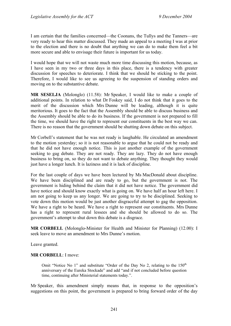I am certain that the families concerned—the Coonans, the Tullys and the Tanners—are very ready to hear this matter discussed. They made an appeal to a meeting I was at prior to the election and there is no doubt that anything we can do to make them feel a bit more secure and able to envisage their future is important for us today.

I would hope that we will not waste much more time discussing this motion, because, as I have seen in my two or three days in this place, there is a tendency with greater discussion for speeches to deteriorate. I think that we should be sticking to the point. Therefore, I would like to see us agreeing to the suspension of standing orders and moving on to the substantive debate.

**MR SESELJA** (Molonglo) (11.58): Mr Speaker, I would like to make a couple of additional points. In relation to what Dr Foskey said, I do not think that it goes to the merit of the discussion which Mrs Dunne will be leading, although it is quite meritorious. It goes to the fact that the Assembly should be able to discuss business and the Assembly should be able to do its business. If the government is not prepared to fill the time, we should have the right to represent our constituents in the best way we can. There is no reason that the government should be shutting down debate on this subject.

Mr Corbell's statement that he was not ready is laughable. He circulated an amendment to the motion yesterday; so it is not reasonable to argue that he could not be ready and that he did not have enough notice. This is just another example of the government seeking to gag debate. They are not ready. They are lazy. They do not have enough business to bring on, so they do not want to debate anything. They thought they would just have a longer lunch. It is laziness and it is lack of discipline.

For the last couple of days we have been lectured by Ms MacDonald about discipline. We have been disciplined and are ready to go, but the government is not. The government is hiding behind the claim that it did not have notice. The government did have notice and should know exactly what is going on. We have half an hour left here. I am not going to keep us any longer. We are going to try to be disciplined. Seeking to vote down this motion would be just another disgraceful attempt to gag the opposition. We have a right to be heard. We have a right to represent our constituents. Mrs Dunne has a right to represent rural lessees and she should be allowed to do so. The government's attempt to shut down this debate is a disgrace.

**MR CORBELL** (Molonglo-Minister for Health and Minister for Planning) (12.00): I seek leave to move an amendment to Mrs Dunne's motion.

Leave granted.

#### **MR CORBELL**: I move:

Omit "Notice No 1" and substitute "Order of the Day No 2, relating to the  $150<sup>th</sup>$ anniversary of the Eureka Stockade" and add "and if not concluded before question time, continuing after Ministerial statements today.".

Mr Speaker, this amendment simply means that, in response to the opposition's suggestions on this point, the government is prepared to bring forward order of the day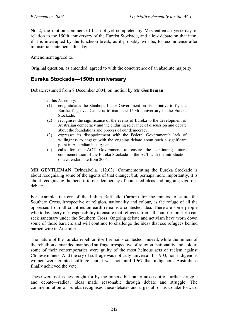No 2, the motion commenced but not yet completed by Mr Gentleman yesterday in relation to the 150th anniversary of the Eureka Stockade, and allow debate on that item, if it is interrupted by the luncheon break, as it probably will be, to recommence after ministerial statements this day.

Amendment agreed to.

Original question, as amended, agreed to with the concurrence of an absolute majority.

# <span id="page-31-0"></span>**Eureka Stockade—150th anniversary**

Debate resumed from 8 December 2004, on motion by **Mr Gentleman**:

That this Assembly:

- (1) congratulates the Stanhope Labor Government on its initiative to fly the Eureka flag over Canberra to mark the 150th anniversary of the Eureka Stockade;
- (2) recognises the significance of the events of Eureka to the development of Australian democracy and the enduring relevance of discussion and debate about the foundations and process of our democracy;
- (3) expresses its disappointment with the Federal Government's lack of willingness to engage with the ongoing debate about such a significant point in Australian history; and
- (4) calls for the ACT Government to ensure the continuing future commemoration of the Eureka Stockade in the ACT with the introduction of a calendar note from 2004.

**MR GENTLEMAN** (Brindabella) (12.03): Commemorating the Eureka Stockade is about recognising some of the agents of that change; but, perhaps more importantly, it is about recognising the benefit to our democracy of contested ideas and ongoing vigorous debate.

For example, the cry of the Italian Raffaello Carboni for the miners to salute the Southern Cross, irrespective of religion, nationality and colour, as the refuge of all the oppressed from all countries on earth remains a contested idea. There are some people who today decry our responsibility to ensure that refugees from all countries on earth can seek sanctuary under the Southern Cross. Ongoing debate and activism have worn down some of those barriers and will continue to challenge the ideas that see refugees behind barbed wire in Australia.

The nature of the Eureka rebellion itself remains contested. Indeed, while the miners of the rebellion demanded manhood suffrage irrespective of religion, nationality and colour, some of their contemporaries were guilty of the most heinous acts of racism against Chinese miners. And the cry of suffrage was not truly universal. In 1903, non-indigenous women were granted suffrage, but it was not until 1967 that indigenous Australians finally achieved the vote.

These were not issues fought for by the miners, but rather arose out of further struggle and debate—radical ideas made reasonable through debate and struggle. The commemoration of Eureka recognises these debates and urges all of us to take forward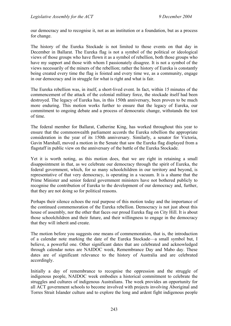our democracy and to recognise it, not as an institution or a foundation, but as a process for change.

The history of the Eureka Stockade is not limited to those events on that day in December in Ballarat. The Eureka flag is not a symbol of the political or ideological views of those groups who have flown it as a symbol of rebellion, both those groups who have my support and those with whom I passionately disagree. It is not a symbol of the views necessarily of the miners of the rebellion; rather the history of Eureka is constantly being created every time the flag is foisted and every time we, as a community, engage in our democracy and in struggle for what is right and what is fair.

The Eureka rebellion was, in itself, a short-lived event. In fact, within 15 minutes of the commencement of the attack of the colonial military force, the stockade itself had been destroyed. The legacy of Eureka has, in this 150th anniversary, been proven to be much more enduring. This motion works further to ensure that the legacy of Eureka, our commitment to ongoing debate and a process of democratic change, withstands the test of time.

The federal member for Ballarat, Catherine King, has worked throughout this year to ensure that the commonwealth parliament accords the Eureka rebellion the appropriate consideration in the year of its 150th anniversary. Similarly, a senator for Victoria, Gavin Marshall, moved a motion in the Senate that saw the Eureka flag displayed from a flagstaff in public view on the anniversary of the battle of the Eureka Stockade.

Yet it is worth noting, as this motion does, that we are right in retaining a small disappointment in that, as we celebrate our democracy through the spirit of Eureka, the federal government, which, for so many schoolchildren in our territory and beyond, is representative of that very democracy, is operating in a vacuum. It is a shame that the Prime Minister and senior federal government ministers have not bothered publicly to recognise the contribution of Eureka to the development of our democracy and, further, that they are not doing so for political reasons.

Perhaps their silence echoes the real purpose of this motion today and the importance of the continued commemoration of the Eureka rebellion. Democracy is not just about this house of assembly, nor the other that faces our proud Eureka flag on City Hill. It is about those schoolchildren and their future, and their willingness to engage in the democracy that they will inherit and create.

The motion before you suggests one means of commemoration, that is, the introduction of a calendar note marking the date of the Eureka Stockade—a small symbol but, I believe, a powerful one. Other significant dates that are celebrated and acknowledged through calendar notes are NAIDOC week, Remembrance Day and Mabo day. These dates are of significant relevance to the history of Australia and are celebrated accordingly.

Initially a day of remembrance to recognise the oppression and the struggle of indigenous people, NAIDOC week embodies a historical commitment to celebrate the struggles and cultures of indigenous Australians. The week provides an opportunity for all ACT government schools to become involved with projects involving Aboriginal and Torres Strait Islander culture and to explore the long and ardent fight indigenous people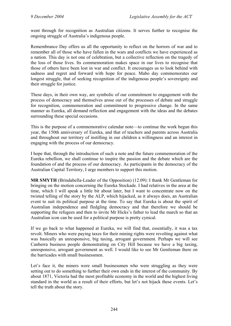went through for recognition as Australian citizens. It serves further to recognise the ongoing struggle of Australia's indigenous people.

Remembrance Day offers us all the opportunity to reflect on the horrors of war and to remember all of those who have fallen in the wars and conflicts we have experienced as a nation. This day is not one of celebration, but a collective reflection on the tragedy of the loss of those lives. Its commemoration makes space in our lives to recognise that those of others have been lost in war and conflict. It encourages us to look behind with sadness and regret and forward with hope for peace. Mabo day commemorates our longest struggle, that of seeking recognition of the indigenous people's sovereignty and their struggle for justice.

These days, in their own way, are symbolic of our commitment to engagement with the process of democracy and themselves arose out of the processes of debate and struggle for recognition, commemoration and commitment to progressive change. In the same manner as Eureka, all demand reflection and engagement with the ideas and the debates surrounding these special occasions.

This is the purpose of a commemorative calendar note—to continue the work begun this year, the 150th anniversary of Eureka, and that of teachers and parents across Australia and throughout our territory of instilling in our children a willingness and an interest in engaging with the process of our democracy.

I hope that, through the introduction of such a note and the future commemoration of the Eureka rebellion, we shall continue to inspire the passion and the debate which are the foundation of and the process of our democracy. As participants in the democracy of the Australian Capital Territory, I urge members to support this motion.

**MR SMYTH** (Brindabella-Leader of the Opposition) (12.09): I thank Mr Gentleman for bringing on the motion concerning the Eureka Stockade. I had relatives in the area at the time, which I will speak a little bit about later, but I want to concentrate now on the twisted telling of the story by the ALP, which hijacked, as it always does, an Australian event to suit its political purpose at the time. To say that Eureka is about the spirit of Australian independence and fledgling democracy and that therefore we should be supporting the refugees and then to invite Mr Hicks's father to lead the march so that an Australian icon can be used for a political purpose is pretty cynical.

If we go back to what happened at Eureka, we will find that, essentially, it was a tax revolt. Miners who were paying taxes for their mining rights were revolting against what was basically an unresponsive, big taxing, arrogant government. Perhaps we will see Canberra business people demonstrating on City Hill because we have a big taxing, unresponsive, arrogant government as well. I would like to see Mr Gentleman there on the barricades with small businessmen.

Let's face it, the miners were small businessmen who were struggling as they were setting out to do something to further their own ends in the interest of the community. By about 1871, Victoria had the most profitable economy in the world and the highest living standard in the world as a result of their efforts, but let's not hijack these events. Let's tell the truth about the story.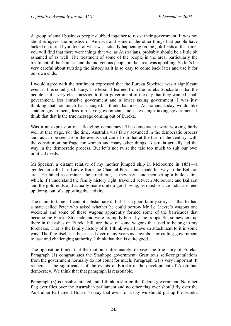A group of small business people clubbed together to resist their government. It was not about refugees, the injustice of America and some of the other things that people have tacked on to it. If you look at what was actually happening on the goldfields at that time, you will find that there were things that we, as Australians, probably should be a little bit ashamed of as well. The treatment of some of the people in the area, particularly the treatment of the Chinese and the indigenous people in the area, was appalling. So let's be very careful about twisting the history as it is so easy to come back later and use it for our own ends.

I would agree with the sentiment expressed that the Eureka Stockade was a significant event in this country's history. The lesson I learned from the Eureka Stockade is that the people sent a very clear message to their government of the day that they wanted small government, less intrusive government and a lower taxing government. I was just thinking that not much has changed. I think that most Australians today would like smaller government, less intrusive government, and a less high taxing government. I think that that is the true message coming out of Eureka.

Was it an expression of a fledgling democracy? The democracies were working fairly well at that stage. For the time, Australia was fairly advanced in the democratic process and, as can be seen from the events that came from that at the turn of the century, with the constitution, suffrage for women and many other things, Australia actually led the way in the democratic process. But let's not twist the tale too much to suit our own political needs.

Mr Speaker, a distant relative of my mother jumped ship in Melbourne in 1851—a gentleman called Le Lievre from the Channel Ports—and made his way to the Ballarat area. He failed as a miner—he struck out, as they say—and then set up a bullock line which, if I understand the family history right, travelled between Melbourne and Ballarat and the goldfields and actually made quite a good living, as most service industries end up doing, out of supporting the activity.

The claim to fame—I cannot substantiate it, but it is a good family story—is that he had a mate called Peter who asked whether he could borrow Mr Le Lievre's wagons one weekend and some of these wagons apparently formed some of the barricades that became the Eureka Stockade and were promptly burnt by the troops. So, somewhere up there in the ashes on Eureka hill, are those of some wagons that used to belong to my forebears. That is the family history of it. I think we all have an attachment to it in some way. The flag itself has been used over many years as a symbol for calling government to task and challenging authority. I think that that is quite good.

The opposition thinks that the motion, unfortunately, debases the true story of Eureka. Paragraph (1) congratulates the Stanhope government. Gratuitous self-congratulations from the government normally do not count for much. Paragraph (2) is very important. It recognises the significance of the events of Eureka in the development of Australian democracy. We think that that paragraph is reasonable.

Paragraph (3) is unsubstantiated and, I think, a slur on the federal government. No other flag ever flies over the Australian parliament and no other flag ever should fly over the Australian Parliament House. To say that even for a day we should put up the Eureka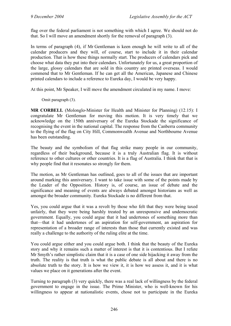flag over the federal parliament is not something with which I agree. We should not do that. So I will move an amendment shortly for the removal of paragraph (3).

In terms of paragraph (4), if Mr Gentleman is keen enough he will write to all of the calendar producers and they will, of course, start to include it in their calendar production. That is how these things normally start. The producers of calendars pick and choose what data they put into their calendars. Unfortunately for us, a great proportion of the large, glossy calendars that are sold in this country are printed overseas. I would commend that to Mr Gentleman. If he can get all the American, Japanese and Chinese printed calendars to include a reference to Eureka day, I would be very happy.

At this point, Mr Speaker, I will move the amendment circulated in my name. I move:

Omit paragraph (3).

**MR CORBELL** (Molonglo-Minister for Health and Minister for Planning) (12.15): I congratulate Mr Gentleman for moving this motion. It is very timely that we acknowledge on the 150th anniversary of the Eureka Stockade the significance of recognising the event in the national capital. The response from the Canberra community to the flying of the flag on City Hill, Commonwealth Avenue and Northbourne Avenue has been outstanding.

The beauty and the symbolism of that flag strike many people in our community, regardless of their background, because it is a truly Australian flag. It is without reference to other cultures or other countries. It is a flag of Australia. I think that that is why people find that it resonates so strongly for them.

The motion, as Mr Gentleman has outlined, goes to all of the issues that are important around marking this anniversary. I want to take issue with some of the points made by the Leader of the Opposition. History is, of course, an issue of debate and the significance and meaning of events are always debated amongst historians as well as amongst the broader community. Eureka Stockade is no different from that.

Yes, you could argue that it was a revolt by those who felt that they were being taxed unfairly, that they were being harshly treated by an unresponsive and undemocratic government. Equally, you could argue that it had undertones of something more than that—that it had undertones of an aspiration for self-government, an aspiration for representation of a broader range of interests than those that currently existed and was really a challenge to the authority of the ruling elite at the time.

You could argue either and you could argue both. I think that the beauty of the Eureka story and why it remains such a matter of interest is that it is contentious. But I refute Mr Smyth's rather simplistic claim that it is a case of one side hijacking it away from the truth. The reality is that truth is what the public debate is all about and there is no absolute truth to the story. It is how we view it, it is how we assess it, and it is what values we place on it generations after the event.

Turning to paragraph (3) very quickly, there was a real lack of willingness by the federal government to engage in the issue. The Prime Minister, who is well-known for his willingness to appear at nationalistic events, chose not to participate in the Eureka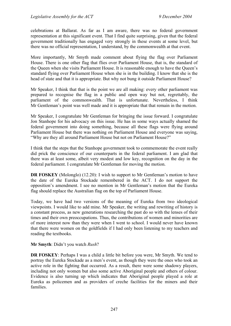celebrations at Ballarat. As far as I am aware, there was no federal government representation at this significant event. That I find quite surprising, given that the federal government traditionally has engaged very strongly in these events at some level, but there was no official representation, I understand, by the commonwealth at that event.

More importantly, Mr Smyth made comment about flying the flag over Parliament House. There is one other flag that flies over Parliament House, that is, the standard of the Queen when she visits Parliament House. It is reasonable enough to have the Queen's standard flying over Parliament House when she is in the building. I know that she is the head of state and that it is appropriate. But why not bung it outside Parliament House?

Mr Speaker, I think that that is the point we are all making: every other parliament was prepared to recognise the flag in a public and open way but not, regrettably, the parliament of the commonwealth. That is unfortunate. Nevertheless, I think Mr Gentleman's point was well made and it is appropriate that that remain in the motion.

Mr Speaker, I congratulate Mr Gentleman for bringing the issue forward. I congratulate Jon Stanhope for his advocacy on this issue. He has in some ways actually shamed the federal government into doing something, because all these flags were flying around Parliament House but there was nothing on Parliament House and everyone was saying, "Why are they all around Parliament House but not on Parliament House?"

I think that the steps that the Stanhope government took to commemorate the event really did prick the conscience of our counterparts in the federal parliament. I am glad that there was at least some, albeit very modest and low key, recognition on the day in the federal parliament. I congratulate Mr Gentleman for moving the motion.

**DR FOSKEY** (Molonglo) (12.20): I wish to support to Mr Gentleman's motion to have the date of the Eureka Stockade remembered in the ACT. I do not support the opposition's amendment. I see no mention in Mr Gentleman's motion that the Eureka flag should replace the Australian flag on the top of Parliament House.

Today, we have had two versions of the meaning of Eureka from two ideological viewpoints. I would like to add mine. Mr Speaker, the writing and rewriting of history is a constant process, as new generations researching the past do so with the lenses of their times and their own preoccupations. Thus, the contributions of women and minorities are of more interest now than they were when I went to school. I would never have known that there were women on the goldfields if I had only been listening to my teachers and reading the textbooks.

**Mr Smyth**: Didn't you watch *Rush*?

**DR FOSKEY**: Perhaps I was a child a little bit before you were, Mr Smyth. We tend to portray the Eureka Stockade as a men's event, as though they were the ones who took an active role in the fighting that occurred. As a result, there were some shadowy players, including not only women but also some active Aboriginal people and others of colour. Evidence is also turning up which indicates that Aboriginal people played a role at Eureka as policemen and as providers of creche facilities for the miners and their families.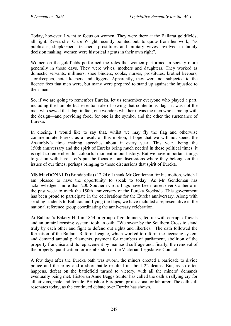Today, however, I want to focus on women. They were there at the Ballarat goldfields, all right. Researcher Clare Wright recently pointed out, to quote from her work, "as publicans, shopkeepers, teachers, prostitutes and military wives involved in family decision making, women were historical agents in their own right".

Women on the goldfields performed the roles that women performed in society more generally in those days. They were wives, mothers and daughters. They worked as domestic servants, milliners, shoe binders, cooks, nurses, prostitutes, brothel keepers, storekeepers, hotel keepers and diggers. Apparently, they were not subjected to the licence fees that men were, but many were prepared to stand up against the injustice to their men.

So, if we are going to remember Eureka, let us remember everyone who played a part, including the humble but essential role of sewing that contentious flag—it was not the men who sewed that flag; in fact, one wonders whether it was the men who came up with the design—and providing food, for one is the symbol and the other the sustenance of Eureka.

In closing, I would like to say that, whilst we may fly the flag and otherwise commemorate Eureka as a result of this motion, I hope that we will not spend the Assembly's time making speeches about it every year. This year, being the 150th anniversary and the spirit of Eureka being much needed in these political times, it is right to remember this colourful moment in our history. But we have important things to get on with here. Let's put the focus of our discussions where they belong, on the issues of our times, perhaps bringing to those discussions that spirit of Eureka.

**MS MacDONALD** (Brindabella) (12.24): I thank Mr Gentleman for his motion, which I am pleased to have the opportunity to speak to today. As Mr Gentleman has acknowledged, more than 200 Southern Cross flags have been raised over Canberra in the past week to mark the 150th anniversary of the Eureka Stockade. This government has been proud to participate in the celebrations for the Eureka anniversary. Along with sending students to Ballarat and flying the flags, we have included a representative in the national reference group coordinating the anniversary celebration.

At Ballarat's Bakery Hill in 1854, a group of goldminers, fed up with corrupt officials and an unfair licensing system, took an oath: "We swear by the Southern Cross to stand truly by each other and fight to defend out rights and liberties." The oath followed the formation of the Ballarat Reform League, which worked to reform the licensing system and demand annual parliaments, payment for members of parliament, abolition of the property franchise and its replacement by manhood suffrage and, finally, the removal of the property qualification for membership of the Victorian Legislative Council.

A few days after the Eureka oath was sworn, the miners erected a barricade to divide police and the army and a short battle resulted in about 22 deaths. But, as so often happens, defeat on the battlefield turned to victory, with all the miners' demands eventually being met. Historian Anne Beggs Sunter has called the oath a rallying cry for all citizens, male and female, British or European, professional or labourer. The oath still resonates today, as the continued debate over Eureka has shown.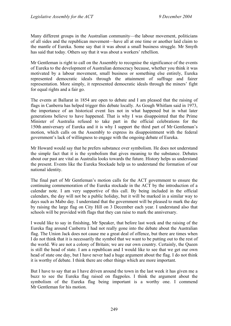Many different groups in the Australian community—the labour movement, politicians of all sides and the republican movement—have all at one time or another laid claim to the mantle of Eureka. Some say that it was about a small business struggle. Mr Smyth has said that today. Others say that it was about a workers' rebellion.

Mr Gentleman is right to call on the Assembly to recognise the significance of the events of Eureka to the development of Australian democracy because, whether you think it was motivated by a labour movement, small business or something else entirely, Eureka represented democratic ideals through the attainment of suffrage and fairer representation. More simply, it represented democratic ideals through the miners' fight for equal rights and a fair go.

The events at Ballarat in 1854 are open to debate and I am pleased that the raising of flags in Canberra has helped trigger this debate locally. As Gough Whitlam said in 1973, the importance of an historical event lies not in what happened but in what later generations believe to have happened. That is why I was disappointed that the Prime Minister of Australia refused to take part in the official celebrations for the 150th anniversary of Eureka and it is why I support the third part of Mr Gentleman's motion, which calls on the Assembly to express its disappointment with the federal government's lack of willingness to engage with the ongoing debate of Eureka.

Mr Howard would say that he prefers substance over symbolism. He does not understand the simple fact that it is the symbolism that gives meaning to the substance. Debates about our past are vital as Australia looks towards the future. History helps us understand the present. Events like the Eureka Stockade help us to understand the formation of our national identity.

The final part of Mr Gentleman's motion calls for the ACT government to ensure the continuing commemoration of the Eureka stockade in the ACT by the introduction of a calendar note. I am very supportive of this call. By being included in the official calendars, the day will not be a public holiday, but it will be marked in a similar way to days such as Mabo day. I understand that the government will be pleased to mark the day by raising the large flag on City Hill on 3 December each year. I understand also that schools will be provided with flags that they can raise to mark the anniversary.

I would like to say in finishing, Mr Speaker, that before last week and the raising of the Eureka flag around Canberra I had not really gone into the debate about the Australian flag. The Union Jack does not cause me a great deal of offence, but there are times when I do not think that it is necessarily the symbol that we want to be putting out to the rest of the world. We are not a colony of Britain; we are our own country. Certainly, the Queen is still the head of state. I am a republican and I would like to see that we get our own head of state one day, but I have never had a huge argument about the flag. I do not think it is worthy of debate. I think there are other things which are more important.

But I have to say that as I have driven around the town in the last week it has given me a buzz to see the Eureka flag raised on flagpoles. I think the argument about the symbolism of the Eureka flag being important is a worthy one. I commend Mr Gentleman for his motion.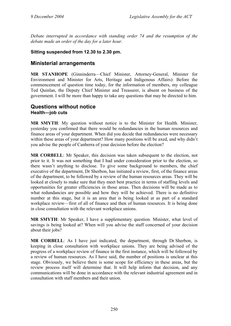*Debate interrupted in accordance with standing order 74 and the resumption of the debate made an order of the day for a later hour.* 

## **Sitting suspended from 12.30 to 2.30 pm.**

# **Ministerial arrangements**

**MR STANHOPE** (Ginninderra—Chief Minister, Attorney-General, Minister for Environment and Minister for Arts, Heritage and Indigenous Affairs): Before the commencement of question time today, for the information of members, my colleague Ted Quinlan, the Deputy Chief Minister and Treasurer, is absent on business of the government. I will be more than happy to take any questions that may be directed to him.

## **Questions without notice Health—job cuts**

**MR SMYTH**: My question without notice is to the Minister for Health. Minister, yesterday you confirmed that there would be redundancies in the human resources and finance areas of your department. When did you decide that redundancies were necessary within these areas of your department? How many positions will be axed, and why didn't you advise the people of Canberra of your decision before the election?

**MR CORBELL**: Mr Speaker, this decision was taken subsequent to the election, not prior to it. It was not something that I had under consideration prior to the election, so there wasn't anything to disclose. To give some background to members, the chief executive of the department, Dr Sherbon, has initiated a review, first, of the finance areas of the department, to be followed by a review of the human resources areas. They will be looked at closely to make sure that they meet best practice in terms of staffing levels and opportunities for greater efficiencies in those areas. Then decisions will be made as to what redundancies are possible and how they will be achieved. There is no definitive number at this stage, but it is an area that is being looked at as part of a standard workplace review—first of all of finance and then of human resources. It is being done in close consultation with the relevant workplace unions.

**MR SMYTH**: Mr Speaker, I have a supplementary question. Minister, what level of savings is being looked at? When will you advise the staff concerned of your decision about their jobs?

**MR CORBELL**: As I have just indicated, the department, through Dr Sherbon, is keeping in close consultation with workplace unions. They are being advised of the progress of a workplace review of finance in the first instance, which will be followed by a review of human resources. As I have said, the number of positions is unclear at this stage. Obviously, we believe there is some scope for efficiency in these areas, but the review process itself will determine that. It will help inform that decision, and any communications will be done in accordance with the relevant industrial agreement and in consultation with staff members and their union.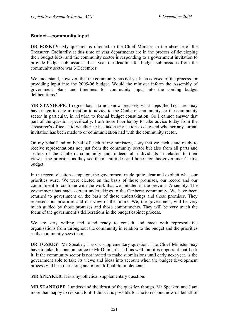#### **Budget—community input**

**DR FOSKEY**: My question is directed to the Chief Minister in the absence of the Treasurer. Ordinarily at this time of year departments are in the process of developing their budget bids, and the community sector is responding to a government invitation to provide budget submissions. Last year the deadline for budget submissions from the community sector was 3 December.

We understand, however, that the community has not yet been advised of the process for providing input into the 2005-06 budget. Would the minister inform the Assembly of government plans and timelines for community input into the coming budget deliberations?

**MR STANHOPE**: I regret that I do not know precisely what steps the Treasurer may have taken to date in relation to advice to the Canberra community, or the community sector in particular, in relation to formal budget consultation. So I cannot answer that part of the question specifically. I am more than happy to take advice today from the Treasurer's office as to whether he has taken any action to date and whether any formal invitation has been made to or communication had with the community sector.

On my behalf and on behalf of each of my ministers, I say that we each stand ready to receive representations not just from the community sector but also from all parts and sectors of the Canberra community and, indeed, all individuals in relation to their views—the priorities as they see them—attitudes and hopes for this government's first budget.

In the recent election campaign, the government made quite clear and explicit what our priorities were. We were elected on the basis of those promises, our record and our commitment to continue with the work that we initiated in the previous Assembly. The government has made certain undertakings to the Canberra community. We have been returned to government on the basis of those undertakings and those promises. They represent our priorities and our view of the future. We, the government, will be very much guided by those promises and those commitments. They will be very much the focus of the government's deliberations in the budget cabinet process.

We are very willing and stand ready to consult and meet with representative organisations from throughout the community in relation to the budget and the priorities as the community sees them.

**DR FOSKEY**: Mr Speaker, I ask a supplementary question. The Chief Minister may have to take this one on notice to Mr Quinlan's staff as well, but it is important that I ask it. If the community sector is not invited to make submissions until early next year, is the government able to take its views and ideas into account when the budget development process will be so far along and more difficult to implement?

**MR SPEAKER**: It is a hypothetical supplementary question.

**MR STANHOPE**: I understand the thrust of the question though, Mr Speaker, and I am more than happy to respond to it. I think it is possible for me to respond now on behalf of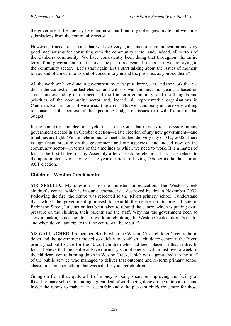the government. Let me say here and now that I and my colleagues invite and welcome submissions from the community sector.

However, it needs to be said that we have very good lines of communication and very good mechanisms for consulting with the community sector and, indeed, all sectors of the Canberra community. We have consistently been doing that throughout the entire term of our government—that is, over the past three years. It is not as if we are saying to the community sector, "Let's start again. Let's start talking about the issues of moment to you and of concern to us and of concern to you and the priorities as you see them."

All the work we have done in government over the past three years, and the work that we did in the context of the last election and will do over this next four years, is based on a deep understanding of the needs of the Canberra community, and the thoughts and priorities of the community sector and, indeed, all representative organisations in Canberra. So it is not as if we are starting afresh. But we stand ready and are very willing to consult in the context of the upcoming budget on issues that will feature in that budget.

In the context of the electoral cycle, it has to be said that there is real pressure on any government elected in an October election—a late election of any new government—and timelines are tight. We are determined to meet a budget delivery day of May 2005. There is significant pressure on the government and our agencies—and indeed now on the community sector—in terms of the timelines to which we need to work. It is a matter of fact in the first budget of any Assembly after an October election. This issue relates to the appropriateness of having a late-year election, of having October as the date for an ACT election.

### **Children—Weston Creek centre**

**MR SESELJA**: My question is to the minister for education. The Weston Creek children's centre, which is in our electorate, was destroyed by fire in November 2003. Following the fire, the centre was relocated to the Rivett primary school. I understand that, whilst the government promised to rebuild the centre on its original site in Parkinson Street, little action has been taken to rebuild the centre, which is putting extra pressure on the children, their parents and the staff. Why has the government been so slow in making a decision to start work on rebuilding the Weston Creek children's centre and when do you anticipate that the centre will be rebuilt?

**MS GALLAGHER**: I remember clearly when the Weston Creek children's centre burnt down and the government moved so quickly to establish a childcare centre at the Rivett primary school to care for the 40-odd children who had been placed in that centre. In fact, I believe that the centre at Rivett primary school opened within just over a week of the childcare centre burning down in Weston Creek, which was a great credit to the staff of the public service who managed to deliver that outcome and re-form primary school classrooms into something that was safe for younger children.

Going on from that, quite a bit of money is being spent on improving the facility at Rivett primary school, including a great deal of work being done on the outdoor area and inside the rooms to make it an acceptable and quite pleasant childcare centre for those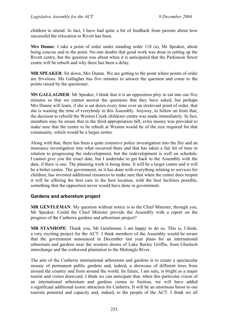children to attend. In fact, I have had quite a bit of feedback from parents about how successful the relocation to Rivett has been.

**Mrs Dunne**: I take a point of order under standing order 118 (a), Mr Speaker, about being concise and to the point. No-one doubts that good work was done in setting up the Rivett centre, but the question was about when it is anticipated that the Parkinson Street centre will be rebuilt and why there has been a delay.

**MR SPEAKER**: Sit down, Mrs Dunne. We are getting to the point where points of order are frivolous. Ms Gallagher has five minutes to answer the question and come to the points raised by the questioner.

**MS GALLAGHER**: Mr Speaker, I think that it is an opposition ploy to eat into our five minutes so that we cannot answer the questions that they have asked, but perhaps Mrs Dunne will learn, if she is sat down every time over an irrelevant point of order, that she is wasting the time of everybody in this Assembly. Anyway, to follow on from that, the decision to rebuild the Weston Creek childcare centre was made immediately. In fact, members may be aware that in the third appropriation bill, extra money was provided to make sure that the centre to be rebuilt at Weston would be of the size required for that community, which would be a larger centre.

Along with that, there has been a quite extensive police investigation into the fire and an insurance investigation into what occurred there and that has taken a fair bit of time in relation to progressing the redevelopment, but the redevelopment is well on schedule. I cannot give you the exact date, but I undertake to get back to the Assembly with the date, if there is one. The planning work is being done. It will be a larger centre and it will be a better centre. The government, as it has done with everything relating to services for children, has invested additional resources to make sure that when the centre does reopen it will be offering the best care in the best location, with the best facilities possible, something that the opposition never would have done in government.

### **Gardens and arboretum project**

**MR GENTLEMAN**: My question without notice is to the Chief Minister, through you, Mr Speaker. Could the Chief Minister provide the Assembly with a report on the progress of the Canberra gardens and arboretum project?

**MR STANHOPE**: Thank you, Mr Gentleman. I am happy to do so. This is, I think, a very exciting project for the ACT. I think members of the Assembly would be aware that the government announced in December last year plans for an international arboretum and gardens near the western shores of Lake Burley Griffin, from Glenloch interchange and the corkwood plantation to the Molonglo River.

The aim of the Canberra international arboretum and gardens is to create a spectacular mosaic of permanent public gardens and, indeed, a showcase of different trees from around the country and from around the world. Its future, I am sure, is bright as a major tourist and visitor drawcard. I think we can anticipate that, when this particular vision of an international arboretum and gardens comes to fruition, we will have added a significant additional iconic attraction for Canberra. It will be an enormous boost to our tourism potential and capacity and, indeed, to the people of the ACT. I think we all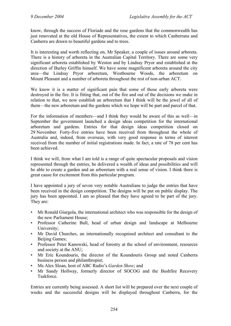know, through the success of Floriade and the rose gardens that the commonwealth has just renovated at the old House of Representatives, the extent to which Canberrans and Canberra are drawn to beautiful gardens and to trees.

It is interesting and worth reflecting on, Mr Speaker, a couple of issues around arboreta. There is a history of arboreta in the Australian Capital Territory. There are some very significant arboreta established by Weston and by Lindsay Pryor and established at the direction of Burley Griffin himself. We have some magnificent arboreta around the city area—the Lindsay Pryor arboretum, Westbourne Woods, the arboretum on Mount Pleasant and a number of arboreta throughout the rest of non-urban ACT.

We know it is a matter of significant pain that some of those early arboreta were destroyed in the fire. It is fitting that, out of the fire and out of the decisions we make in relation to that, we now establish an arboretum that I think will be the jewel of all of them—the new arboretum and the gardens which we hope will be part and parcel of that.

For the information of members—and I think they would be aware of this as well—in September the government launched a design ideas competition for the international arboretum and gardens. Entries for that design ideas competition closed on 29 November. Forty-five entries have been received from throughout the whole of Australia and, indeed, from overseas, with very good response in terms of interest received from the number of initial registrations made. In fact, a rate of 78 per cent has been achieved.

I think we will, from what I am told is a range of quite spectacular proposals and vision represented through the entries, be delivered a wealth of ideas and possibilities and will be able to create a garden and an arboretum with a real sense of vision. I think there is great cause for excitement from this particular program.

I have appointed a jury of seven very notable Australians to judge the entries that have been received in the design competition. The designs will be put on public display. The jury has been appointed. I am so pleased that they have agreed to be part of the jury. They are:

- Mr Ronald Giurgola, the international architect who was responsible for the design of the new Parliament House;
- Professor Catherine Bull, head of urban design and landscape at Melbourne University;
- Mr David Churches, an internationally recognised architect and consultant to the Beijing Games:
- Professor Peter Kanowski, head of forestry at the school of environment, resources and society at the ANU;
- Mr Eric Koundouris, the director of the Koundouris Group and noted Canberra business person and philanthropist;
- Ms Alex Sloan, host of ABC Radio's *Garden Show*; and
- Mr Sandy Hollway, formerly director of SOCOG and the Bushfire Recovery **Taskforce**

Entries are currently being assessed. A short list will be prepared over the next couple of weeks and the successful designs will be displayed throughout Canberra, for the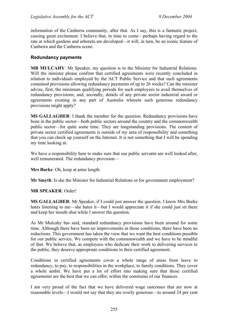information of the Canberra community, after that. As I say, this is a fantastic project, causing great excitement. I believe that, in time to come—perhaps having regard to the rate at which gardens and arboreta are developed—it will, in turn, be an iconic feature of Canberra and the Canberra scene.

### **Redundancy payments**

**MR MULCAHY**: Mr Speaker, my question is to the Minister for Industrial Relations. Will the minister please confirm that certified agreements were recently concluded in relation to individuals employed by the ACT Public Service and that such agreements contained provisions allowing redundancy payments of up to 26 weeks? Can the minister advise, first, the minimum qualifying periods for such employees to avail themselves of redundancy provisions; and, secondly, details of any private sector industrial award or agreements existing in any part of Australia wherein such generous redundancy provisions might apply?

**MS GALLAGHER**: I thank the member for the question. Redundancy provisions have been in the public sector—both public sectors around the country and the commonwealth public sector—for quite some time. They are longstanding provisions. The content of private sector certified agreements is outside of my area of responsibility and something that you can check up yourself on the Internet. It is not something that I will be spending my time looking at.

We have a responsibility here to make sure that our public servants are well looked after, well remunerated. The redundancy provision—

**Mrs Burke**: Oh, keep at arms length.

**Mr Smyth**: Is she the Minister for Industrial Relations or for government employment?

### **MR SPEAKER**: Order!

**MS GALLAGHER**: Mr Speaker, if I could just answer the question. I know Mrs Burke hates listening to me—she hates it—but I would appreciate it if she could just sit there and keep her mouth shut while I answer the question.

As Mr Mulcahy has said, standard redundancy provisions have been around for some time. Although there have been no improvements in those conditions, there have been no reductions. This government has taken the view that we want the best conditions possible for our public service. We compete with the commonwealth and we have to be mindful of that. We believe that, as employees who dedicate their work to delivering services to the public, they deserve appropriate conditions in their certified agreement.

Conditions in certified agreements cover a whole range of areas from leave to redundancy, to pay, to responsibilities in the workplace, to family conditions. They cover a whole ambit. We have put a lot of effort into making sure that those certified agreements are the best that we can offer, within the constrains of our finances.

I am very proud of the fact that we have delivered wage outcomes that are now at reasonable levels—I would not say that they are overly generous—to around 24 per cent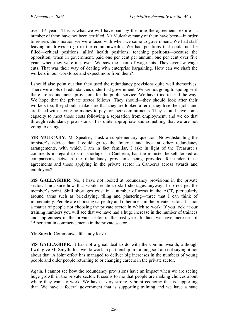over  $4\frac{1}{2}$  years. This is what we will have paid by the time the agreements expire—a number of them have not been certified, Mr Mulcahy; many of them have been—in order to redress the situation we were faced with when we came to government. We had staff leaving in droves to go to the commonwealth. We had positions that could not be filled—critical positions, allied health positions, teaching positions—because the opposition, when in government, paid one per cent per annum; one per cent over five years when they were in power. We saw the sham of wage cuts. They oversaw wage cuts. That was their way of dealing with enterprise bargaining. How can we shaft the workers in our workforce and expect more from them?

I should also point out that they used the redundancy provisions quite well themselves. There were lots of redundancies under that government. We are not going to apologise if there are redundancies provisions for the public service. We have tried to lead the way. We hope that the private sector follows. They should—they should look after their workers too; they should make sure that they are looked after if they lose their jobs and are faced with having no money to pay for their commitments. They should have some capacity to meet those costs following a separation from employment, and we do that through redundancy provisions. It is quite appropriate and something that we are not going to change.

**MR MULCAHY**: Mr Speaker, I ask a supplementary question. Notwithstanding the minister's advice that I could go to the Internet and look at other redundancy arrangements, with which I am in fact familiar, I ask: in light of the Treasurer's comments in regard to skill shortages in Canberra, has the minister herself looked at comparisons between the redundancy provisions being provided for under these agreements and those applying in the private sector in Canberra across awards and employers?

**MS GALLAGHER**: No, I have not looked at redundancy provisions in the private sector. I not sure how that would relate to skill shortages anyway. I do not get the member's point. Skill shortages exist in a number of areas in the ACT, particularly around areas such as bricklaying, tiling and plastering—three that I can think of immediately. People are choosing carpentry and other areas in the private sector. It is not a matter of people not choosing the private sector in which to work. If you look at our training numbers you will see that we have had a huge increase in the number of trainees and apprentices in the private sector in the past year. In fact, we have increases of 15 per cent in commencements in the private sector.

**Mr Smyth**: Commonwealth study leave.

**MS GALLAGHER**: It has not a great deal to do with the commonwealth, although I will give Mr Smyth this: we do work in partnership in training so I am not saying it not about that. A joint effort has managed to deliver big increases in the numbers of young people and older people returning to or changing careers in the private sector.

Again, I cannot see how the redundancy provisions have an impact when we are seeing huge growth in the private sector. It seems to me that people are making choices about where they want to work. We have a very strong, vibrant economy that is supporting that. We have a federal government that is supporting training and we have a state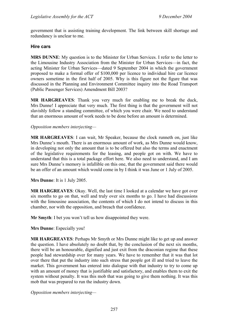government that is assisting training development. The link between skill shortage and redundancy is unclear to me.

#### **Hire cars**

**MRS DUNNE**: My question is to the Minister for Urban Services. I refer to the letter to the Limousine Industry Association from the Minister for Urban Services—in fact, the acting Minister for Urban Services—dated 9 September 2004 in which the government proposed to make a formal offer of \$100,000 per licence to individual hire car licence owners sometime in the first half of 2005. Why is this figure not the figure that was discussed in the Planning and Environment Committee inquiry into the Road Transport (Public Passenger Services) Amendment Bill 2003?

**MR HARGREAVES**: Thank you very much for enabling me to break the duck, Mrs Dunne! I appreciate that very much. The first thing is that the government will not slavishly follow a standing committee, of which you were chair. We need to understand that an enormous amount of work needs to be done before an amount is determined.

#### *Opposition members interjecting—*

**MR HARGREAVES**: I can wait, Mr Speaker, because the clock runneth on, just like Mrs Dunne's mouth. There is an enormous amount of work, as Mrs Dunne would know, in developing not only the amount that is to be offered but also the terms and enactment of the legislative requirements for the leasing, and people got on with. We have to understand that this is a total package effort here. We also need to understand, and I am sure Mrs Dunne's memory is infallible on this one, that the government said there would be an offer of an amount which would come in by I think it was June or 1 July of 2005.

**Mrs Dunne**: It is 1 July 2005.

**MR HARGREAVES**: Okay. Well, the last time I looked at a calendar we have got over six months to go on that, well and truly over six months to go. I have had discussions with the limousine association, the contents of which I do not intend to discuss in this chamber, nor with the opposition, and breach that confidence.

**Mr Smyth**: I bet you won't tell us how disappointed they were.

**Mrs Dunne**: Especially you!

**MR HARGREAVES**: Perhaps Mr Smyth or Mrs Dunne might like to get up and answer the question. I have absolutely no doubt that, by the conclusion of the next six months, there will be an honourable, dignified and just exit from the draconian regime that these people had stewardship over for many years. We have to remember that it was that lot over there that put the industry into such stress that people got ill and tried to leave the market. This government has entered into dialogue with that industry to try to come up with an amount of money that is justifiable and satisfactory, and enables them to exit the system without penalty. It was this mob that was going to give them nothing. It was this mob that was prepared to run the industry down.

*Opposition members interjecting—*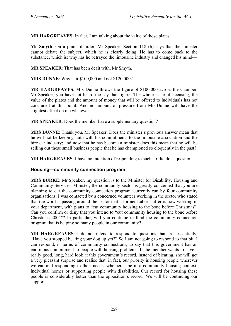**MR HARGREAVES**: In fact, I am talking about the value of those plates.

**Mr Smyth**: On a point of order, Mr Speaker. Section 118 (b) says that the minister cannot debate the subject, which he is clearly doing. He has to come back to the substance, which is: why has he betrayed the limousine industry and changed his mind—

**MR SPEAKER**: That has been dealt with, Mr Smyth.

**MRS DUNNE**: Why is it \$100,000 and not \$120,000?

**MR HARGREAVES**: Mrs Dunne throws the figure of \$100,000 across the chamber. Mr Speaker, you have not heard me say that figure. The whole issue of licensing, the value of the plates and the amount of money that will be offered to individuals has not concluded at this point. And no amount of pressure from Mrs Dunne will have the slightest effect on me whatever.

**MR SPEAKER:** Does the member have a supplementary question?

**MRS DUNNE**: Thank you, Mr Speaker. Does the minister's previous answer mean that he will not be keeping faith with his commitments to the limousine association and the hire car industry; and now that he has become a minister does this mean that he will be selling out these small business people that he has championed so eloquently in the past?

**MR HARGREAVES**: I have no intention of responding to such a ridiculous question.

#### **Housing—community connection program**

**MRS BURKE**: Mr Speaker, my question is to the Minister for Disability, Housing and Community Services. Minister, the community sector is greatly concerned that you are planning to cut the community connection program, currently run by four community organisations. I was contacted by a concerned volunteer working in the sector who stated that the word is passing around the sector that a former Labor staffer is now working in your department, with plans to "cut community housing to the bone before Christmas". Can you confirm or deny that you intend to "cut community housing to the bone before Christmas 2004"? In particular, will you continue to fund the community connection program that is helping so many people in our community?

**MR HARGREAVES**: I do not intend to respond to questions that are, essentially, "Have you stopped beating your dog up yet?" So I am not going to respond to that bit. I can respond, in terms of community connections, to say that this government has an enormous commitment to people with housing problems. If the member wants to have a really good, long, hard look at this government's record, instead of bleating, she will get a very pleasant surprise and realise that, in fact, our priority is housing people wherever we can and responding to their needs, whether it be in a community housing context, individual homes or supporting people with disabilities. Our record for housing these people is considerably better than the opposition's record. We will be continuing our support.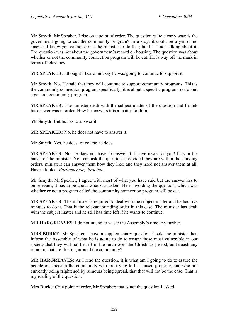**Mr Smyth**: Mr Speaker, I rise on a point of order. The question quite clearly was: is the government going to cut the community program? In a way, it could be a yes or no answer. I know you cannot direct the minister to do that; but he is not talking about it. The question was not about the government's record on housing. The question was about whether or not the community connection program will be cut. He is way off the mark in terms of relevancy.

**MR SPEAKER**: I thought I heard him say he was going to continue to support it.

**Mr Smyth**: No. He said that they will continue to support community programs. This is the community connection program specifically; it is about a specific program, not about a general community program.

**MR SPEAKER**: The minister dealt with the subject matter of the question and I think his answer was in order. How he answers it is a matter for him.

**Mr Smyth**: But he has to answer it.

**MR SPEAKER**: No, he does not have to answer it.

**Mr Smyth**: Yes, he does; of course he does.

**MR SPEAKER**: No, he does not have to answer it. I have news for you! It is in the hands of the minister. You can ask the questions: provided they are within the standing orders, ministers can answer them how they like; and they need not answer them at all. Have a look at *Parliamentary Practice*.

**Mr Smyth**: Mr Speaker, I agree with most of what you have said but the answer has to be relevant; it has to be about what was asked. He is avoiding the question, which was whether or not a program called the community connection program will be cut.

**MR SPEAKER**: The minister is required to deal with the subject matter and he has five minutes to do it. That is the relevant standing order in this case. The minister has dealt with the subject matter and he still has time left if he wants to continue.

**MR HARGREAVES**: I do not intend to waste the Assembly's time any further.

**MRS BURKE**: Mr Speaker, I have a supplementary question. Could the minister then inform the Assembly of what he is going to do to assure those most vulnerable in our society that they will not be left in the lurch over the Christmas period; and quash any rumours that are floating around the community?

**MR HARGREAVES**: As I read the question, it is what am I going to do to assure the people out there in the community who are trying to be housed properly, and who are currently being frightened by rumours being spread, that that will not be the case. That is my reading of the question.

**Mrs Burke**: On a point of order, Mr Speaker: that is not the question I asked.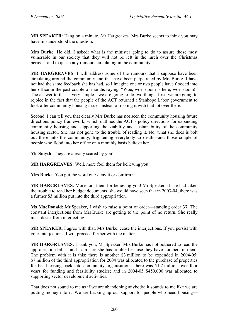**MR SPEAKER**: Hang on a minute, Mr Hargreaves. Mrs Burke seems to think you may have misunderstood the question.

**Mrs Burke**: He did. I asked: what is the minister going to do to assure those most vulnerable in our society that they will not be left in the lurch over the Christmas period—and to quash any rumours circulating in the community?

**MR HARGREAVES**: I will address some of the rumours that I suppose have been circulating around the community and that have been perpetrated by Mrs Burke. I have not had the same feedback she has had, so I imagine one or two people have flooded into her office in the past couple of months saying, "Woe, woe; doom is here; woe; doom!" The answer to that is very simple—we are going to do two things: first, we are going to rejoice in the fact that the people of the ACT returned a Stanhope Labor government to look after community housing issues instead of risking it with that lot over there.

Second, I can tell you that clearly Mrs Burke has not seen the community housing future directions policy framework, which outlines the ACT's policy directions for expanding community housing and supporting the viability and sustainability of the community housing sector. She has not gone to the trouble of reading it. No, what she does is bolt out there into the community, frightening everybody to death—and those couple of people who flood into her office on a monthly basis believe her.

**Mr Smyth**: They are already scared by you!

**MR HARGREAVES**: Well, more fool them for believing you!

**Mrs Burke**: You put the word out: deny it or confirm it.

**MR HARGREAVES**: More fool them for believing you! Mr Speaker, if she had taken the trouble to read her budget documents, she would have seen that in 2003-04, there was a further \$3 million put into the third appropriation.

**Ms MacDonald**: Mr Speaker, I wish to raise a point of order—standing order 37. The constant interjections from Mrs Burke are getting to the point of no return. She really must desist from interjecting.

**MR SPEAKER**: I agree with that. Mrs Burke: cease the interjections. If you persist with your interjections, I will proceed further with the matter.

**MR HARGREAVES**: Thank you, Mr Speaker. Mrs Burke has not bothered to read the appropriation bills—and I am sure she has trouble because they have numbers in them. The problem with it is this: there is another \$3 million to be expended in 2004-05; \$7 million of the third appropriation for 2004 was allocated to the purchase of properties for head-leasing back into community organisations; there was \$1.2 million over four years for funding and feasibility studies; and in 2004-05 \$450,000 was allocated to supporting sector development activities.

That does not sound to me as if we are abandoning anybody; it sounds to me like we are putting money into it. We are backing up our support for people who need housing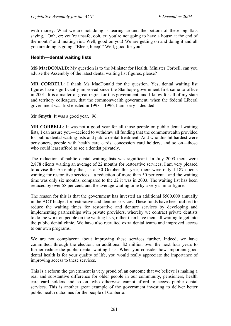with money. What we are not doing is tearing around the bottom of these big flats saying, "Ooh, er: you're unsafe; ooh, er: you're not going to have a house at the end of the month" and inciting riot. Well, good on you! We are getting on and doing it and all you are doing is going, "Bleep, bleep!" Well, good for you!

### **Health—dental waiting lists**

**MS MacDONALD**: My question is to the Minister for Health. Minister Corbell, can you advise the Assembly of the latest dental waiting list figures, please?

**MR CORBELL**: I thank Ms MacDonald for the question. Yes, dental waiting list figures have significantly improved since the Stanhope government first came to office in 2001. It is a matter of great regret for this government, and I know for all of my state and territory colleagues, that the commonwealth government, when the federal Liberal government was first elected in 1998—1996, I am sorry—decided—

**Mr Smyth**: It was a good year, '96.

**MR CORBELL**: It was not a good year for all those people on public dental waiting lists, I can assure you—decided to withdraw all funding that the commonwealth provided for public dental waiting lists and public dental treatment. And who this hit hardest were pensioners, people with health care cards, concession card holders, and so on—those who could least afford to see a dentist privately.

The reduction of public dental waiting lists was significant. In July 2003 there were 2,878 clients waiting an average of 22 months for restorative services. I am very pleased to advise the Assembly that, as at 30 October this year, there were only 1,187 clients waiting for restorative services—a reduction of more than 50 per cent—and the waiting time was only six months, compared to the 22 it was in 2003. The waiting list has been reduced by over 58 per cent, and the average waiting time by a very similar figure.

The reason for this is that the government has invested an additional \$500,000 annually in the ACT budget for restorative and denture services. These funds have been utilised to reduce the waiting times for restorative and denture services by developing and implementing partnerships with private providers, whereby we contract private dentists to do the work on people on the waiting lists, rather than have them all waiting to get into the public dental clinic. We have also recruited extra dental teams and improved access to our own programs.

We are not complacent about improving these services further. Indeed, we have committed, through the election, an additional \$2 million over the next four years to further reduce the public dental waiting lists. When you consider how important good dental health is for your quality of life, you would really appreciate the importance of improving access to these services.

This is a reform the government is very proud of, an outcome that we believe is making a real and substantive difference for older people in our community, pensioners, health care card holders and so on, who otherwise cannot afford to access public dental services. This is another great example of the government investing to deliver better public health outcomes for the people of Canberra.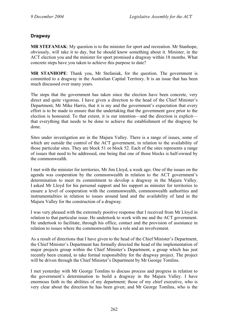## **Dragway**

**MR STEFANIAK**: My question is to the minister for sport and recreation. Mr Stanhope, obviously, will take it to day, but he should know something about it. Minister, in the ACT election you and the minister for sport promised a dragway within 18 months. What concrete steps have you taken to achieve this purpose to date?

**MR STANHOPE**: Thank you, Mr Stefaniak, for the question. The government is committed to a dragway in the Australian Capital Territory. It is an issue that has been much discussed over many years.

The steps that the government has taken since the election have been concrete, very direct and quite vigorous. I have given a direction to the head of the Chief Minister's Department, Mr Mike Harris, that it is my and the government's expectation that every effort is to be made to ensure that the undertaking that the government gave prior to the election is honoured. To that extent, it is our intention—and the direction is explicit that everything that needs to be done to achieve the establishment of the dragway be done.

Sites under investigation are in the Majura Valley. There is a range of issues, some of which are outside the control of the ACT government, in relation to the availability of those particular sites. They are block 51 or block 52. Each of the sites represents a range of issues that need to be addressed, one being that one of those blocks is half-owned by the commonwealth.

I met with the minister for territories, Mr Jim Lloyd, a week ago. One of the issues on the agenda was cooperation by the commonwealth in relation to the ACT government's determination to meet its commitment to develop a dragway in the Majura Valley. I asked Mr Lloyd for his personal support and his support as minister for territories to ensure a level of cooperation with the commonwealth, commonwealth authorities and instrumentalities in relation to issues around land and the availability of land in the Majura Valley for the construction of a dragway.

I was very pleased with the extremely positive response that I received from Mr Lloyd in relation to that particular issue. He undertook to work with me and the ACT government. He undertook to facilitate, through his office, contact and the provision of assistance in relation to issues where the commonwealth has a role and an involvement.

As a result of directions that I have given to the head of the Chief Minister's Department, the Chief Minister's Department has formally directed the head of the implementation of major projects group within the Chief Minister's Department, a group which has just recently been created, to take formal responsibility for the dragway project. The project will be driven through the Chief Minister's Department by Mr George Tomlins.

I met yesterday with Mr George Tomlins to discuss process and progress in relation to the government's determination to build a dragway in the Majura Valley. I have enormous faith in the abilities of my department; those of my chief executive, who is very clear about the direction he has been given; and Mr George Tomlins, who is the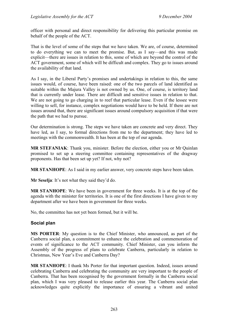officer with personal and direct responsibility for delivering this particular promise on behalf of the people of the ACT.

That is the level of some of the steps that we have taken. We are, of course, determined to do everything we can to meet the promise. But, as I say—and this was made explicit—there are issues in relation to this, some of which are beyond the control of the ACT government, some of which will be difficult and complex. They go to issues around the availability of that land.

As I say, in the Liberal Party's promises and undertakings in relation to this, the same issues would, of course, have been raised: one of the two parcels of land identified as suitable within the Majura Valley is not owned by us. One, of course, is territory land that is currently under lease. There are difficult and sensitive issues in relation to that. We are not going to go charging in to reef that particular lease. Even if the lessee were willing to sell, for instance, complex negotiations would have to be held. If there are not issues around that, there are significant issues around compulsory acquisition if that were the path that we had to pursue.

Our determination is strong. The steps we have taken are concrete and very direct. They have led, as I say, to formal directions from me to the department; they have led to meetings with the commonwealth. It has been at the top of our agenda.

**MR STEFANIAK**: Thank you, minister. Before the election, either you or Mr Quinlan promised to set up a steering committee containing representatives of the dragway proponents. Has that been set up yet? If not, why not?

**MR STANHOPE**: As I said in my earlier answer, very concrete steps have been taken.

**Mr Seselja**: It's not what they said they'd do.

**MR STANHOPE**: We have been in government for three weeks. It is at the top of the agenda with the minister for territories. It is one of the first directions I have given to my department after we have been in government for three weeks.

No, the committee has not yet been formed, but it will be.

### **Social plan**

**MS PORTER**: My question is to the Chief Minister, who announced, as part of the Canberra social plan, a commitment to enhance the celebration and commemoration of events of significance to the ACT community. Chief Minister, can you inform the Assembly of the progress of plans to celebrate Canberra, particularly in relation to Christmas, New Year's Eve and Canberra Day?

**MR STANHOPE**: I thank Ms Porter for that important question. Indeed, issues around celebrating Canberra and celebrating the community are very important to the people of Canberra. That has been recognised by the government formally in the Canberra social plan, which I was very pleased to release earlier this year. The Canberra social plan acknowledges quite explicitly the importance of ensuring a vibrant and united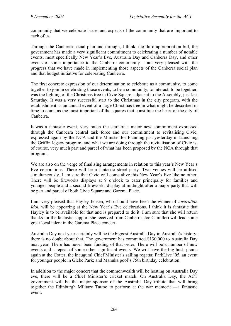community that we celebrate issues and aspects of the community that are important to each of us.

Through the Canberra social plan and through, I think, the third appropriation bill, the government has made a very significant commitment to celebrating a number of notable events, most specifically New Year's Eve, Australia Day and Canberra Day, and other events of some importance to the Canberra community. I am very pleased with the progress that we have made in implementing those aspects of the Canberra social plan and that budget initiative for celebrating Canberra.

The first concrete expression of our determination to celebrate as a community, to come together to join in celebrating those events, to be a community, to interact, to be together, was the lighting of the Christmas tree in Civic Square, adjacent to the Assembly, just last Saturday. It was a very successful start to the Christmas in the city program, with the establishment as an annual event of a large Christmas tree in what might be described in time to come as the most important of the squares that constitute the heart of the city of Canberra.

It was a fantastic event, very much the start of a major new commitment expressed through the Canberra central task force and our commitment to revitalising Civic, expressed again by the NCA and the Minister for Planning just yesterday in launching the Griffin legacy program, and what we are doing through the revitalisation of Civic is, of course, very much part and parcel of what has been proposed by the NCA through that program.

We are also on the verge of finalising arrangements in relation to this year's New Year's Eve celebrations. There will be a fantastic street party. Two venues will be utilised simultaneously. I am sure that Civic will come alive this New Year's Eve like no other. There will be fireworks displays at 9 o'clock to cater principally for families and younger people and a second fireworks display at midnight after a major party that will be part and parcel of both Civic Square and Garema Place.

I am very pleased that Hayley Jensen, who should have been the winner of *Australian Idol*, will be appearing at the New Year's Eve celebrations. I think it is fantastic that Hayley is to be available for that and is prepared to do it. I am sure that she will return thanks for the fantastic support she received from Canberra. Joe Camilleri will lead some great local talent in the Garema Place concert.

Australia Day next year certainly will be the biggest Australia Day in Australia's history; there is no doubt about that. The government has committed \$130,000 to Australia Day next year. There has never been funding of that order. There will be a number of new events and a repeat of some other significant events. We will have the big bush picnic again at the Cotter; the inaugural Chief Minister's sailing regatta; ParkLive '05, an event for younger people in Glebe Park; and Manuka pool's 75th birthday celebration.

In addition to the major concert that the commonwealth will be hosting on Australia Day eve, there will be a Chief Minister's cricket match. On Australia Day, the ACT government will be the major sponsor of the Australia Day tribute that will bring together the Edinburgh Military Tattoo to perform at the war memorial—a fantastic event.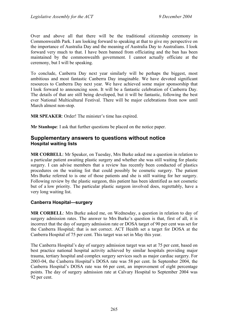Over and above all that there will be the traditional citizenship ceremony in Commonwealth Park. I am looking forward to speaking at that to give my perspective on the importance of Australia Day and the meaning of Australia Day to Australians. I look forward very much to that. I have been banned from officiating and the ban has been maintained by the commonwealth government. I cannot actually officiate at the ceremony, but I will be speaking.

To conclude, Canberra Day next year similarly will be perhaps the biggest, most ambitious and most fantastic Canberra Day imaginable. We have devoted significant resources to Canberra Day next year. We have achieved some major sponsorship that I look forward to announcing soon. It will be a fantastic celebration of Canberra Day. The details of that are still being developed, but it will be fantastic, following the best ever National Multicultural Festival. There will be major celebrations from now until March almost non-stop.

**MR SPEAKER**: Order! The minister's time has expired.

**Mr Stanhope**: I ask that further questions be placed on the notice paper.

### **Supplementary answers to questions without notice Hospital waiting lists**

**MR CORBELL**: Mr Speaker, on Tuesday, Mrs Burke asked me a question in relation to a particular patient awaiting plastic surgery and whether she was still waiting for plastic surgery. I can advise members that a review has recently been conducted of plastics procedures on the waiting list that could possibly be cosmetic surgery. The patient Mrs Burke referred to is one of those patients and she is still waiting for her surgery. Following review by the plastic surgeon, this patient has been identified as not cosmetic but of a low priority. The particular plastic surgeon involved does, regrettably, have a very long waiting list.

### **Canberra Hospital—surgery**

**MR CORBELL**: Mrs Burke asked me, on Wednesday, a question in relation to day of surgery admission rates. The answer to Mrs Burke's question is that, first of all, it is incorrect that the day of surgery admission rate or DOSA target of 90 per cent was set for the Canberra Hospital; that is not correct. ACT Health set a target for DOSA at the Canberra Hospital of 75 per cent. This target was set in May this year.

The Canberra Hospital's day of surgery admission target was set at 75 per cent, based on best practice national hospital activity achieved by similar hospitals providing major trauma, tertiary hospital and complex surgery services such as major cardiac surgery. For 2003-04, the Canberra Hospital's DOSA rate was 58 per cent. In September 2004, the Canberra Hospital's DOSA rate was 66 per cent, an improvement of eight percentage points. The day of surgery admission rate at Calvary Hospital to September 2004 was 92 per cent.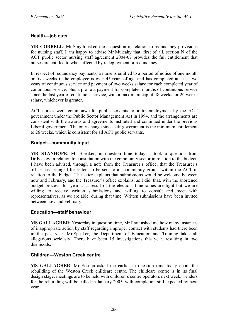### **Health—job cuts**

**MR CORBELL**: Mr Smyth asked me a question in relation to redundancy provisions for nursing staff. I am happy to advise Mr Mulcahy that, first of all, section N of the ACT public sector nursing staff agreement 2004-07 provides the full entitlement that nurses are entitled to when affected by redeployment or redundancy.

In respect of redundancy payments, a nurse is entitled to a period of notice of one month or five weeks if the employee is over 45 years of age and has completed at least two years of continuous service and payment of two weeks salary for each completed year of continuous service, plus a pro rata payment for completed months of continuous service since the last year of continuous service, with a maximum cap of 48 weeks, or 26 weeks salary, whichever is greater.

ACT nurses were commonwealth public servants prior to employment by the ACT government under the Public Sector Management Act in 1994, and the arrangements are consistent with the awards and agreements instituted and continued under the previous Liberal government. The only change since self-government is the minimum entitlement to 26 weeks, which is consistent for all ACT public servants.

### **Budget—community input**

**MR STANHOPE**: Mr Speaker, in question time today, I took a question from Dr Foskey in relation to consultation with the community sector in relation to the budget. I have been advised, through a note from the Treasurer's office, that the Treasurer's office has arranged for letters to be sent to all community groups within the ACT in relation to the budget. The letter explains that submissions would be welcome between now and February, and the Treasurer's office explains, as I did, that, with the shortened budget process this year as a result of the election, timeframes are tight but we are willing to receive written submissions and willing to consult and meet with representatives, as we are able, during that time. Written submissions have been invited between now and February.

### **Education—staff behaviour**

**MS GALLAGHER**: Yesterday in question time, Mr Pratt asked me how many instances of inappropriate action by staff regarding improper contact with students had there been in the past year. Mr Speaker, the Department of Education and Training takes all allegations seriously. There have been 15 investigations this year, resulting in two dismissals.

### **Children—Weston Creek centre**

**MS GALLAGHER**: Mr Seselja asked me earlier in question time today about the rebuilding of the Weston Creek childcare centre. The childcare centre is in its final design stage; meetings are to be held with children's centre operators next week. Tenders for the rebuilding will be called in January 2005, with completion still expected by next year.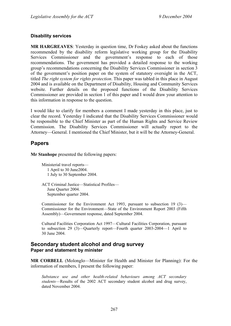#### **Disability services**

**MR HARGREAVES**: Yesterday in question time, Dr Foskey asked about the functions recommended by the disability reform legislative working group for the Disability Services Commissioner and the government's response to each of those recommendations. The government has provided a detailed response to the working group's recommendations concerning the Disability Services Commissioner in section 3 of the government's position paper on the system of statutory oversight in the ACT, titled *The right system for rights protection*. This paper was tabled in this place in August 2004 and is available on the Department of Disability, Housing and Community Services website. Further details on the proposed functions of the Disability Services Commissioner are provided in section 1 of this paper and I would draw your attention to this information in response to the question.

I would like to clarify for members a comment I made yesterday in this place, just to clear the record. Yesterday I indicated that the Disability Services Commissioner would be responsible to the Chief Minister as part of the Human Rights and Service Review Commission. The Disability Services Commissioner will actually report to the Attorney—General. I mentioned the Chief Minister, but it will be the Attorney-General.

# **Papers**

**Mr Stanhope** presented the following papers:

Ministerial travel reports— 1 April to 30 June2004. 1 July to 30 September 2004.

ACT Criminal Justice—Statistical Profiles— June Quarter 2004. September quarter 2004.

Commissioner for the Environment Act 1993, pursuant to subsection 19  $(3)$ — Commissioner for the Environment—State of the Environment Report 2003 (Fifth Assembly)—Government response, dated September 2004.

Cultural Facilities Corporation Act 1997—Cultural Facilities Corporation, pursuant to subsection 29 (3)—Quarterly report—Fourth quarter 2003-2004—1 April to 30 June 2004.

### **Secondary student alcohol and drug survey Paper and statement by minister**

**MR CORBELL** (Molonglo—Minister for Health and Minister for Planning): For the information of members, I present the following paper:

*Substance use and other health-related behaviours among ACT secondary students*—Results of the 2002 ACT secondary student alcohol and drug survey, dated November 2004.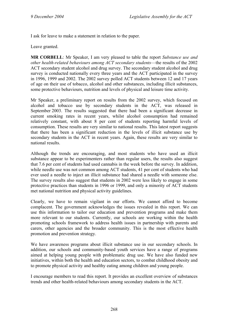I ask for leave to make a statement in relation to the paper.

Leave granted.

**MR CORBELL**: Mr Speaker, I am very pleased to table the report *Substance use and other health-related behaviours among ACT secondary students*—the results of the 2002 ACT secondary student alcohol and drug survey. The secondary student alcohol and drug survey is conducted nationally every three years and the ACT participated in the survey in 1996, 1999 and 2002. The 2002 survey polled ACT students between 12 and 17 years of age on their use of tobacco, alcohol and other substances, including illicit substances, some protective behaviours, nutrition and levels of physical and leisure time activity.

Mr Speaker, a preliminary report on results from the 2002 survey, which focused on alcohol and tobacco use by secondary students in the ACT, was released in September 2003. The results suggested that there had been a significant decrease in current smoking rates in recent years, whilst alcohol consumption had remained relatively constant, with about 8 per cent of students reporting harmful levels of consumption. These results are very similar to national results. This latest report suggests that there has been a significant reduction in the levels of illicit substance use by secondary students in the ACT in recent years. Again, these results are very similar to national results.

Although the trends are encouraging, and most students who have used an illicit substance appear to be experimenters rather than regular users, the results also suggest that 7.6 per cent of students had used cannabis in the week before the survey. In addition, while needle use was not common among ACT students, 41 per cent of students who had ever used a needle to inject an illicit substance had shared a needle with someone else. The survey results also suggest that students in 2002 were less likely to engage in some protective practices than students in 1996 or 1999, and only a minority of ACT students met national nutrition and physical activity guidelines.

Clearly, we have to remain vigilant in our efforts. We cannot afford to become complacent. The government acknowledges the issues revealed in this report. We can use this information to tailor our education and prevention programs and make them more relevant to our students. Currently, our schools are working within the health promoting schools framework to address health issues in partnership with parents and carers, other agencies and the broader community. This is the most effective health promotion and prevention strategy.

We have awareness programs about illicit substance use in our secondary schools. In addition, our schools and community-based youth services have a range of programs aimed at helping young people with problematic drug use. We have also funded new initiatives, within both the health and education sectors, to combat childhood obesity and to promote physical activity and healthy eating among children and young people.

I encourage members to read this report. It provides an excellent overview of substances trends and other health-related behaviours among secondary students in the ACT.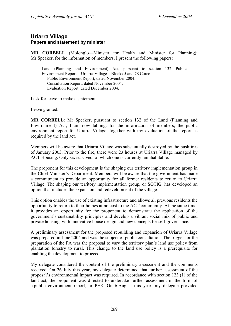## **Uriarra Village Papers and statement by minister**

**MR CORBELL** (Molonglo—Minister for Health and Minister for Planning): Mr Speaker, for the information of members, I present the following papers:

Land (Planning and Environment) Act, pursuant to section 132—Public Environment Report—Uriarra Village—Blocks 5 and 78 Coree— Public Environment Report, dated November 2004. Consultation Report, dated November 2004. Evaluation Report, dated December 2004.

I ask for leave to make a statement.

Leave granted.

**MR CORBELL**: Mr Speaker, pursuant to section 132 of the Land (Planning and Environment) Act, I am now tabling, for the information of members, the public environment report for Uriarra Village, together with my evaluation of the report as required by the land act.

Members will be aware that Uriarra Village was substantially destroyed by the bushfires of January 2003. Prior to the fire, there were 23 houses at Uriarra Village managed by ACT Housing. Only six survived, of which one is currently uninhabitable.

The proponent for this development is the shaping our territory implementation group in the Chief Minister's Department. Members will be aware that the government has made a commitment to provide an opportunity for all former residents to return to Uriarra Village. The shaping our territory implementation group, or SOTIG, has developed an option that includes the expansion and redevelopment of the village.

This option enables the use of existing infrastructure and allows all previous residents the opportunity to return to their homes at no cost to the ACT community. At the same time, it provides an opportunity for the proponent to demonstrate the application of the government's sustainability principles and develop a vibrant social mix of public and private housing, with innovative house design and new concepts for self-governance.

A preliminary assessment for the proposed rebuilding and expansion of Uriarra Village was prepared in June 2004 and was the subject of public consultation. The trigger for the preparation of the PA was the proposal to vary the territory plan's land use policy from plantation forestry to rural. This change to the land use policy is a prerequisite for enabling the development to proceed.

My delegate considered the content of the preliminary assessment and the comments received. On 26 July this year, my delegate determined that further assessment of the proposal's environmental impact was required. In accordance with section 123 (1) of the land act, the proponent was directed to undertake further assessment in the form of a public environment report, or PER. On 6 August this year, my delegate provided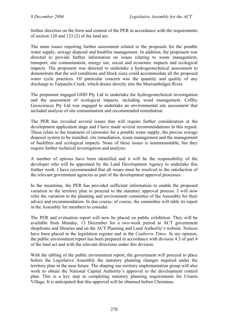further direction on the form and content of the PER in accordance with the requirements of section 120 and 123 (2) of the land act.

The main issues requiring further assessment related to the proposals for the potable water supply, sewage disposal and bushfire management. In addition, the proponent was directed to provide further information on issues relating to waste management, transport, site contamination, energy use, social and economic impacts and ecological impacts. The proponent was directed to undertake a hydrogeotechnical assessment to demonstrate that the soil conditions and block sizes could accommodate all the proposed water cycle practices. Of particular concern was the quantity and quality of any discharge to Tarpaulin Creek, which drains directly into the Murrumbidgee River.

The proponent engaged GHD Pty Ltd to undertake the hydrogeotechnical investigation and the assessment of ecological impacts, including weed management. Coffey Geosciences Pty Ltd was engaged to undertake an environmental site assessment that included analysis of site contamination and recommended remediation.

The PER has revealed several issues that will require further consideration at the development application stage and I have made several recommendations in this regard. These relate to the treatment of rainwater for a potable water supply, the precise sewage disposal system to be installed, site remediation, waste management and the management of bushfires and ecological impacts. None of these issues is insurmountable, but they require further technical investigation and analysis.

A number of options have been identified and it will be the responsibility of the developer who will be appointed by the Land Development Agency to undertake this further work. I have recommended that all issues must be resolved to the satisfaction of the relevant government agencies as part of the development approval processes.

In the meantime, the PER has provided sufficient information to enable the proposed variation to the territory plan to proceed to the statutory approval process. I will now refer the variation to the planning and environment committee of the Assembly for their advice and recommendation. In due course, of course, the committee will table its report in the Assembly for members to consider.

The PER and evaluation report will now be placed on public exhibition. They will be available from Monday, 13 December for a two-week period at ACT government shopfronts and libraries and on the ACT Planning and Land Authority's website. Notices have been placed in the legislation register and in the *Canberra Times*. In my opinion, the public environment report has been prepared in accordance with division 4.3 of part 4 of the land act and with the relevant directions under this division.

With the tabling of the public environment report, the government will proceed to place before the Legislative Assembly the statutory planning changes required under the territory plan in the near future. The shaping our territory implementation group will also work to obtain the National Capital Authority's approval to the development control plan. This is a key step in completing statutory planning requirements for Uriarra Village. It is anticipated that this approval will be obtained before Christmas.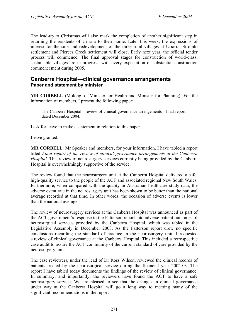The lead-up to Christmas will also mark the completion of another significant step in returning the residents of Uriarra to their home. Later this week, the expressions of interest for the sale and redevelopment of the three rural villages at Uriarra, Stromlo settlement and Pierces Creek settlement will close. Early next year, the official tender process will commence. The final approval stages for construction of world-class, sustainable villages are in progress, with every expectation of substantial construction commencement during 2005.

### **Canberra Hospital—clinical governance arrangements Paper and statement by minister**

**MR CORBELL** (Molonglo—Minister for Health and Minister for Planning): For the information of members, I present the following paper:

The Canberra Hospital—review of clinical governance arrangements—final report, dated December 2004.

I ask for leave to make a statement in relation to this paper.

Leave granted.

**MR CORBELL**: Mr Speaker and members, for your information, I have tabled a report titled *Final report of the review of clinical governance arrangements at the Canberra Hospital*. This review of neurosurgery services currently being provided by the Canberra Hospital is overwhelmingly supportive of the service.

The review found that the neurosurgery unit at the Canberra Hospital delivered a safe, high-quality service to the people of the ACT and associated regional New South Wales. Furthermore, when compared with the quality in Australian healthcare study data, the adverse event rate in the neurosurgery unit has been shown to be better than the national average recorded at that time. In other words, the occasion of adverse events is lower than the national average.

The review of neurosurgery services at the Canberra Hospital was announced as part of the ACT government's response to the Patterson report into adverse patient outcomes of neurosurgical services provided by the Canberra Hospital, which was tabled in the Legislative Assembly in December 2003. As the Patterson report drew no specific conclusions regarding the standard of practice in the neurosurgery unit, I requested a review of clinical governance at the Canberra Hospital. This included a retrospective case audit to assure the ACT community of the current standard of care provided by the neurosurgery unit.

The case reviewers, under the lead of Dr Ross Wilson, reviewed the clinical records of patients treated by the neurosurgical service during the financial year 2002-03. The report I have tabled today documents the findings of the review of clinical governance. In summary, and importantly, the reviewers have found the ACT to have a safe neurosurgery service. We are pleased to see that the changes in clinical governance under way at the Canberra Hospital will go a long way to meeting many of the significant recommendations in the report.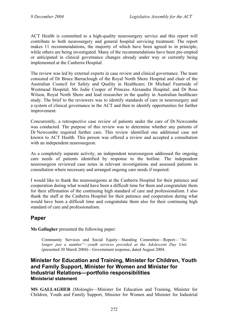ACT Health is committed to a high-quality neurosurgery service and this report will contribute to both neurosurgery and general hospital servicing treatment. The report makes 11 recommendations, the majority of which have been agreed to in principle, while others are being investigated. Many of the recommendations have been pre-empted or anticipated in clinical governance changes already under way or currently being implemented at the Canberra Hospital.

The review was led by external experts in case review and clinical governance. The team consisted of Dr Bruce Barraclough of the Royal North Shore Hospital and chair of the Australian Council for Safety and Quality in Healthcare; Dr Michael Fearnside of Westmead Hospital; Ms Jodie Cooper of Princess Alexandra Hospital; and Dr Ross Wilson, Royal North Shore and lead researcher in the quality in Australian healthcare study. The brief to the reviewers was to identify standards of care in neurosurgery and a system of clinical governance in the ACT and then to identify opportunities for further improvement.

Concurrently, a retrospective case review of patients under the care of Dr Newcombe was conducted. The purpose of this review was to determine whether any patients of Dr Newcombe required further care. This review identified one additional case not known to ACT Health. This person was offered a review and accepted a consultation with an independent neurosurgeon.

As a completely separate activity, an independent neurosurgeon addressed the ongoing care needs of patients identified by response to the hotline. The independent neurosurgeon reviewed case notes in relevant investigations and assessed patients in consultation where necessary and arranged ongoing care needs if required.

I would like to thank the neurosurgeons at the Canberra Hospital for their patience and cooperation during what would have been a difficult time for them and congratulate them for their affirmation of the continuing high standard of care and professionalism. I also thank the staff at the Canberra Hospital for their patience and cooperation during what would have been a difficult time and congratulate them also for their continuing high standard of care and professionalism.

# **Paper**

**Ms Gallagher** presented the following paper:

Community Services and Social Equity—Standing Committee—Report—*"No longer just a number*"—youth services provided at the Adolescent Day Unit (presented 30 March 2004)—Government response, dated August 2004.

# **Minister for Education and Training, Minister for Children, Youth and Family Support, Minister for Women and Minister for Industrial Relations—portfolio responsibilities Ministerial statement**

**MS GALLAGHER** (Molonglo—Minister for Education and Training, Minister for Children, Youth and Family Support, Minister for Women and Minister for Industrial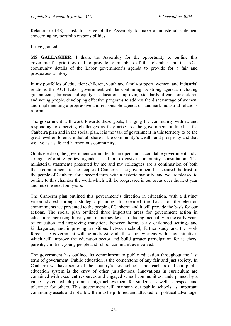Relations) (3.48): I ask for leave of the Assembly to make a ministerial statement concerning my portfolio responsibilities.

Leave granted.

**MS GALLAGHER**: I thank the Assembly for the opportunity to outline this government's priorities and to provide to members of this chamber and the ACT community details of the Labor government's agenda to provide for a fair and prosperous territory.

In my portfolios of education; children, youth and family support, women, and industrial relations the ACT Labor government will be continuing its strong agenda, including guaranteeing fairness and equity in education, improving standards of care for children and young people, developing effective programs to address the disadvantage of women, and implementing a progressive and responsible agenda of landmark industrial relations reform.

The government will work towards these goals, bringing the community with it, and responding to emerging challenges as they arise. As the government outlined in the Canberra plan and in the social plan, it is the task of government in this territory to be the great leveller, to ensure that all share in the community's wealth and prosperity and that we live as a safe and harmonious community.

On its election, the government committed to an open and accountable government and a strong, reforming policy agenda based on extensive community consultation. The ministerial statements presented by me and my colleagues are a continuation of both those commitments to the people of Canberra. The government has secured the trust of the people of Canberra for a second term, with a historic majority, and we are pleased to outline to this chamber the work which will be progressed in our areas over the next year and into the next four years.

The Canberra plan outlined this government's direction in education, with a distinct vision shaped through strategic planning. It provided the basis for the election commitments we presented to the people of Canberra and it will provide the basis for our actions. The social plan outlined three important areas for government action in education: increasing literacy and numeracy levels; reducing inequality in the early years of education and improving transitions between home, early childhood settings and kindergarten; and improving transitions between school, further study and the work force. The government will be addressing all these policy areas with new initiatives which will improve the education sector and build greater participation for teachers, parents, children, young people and school communities involved.

The government has outlined its commitment to public education throughout the last term of government. Public education is the cornerstone of any fair and just society. In Canberra we have some of the country's best schools and teachers and our public education system is the envy of other jurisdictions. Innovations in curriculum are combined with excellent resources and engaged school communities, underpinned by a values system which promotes high achievement for students as well as respect and tolerance for others. This government will maintain our public schools as important community assets and not allow them to be pilloried and attacked for political advantage.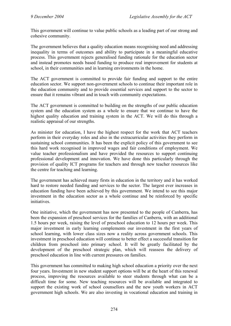This government will continue to value public schools as a leading part of our strong and cohesive community.

The government believes that a quality education means recognising need and addressing inequality in terms of outcomes and ability to participate in a meaningful educative process. This government rejects generalised funding rationale for the education sector and instead promotes needs based funding to produce real improvement for students at school, in their communities and in learning environments in the home.

The ACT government is committed to provide fair funding and support to the entire education sector. We support non-government schools to continue their important role in the education community and to provide essential services and support to the sector to ensure that it remains vibrant and in touch with community expectations.

The ACT government is committed to building on the strengths of our public education system and the education system as a whole to ensure that we continue to have the highest quality education and training system in the ACT. We will do this through a realistic appraisal of our strengths.

As minister for education, I have the highest respect for the work that ACT teachers perform in their everyday roles and also in the extracurricular activities they perform in sustaining school communities. It has been the explicit policy of this government to see this hard work recognised in improved wages and fair conditions of employment. We value teacher professionalism and have provided the resources to support continuing professional development and innovation. We have done this particularly through the provision of quality ICT programs for teachers and through new teacher resources like the centre for teaching and learning.

The government has achieved many firsts in education in the territory and it has worked hard to restore needed funding and services to the sector. The largest ever increases in education funding have been achieved by this government. We intend to see this major investment in the education sector as a whole continue and be reinforced by specific initiatives.

One initiative, which the government has now presented to the people of Canberra, has been the expansion of preschool services for the families of Canberra, with an additional 1.5 hours per week, raising the level of preschool education to 12 hours per week. This major investment in early learning complements our investment in the first years of school learning, with lower class sizes now a reality across government schools. This investment in preschool education will continue to better effect a successful transition for children from preschool into primary school. It will be greatly facilitated by the development of the preschool strategic plan, which will reassess the delivery of preschool education in line with current pressures on families.

This government has committed to making high school education a priority over the next four years. Investment in new student support options will be at the heart of this renewal process, improving the resources available to steer students through what can be a difficult time for some. New teaching resources will be available and integrated to support the existing work of school counsellors and the new youth workers in ACT government high schools. We are also investing in vocational education and training in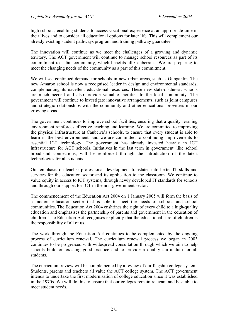high schools, enabling students to access vocational experience at an appropriate time in their lives and to consider all educational options for later life. This will complement our already existing student pathways program and training pathway guarantee.

The innovation will continue as we meet the challenges of a growing and dynamic territory. The ACT government will continue to manage school resources as part of its commitment to a fair community, which benefits all Canberrans. We are preparing to meet the changing needs of the community as a part of this commitment.

We will see continued demand for schools in new urban areas, such as Gungahlin. The new Amaroo school is now a recognised leader in design and environmental standards, complementing its excellent educational resources. These new state-of-the-art schools are much needed and also provide valuable facilities to the local community. The government will continue to investigate innovative arrangements, such as joint campuses and strategic relationships with the community and other educational providers in our growing areas.

The government continues to improve school facilities, ensuring that a quality learning environment reinforces effective teaching and learning. We are committed to improving the physical infrastructure at Canberra's schools, to ensure that every student is able to learn in the best environment, and we are committed to continuing improvements to essential ICT technology. The government has already invested heavily in ICT infrastructure for ACT schools. Initiatives in the last term in government, like school broadband connections, will be reinforced through the introduction of the latest technologies for all students.

Our emphasis on teacher professional development translates into better IT skills and services for the education sector and its application to the classroom. We continue to value equity in access to ICT systems, through newly developed IT standards for schools and through our support for ICT in the non-government sector.

The commencement of the Education Act 2004 on 1 January 2005 will form the basis of a modern education sector that is able to meet the needs of schools and school communities. The Education Act 2004 enshrines the right of every child to a high-quality education and emphasises the partnership of parents and government in the education of children. The Education Act recognises explicitly that the educational care of children is the responsibility of all of us.

The work through the Education Act continues to be complemented by the ongoing process of curriculum renewal. The curriculum renewal process we began in 2003 continues to be progressed with widespread consultation through which we aim to help schools build on existing good practice and to provide a quality curriculum for all students.

The curriculum review will be complemented by a review of our flagship college system. Students, parents and teachers all value the ACT college system. The ACT government intends to undertake the first modernisation of college education since it was established in the 1970s. We will do this to ensure that our colleges remain relevant and best able to meet student needs.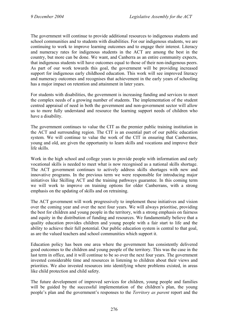The government will continue to provide additional resources to indigenous students and school communities and to students with disabilities. For our indigenous students, we are continuing to work to improve learning outcomes and to engage their interest. Literacy and numeracy rates for indigenous students in the ACT are among the best in the country, but more can be done. We want, and Canberra as an entire community expects, that indigenous students will have outcomes equal to those of their non-indigenous peers. As part of our work towards this goal, the government will be providing increased support for indigenous early childhood education. This work will see improved literacy and numeracy outcomes and recognises that achievement in the early years of schooling has a major impact on retention and attainment in later years.

For students with disabilities, the government is increasing funding and services to meet the complex needs of a growing number of students. The implementation of the student centred appraisal of need in both the government and non-government sector will allow us to more fully understand and resource the learning support needs of children who have a disability.

The government continues to value the CIT as the premier public training institution in the ACT and surrounding region. The CIT is an essential part of our public education system. We will continue to value the work of the CIT in ensuring that Canberrans, young and old, are given the opportunity to learn skills and vocations and improve their life skills.

Work in the high school and college years to provide people with information and early vocational skills is needed to meet what is now recognised as a national skills shortage. The ACT government continues to actively address skills shortages with new and innovative programs. In the previous term we were responsible for introducing major initiatives like Skilling ACT and the training pathways guarantee. In this coming term we will work to improve on training options for older Canberrans, with a strong emphasis on the updating of skills and on retraining.

The ACT government will work progressively to implement these initiatives and vision over the coming year and over the next four years. We will always prioritise, providing the best for children and young people in the territory, with a strong emphasis on fairness and equity in the distribution of funding and resources. We fundamentally believe that a quality education provides children and young people with a fair start to life and the ability to achieve their full potential. Our public education system is central to that goal, as are the valued teachers and school communities which support it.

Education policy has been one area where the government has consistently delivered good outcomes to the children and young people of the territory. This was the case in the last term in office, and it will continue to be so over the next four years. The government invested considerable time and resources in listening to children about their views and priorities. We also invested resources into identifying where problems existed, in areas like child protection and child safety.

The future development of improved services for children, young people and families will be guided by the successful implementation of the children's plan, the young people's plan and the government's responses to the *Territory as parent* report and the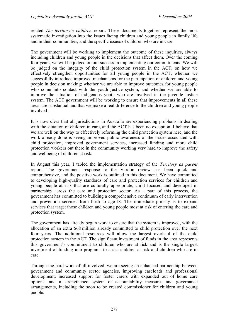related *The territory's children* report. These documents together represent the most systematic investigation into the issues facing children and young people in family life and in their communities, and the specific issues of children who are in care.

The government will be working to implement the outcome of these inquiries, always including children and young people in the decisions that affect them. Over the coming four years, we will be judged on our success in implementing our commitments. We will be judged on the integrity of the child protection system in the ACT, on how we effectively strengthen opportunities for all young people in the ACT; whether we successfully introduce improved mechanisms for the participation of children and young people in decision making; whether we are able to improve outcomes for young people who come into contact with the youth justice system; and whether we are able to improve the situation of indigenous youth who are involved in the juvenile justice system. The ACT government will be working to ensure that improvements in all these areas are substantial and that we make a real difference to the children and young people involved.

It is now clear that all jurisdictions in Australia are experiencing problems in dealing with the situation of children in care, and the ACT has been no exception. I believe that we are well on the way to effectively reforming the child protection system here, and the work already done is seeing improved public awareness of the issues associated with child protection, improved government services, increased funding and more child protection workers out there in the community working very hard to improve the safety and wellbeing of children at risk.

In August this year, I tabled the implementation strategy of the *Territory as parent* report. The government response to the Vardon review has been quick and comprehensive, and the positive work is outlined in this document. We have committed to developing high-quality standards of care and protection services for children and young people at risk that are culturally appropriate, child focused and developed in partnership across the care and protection sector. As a part of this process, the government has committed to building a comprehensive continuum of early intervention and prevention services from birth to age 18. The immediate priority is to expand services that target those children and young people most at risk of entering the care and protection system.

The government has already begun work to ensure that the system is improved, with the allocation of an extra \$68 million already committed to child protection over the next four years. The additional resources will allow the largest overhaul of the child protection system in the ACT. The significant investment of funds in the area represents this government's commitment to children who are at risk and is the single largest investment of funding into programs to assist children at risk and children who are in care.

Through the hard work of all involved, we are seeing an enhanced partnership between government and community sector agencies, improving caseloads and professional development, increased support for foster carers with expanded out of home care options, and a strengthened system of accountability measures and governance arrangements, including the soon to be created commissioner for children and young people.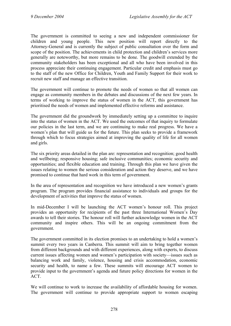The government is committed to seeing a new and independent commissioner for children and young people. This new position will report directly to the Attorney-General and is currently the subject of public consultation over the form and scope of the position. The achievements in child protection and children's services more generally are noteworthy, but more remains to be done. The goodwill extended by the community stakeholders has been exceptional and all who have been involved in this process appreciate their continuing engagement. Particular credit and emphasis must go to the staff of the new Office for Children, Youth and Family Support for their work to recruit new staff and manage an effective transition.

The government will continue to promote the needs of women so that all women can engage as community members in the debates and discussions of the next few years. In terms of working to improve the status of women in the ACT, this government has prioritised the needs of women and implemented effective reforms and assistance.

The government did the groundwork by immediately setting up a committee to inquire into the status of women in the ACT. We used the outcomes of that inquiry to formulate our policies in the last term, and we are continuing to make real progress. We have a women's plan that will guide us for the future. This plan seeks to provide a framework through which to focus strategies aimed at improving the quality of life for all women and girls.

The six priority areas detailed in the plan are: representation and recognition; good health and wellbeing; responsive housing; safe inclusive communities; economic security and opportunities; and flexible education and training. Through this plan we have given the issues relating to women the serious consideration and action they deserve, and we have promised to continue that hard work in this term of government.

In the area of representation and recognition we have introduced a new women's grants program. The program provides financial assistance to individuals and groups for the development of activities that improve the status of women.

In mid-December I will be launching the ACT women's honour roll. This project provides an opportunity for recipients of the past three International Women's Day awards to tell their stories. The honour roll will further acknowledge women in the ACT community and inspire others. This will be an ongoing commitment from the government.

The government committed in its election promises to an undertaking to hold a women's summit every two years in Canberra. This summit will aim to bring together women from different backgrounds and with different experiences, along with experts, to discuss current issues affecting women and women's participation with society—issues such as balancing work and family, violence, housing and crisis accommodation, economic security and health, to name a few. These summits will encourage ACT women to provide input to the government's agenda and future policy directions for women in the ACT.

We will continue to work to increase the availability of affordable housing for women. The government will continue to provide appropriate support to women escaping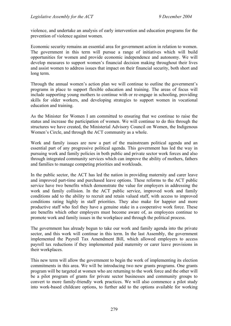violence, and undertake an analysis of early intervention and education programs for the prevention of violence against women.

Economic security remains an essential area for government action in relation to women. The government in this term will pursue a range of initiatives which will build opportunities for women and provide economic independence and autonomy. We will develop measures to support women's financial decision making throughout their lives and assist women to address issues that impact on their financial security, both short and long term.

Through the annual women's action plan we will continue to outline the government's programs in place to support flexible education and training. The areas of focus will include supporting young mothers to continue with or re-engage in schooling, providing skills for older workers, and developing strategies to support women in vocational education and training.

As the Minister for Women I am committed to ensuring that we continue to raise the status and increase the participation of women. We will continue to do this through the structures we have created, the Ministerial Advisory Council on Women, the Indigenous Women's Circle, and through the ACT community as a whole.

Work and family issues are now a part of the mainstream political agenda and an essential part of any progressive political agenda. This government has led the way in pursuing work and family policies in both public and private sector work forces and also through integrated community services which can improve the ability of mothers, fathers and families to manage competing priorities and workloads.

In the public sector, the ACT has led the nation in providing maternity and carer leave and improved part-time and purchased leave options. These reforms to the ACT public service have two benefits which demonstrate the value for employers in addressing the work and family collision. In the ACT public service, improved work and family conditions add to the ability to recruit and retain valued staff, with access to improved conditions rating highly in staff priorities. They also make for happier and more productive staff who feel they have a genuine stake in a cooperative work force. These are benefits which other employers must become aware of, as employees continue to promote work and family issues in the workplace and through the political process.

The government has already begun to take our work and family agenda into the private sector, and this work will continue in this term. In the last Assembly, the government implemented the Payroll Tax Amendment Bill, which allowed employers to access payroll tax reductions if they implemented paid maternity or carer leave provisions in their workplaces.

This new term will allow the government to begin the work of implementing its election commitments in this area. We will be introducing two new grants programs. One grants program will be targeted at women who are returning to the work force and the other will be a pilot program of grants for private sector businesses and community groups to convert to more family-friendly work practices. We will also commence a pilot study into work-based childcare options, to further add to the options available for working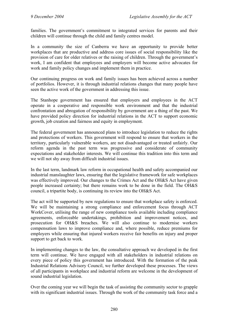families. The government's commitment to integrated services for parents and their children will continue through the child and family centres model.

In a community the size of Canberra we have an opportunity to provide better workplaces that are productive and address core issues of social responsibility like the provision of care for older relatives or the raising of children. Through the government's work, I am confident that employees and employers will become active advocates for work and family policy changes and implement them in practice.

Our continuing progress on work and family issues has been achieved across a number of portfolios. However, it is through industrial relations changes that many people have seen the active work of the government in addressing this issue.

The Stanhope government has ensured that employers and employees in the ACT operate in a cooperative and responsible work environment and that the industrial confrontation and abrogation of responsibility by government are a thing of the past. We have provided policy direction for industrial relations in the ACT to support economic growth, job creation and fairness and equity in employment.

The federal government has announced plans to introduce legislation to reduce the rights and protections of workers. This government will respond to ensure that workers in the territory, particularly vulnerable workers, are not disadvantaged or treated unfairly. Our reform agenda in the past term was progressive and considerate of community expectations and stakeholder interests. We will continue this tradition into this term and we will not shy away from difficult industrial issues.

In the last term, landmark law reform in occupational health and safety accompanied our industrial manslaughter laws, ensuring that the legislative framework for safe workplaces was effectively improved. Our changes to the Crimes Act and the OH&S Act have given people increased certainty; but there remains work to be done in the field. The OH&S council, a tripartite body, is continuing its review into the OH&S Act.

The act will be supported by new regulations to ensure that workplace safety is enforced. We will be maintaining a strong compliance and enforcement focus through ACT WorkCover, utilising the range of new compliance tools available including compliance agreements, enforceable undertakings, prohibition and improvement notices, and prosecution for OH&S breaches. We will also continue to modernise workers compensation laws to improve compliance and, where possible, reduce premiums for employers while ensuring that injured workers receive fair benefits on injury and proper support to get back to work.

In implementing changes to the law, the consultative approach we developed in the first term will continue. We have engaged with all stakeholders in industrial relations on every piece of policy this government has introduced. With the formation of the peak Industrial Relations Advisory Council, we further developed these processes. The views of all participants in workplace and industrial reform are welcome in the development of sound industrial legislation.

Over the coming year we will begin the task of assisting the community sector to grapple with its significant industrial issues. Through the work of the community task force and a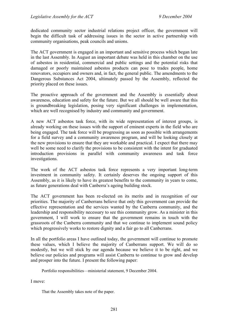dedicated community sector industrial relations project officer, the government will begin the difficult task of addressing issues in the sector in active partnership with community organisations, peak councils and unions.

The ACT government is engaged in an important and sensitive process which began late in the last Assembly. In August an important debate was held in this chamber on the use of asbestos in residential, commercial and public settings and the potential risks that damaged or poorly maintained asbestos products can pose to trades people, home renovators, occupiers and owners and, in fact, the general public. The amendments to the Dangerous Substances Act 2004, ultimately passed by the Assembly, reflected the priority placed on these issues.

The proactive approach of the government and the Assembly is essentially about awareness, education and safety for the future. But we all should be well aware that this is groundbreaking legislation, posing very significant challenges in implementation, which are well recognised by industry and community and government.

A new ACT asbestos task force, with its wide representation of interest groups, is already working on these issues with the support of eminent experts in the field who are being engaged. The task force will be progressing as soon as possible with arrangements for a field survey and a community awareness program, and will be looking closely at the new provisions to ensure that they are workable and practical. I expect that there may well be some need to clarify the provisions to be consistent with the intent for graduated introduction provisions in parallel with community awareness and task force investigations.

The work of the ACT asbestos task force represents a very important long-term investment in community safety. It certainly deserves the ongoing support of this Assembly, as it is likely to have its greatest benefits to the community in years to come, as future generations deal with Canberra's ageing building stock.

The ACT government has been re-elected on its merits and in recognition of our priorities. The majority of Canberrans believe that only this government can provide the effective representation and the services wanted by the Canberra community, and the leadership and responsibility necessary to see this community grow. As a minister in this government, I will work to ensure that the government remains in touch with the grassroots of the Canberra community and that we continue to implement sound policy which progressively works to restore dignity and a fair go to all Canberrans.

In all the portfolio areas I have outlined today, the government will continue to promote these values, which I believe the majority of Canberrans support. We will do so modestly, but we will stick by our agenda because we believe it to be right, and we believe our policies and programs will assist Canberra to continue to grow and develop and prosper into the future. I present the following paper:

Portfolio responsibilities—ministerial statement, 9 December 2004.

I move:

That the Assembly takes note of the paper.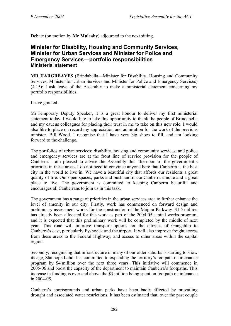Debate (on motion by **Mr Mulcahy**) adjourned to the next sitting.

# **Minister for Disability, Housing and Community Services, Minister for Urban Services and Minister for Police and Emergency Services—portfolio responsibilities Ministerial statement**

**MR HARGREAVES** (Brindabella—Minister for Disability, Housing and Community Services, Minister for Urban Services and Minister for Police and Emergency Services) (4.15): I ask leave of the Assembly to make a ministerial statement concerning my portfolio responsibilities.

Leave granted.

Mr Temporary Deputy Speaker, it is a great honour to deliver my first ministerial statement today. I would like to take this opportunity to thank the people of Brindabella and my caucus colleagues for placing their trust in me to take on this new role. I would also like to place on record my appreciation and admiration for the work of the previous minister, Bill Wood. I recognise that I have very big shoes to fill, and am looking forward to the challenge.

The portfolios of urban services; disability, housing and community services; and police and emergency services are at the front line of service provision for the people of Canberra. I am pleased to advise the Assembly this afternoon of the government's priorities in these areas. I do not need to convince anyone here that Canberra is the best city in the world to live in. We have a beautiful city that affords our residents a great quality of life. Our open spaces, parks and bushland make Canberra unique and a great place to live. The government is committed to keeping Canberra beautiful and encourages all Canberrans to join us in this task.

The government has a range of priorities in the urban services area to further enhance the level of amenity in our city. Firstly, work has commenced on forward design and preliminary assessment works for the construction of the Majura Parkway. \$1.5 million has already been allocated for this work as part of the 2004-05 capital works program, and it is expected that this preliminary work will be completed by the middle of next year. This road will improve transport options for the citizens of Gungahlin to Canberra's east, particularly Fyshwick and the airport. It will also improve freight access from these areas to the Federal Highway, and access to other areas within the capital region.

Secondly, recognising that infrastructure in many of our older suburbs is starting to show its age, Stanhope Labor has committed to expanding the territory's footpath maintenance program by \$4 million over the next three years. This initiative will commence in 2005-06 and boost the capacity of the department to maintain Canberra's footpaths. This increase in funding is over and above the \$3 million being spent on footpath maintenance in 2004-05.

Canberra's sportsgrounds and urban parks have been badly affected by prevailing drought and associated water restrictions. It has been estimated that, over the past couple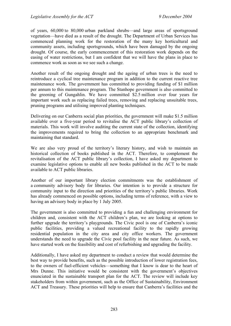of years, 60,000 to 80,000 urban parkland shrubs—and large areas of sportsground vegetation—have died as a result of the drought. The Department of Urban Services has commenced planning work for the restoration of the many key horticultural and community assets, including sportsgrounds, which have been damaged by the ongoing drought. Of course, the early commencement of this restoration work depends on the easing of water restrictions, but I am confident that we will have the plans in place to commence work as soon as we see such a change.

Another result of the ongoing drought and the ageing of urban trees is the need to reintroduce a cyclical tree maintenance program in addition to the current reactive tree maintenance work. The government has committed to providing funding of \$1 million per annum to this maintenance program. The Stanhope government is also committed to the greening of Gungahlin. We have committed \$2.5 million over four years for important work such as replacing failed trees, removing and replacing unsuitable trees, pruning programs and utilising improved planting techniques.

Delivering on our Canberra social plan priorities, the government will make \$1.5 million available over a five-year period to revitalise the ACT public library's collection of materials. This work will involve auditing the current state of the collection, identifying the improvements required to bring the collection to an appropriate benchmark and maintaining that standard.

We are also very proud of the territory's literary history, and wish to maintain an historical collection of books published in the ACT. Therefore, to complement the revitalisation of the ACT public library's collection, I have asked my department to examine legislative options to enable all new books published in the ACT to be made available to ACT public libraries.

Another of our important library election commitments was the establishment of a community advisory body for libraries. Our intention is to provide a structure for community input to the direction and priorities of the territory's public libraries. Work has already commenced on possible options, including terms of reference, with a view to having an advisory body in place by 1 July 2005.

The government is also committed to providing a fun and challenging environment for children and, consistent with the ACT children's plan, we are looking at options to further upgrade the territory's playgrounds. The Civic pool is one of Canberra's iconic public facilities, providing a valued recreational facility to the rapidly growing residential population in the city area and city office workers. The government understands the need to upgrade the Civic pool facility in the near future. As such, we have started work on the feasibility and cost of refurbishing and upgrading the facility.

Additionally, I have asked my department to conduct a review that would determine the best way to provide benefits, such as the possible introduction of lower registration fees, to the owners of fuel-efficient vehicles—something that I know is dear to the heart of Mrs Dunne. This initiative would be consistent with the government's objectives enunciated in the sustainable transport plan for the ACT. The review will include key stakeholders from within government, such as the Office of Sustainability, Environment ACT and Treasury. These priorities will help to ensure that Canberra's facilities and the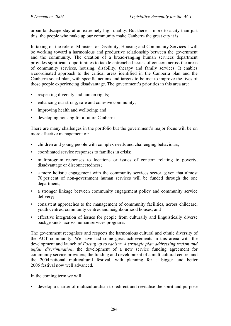urban landscape stay at an extremely high quality. But there is more to a city than just this: the people who make up our community make Canberra the great city it is.

In taking on the role of Minister for Disability, Housing and Community Services I will be working toward a harmonious and productive relationship between the government and the community. The creation of a broad-ranging human services department provides significant opportunities to tackle entrenched issues of concern across the areas of community services, housing, disability, therapy and family services. It enables a coordinated approach to the critical areas identified in the Canberra plan and the Canberra social plan, with specific actions and targets to be met to improve the lives of those people experiencing disadvantage. The government's priorities in this area are:

- respecting diversity and human rights;
- enhancing our strong, safe and cohesive community;
- improving health and wellbeing; and
- developing housing for a future Canberra.

There are many challenges in the portfolio but the government's major focus will be on more effective management of:

- children and young people with complex needs and challenging behaviours;
- coordinated service responses to families in crisis;
- multiprogram responses to locations or issues of concern relating to poverty, disadvantage or disconnectedness;
- a more holistic engagement with the community services sector, given that almost 70 per cent of non-government human services will be funded through the one department;
- a stronger linkage between community engagement policy and community service delivery;
- consistent approaches to the management of community facilities, across childcare, youth centres, community centres and neighbourhood houses; and
- effective integration of issues for people from culturally and linguistically diverse backgrounds, across human services programs.

The government recognises and respects the harmonious cultural and ethnic diversity of the ACT community. We have had some great achievements in this arena with the development and launch of *Facing up to racism: A strategic plan addressing racism and unfair discrimination*; the development of a new service funding agreement for community service providers; the funding and development of a multicultural centre; and the 2004 national multicultural festival, with planning for a bigger and better 2005 festival now well advanced.

In the coming term we will:

• develop a charter of multiculturalism to redirect and revitalise the spirit and purpose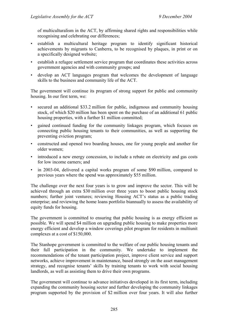of multiculturalism in the ACT, by affirming shared rights and responsibilities while recognising and celebrating our differences;

- establish a multicultural heritage program to identify significant historical achievements by migrants to Canberra, to be recognised by plaques, in print or on a specifically designed website;
- establish a refugee settlement service program that coordinates these activities across government agencies and with community groups; and
- develop an ACT languages program that welcomes the development of language skills to the business and community life of the ACT.

The government will continue its program of strong support for public and community housing. In our first term, we:

- secured an additional \$33.2 million for public, indigenous and community housing stock, of which \$20 million has been spent on the purchase of an additional 61 public housing properties, with a further \$1 million committed;
- gained continued funding for the community linkages program, which focuses on connecting public housing tenants to their communities, as well as supporting the preventing eviction program;
- constructed and opened two boarding houses, one for young people and another for older women;
- introduced a new energy concession, to include a rebate on electricity and gas costs for low income earners; and
- in 2003-04, delivered a capital works program of some \$90 million, compared to previous years where the spend was approximately \$55 million.

The challenge over the next four years is to grow and improve the sector. This will be achieved through an extra \$30 million over three years to boost public housing stock numbers; further joint ventures; reviewing Housing ACT's status as a public trading enterprise; and reviewing the home loans portfolio biannually to assess the availability of equity funds for housing.

The government is committed to ensuring that public housing is as energy efficient as possible. We will spend \$4 million on upgrading public housing to make properties more energy efficient and develop a window coverings pilot program for residents in multiunit complexes at a cost of \$150,000.

The Stanhope government is committed to the welfare of our public housing tenants and their full participation in the community. We undertake to implement the recommendations of the tenant participation project, improve client service and support networks, achieve improvement in maintenance, based strongly on the asset management strategy, and recognise tenants' skills by training tenants to work with social housing landlords, as well as assisting them to drive their own programs.

The government will continue to advance initiatives developed in its first term, including expanding the community housing sector and further developing the community linkages program supported by the provision of \$2 million over four years. It will also further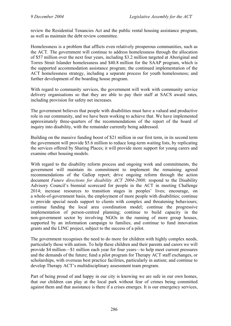review the Residential Tenancies Act and the public rental housing assistance program, as well as maintain the debt review committee.

Homelessness is a problem that afflicts even relatively prosperous communities, such as the ACT. The government will continue to address homelessness through the allocation of \$57 million over the next four years, including \$3.2 million targeted at Aboriginal and Torres Strait Islander homelessness and \$40.8 million for the SAAP program, which is the supported accommodation assistance program; the continued implementation of the ACT homelessness strategy, including a separate process for youth homelessness; and further development of the boarding house program.

With regard to community services, the government will work with community service delivery organisations so that they are able to pay their staff at SACS award rates, including provision for safety net increases.

The government believes that people with disabilities must have a valued and productive role in our community, and we have been working to achieve that. We have implemented approximately three-quarters of the recommendations of the report of the board of inquiry into disability, with the remainder currently being addressed.

Building on the massive funding boost of \$21 million in our first term, in its second term the government will provide \$5.6 million to reduce long-term waiting lists, by replicating the services offered by Sharing Places; it will provide more support for young carers and examine other housing models.

With regard to the disability reform process and ongoing work and commitments, the government will maintain its commitment to implement the remaining agreed recommendations of the Gallop report; drive ongoing reform through the action document *Future directions for disability ACT 2004*-*2008;* respond to the Disability Advisory Council's biennial scorecard for people in the ACT in meeting Challenge 2014; increase resources to transition stages in peoples' lives; encourage, on a whole-of-government basis, the employment of more people with disabilities; continue to provide special needs support to clients with complex and threatening behaviours; continue funding the local area coordination model; continue the progressive implementation of person-centred planning; continue to build capacity in the non-government sector by involving NGOs in the running of more group houses, supported by an information campaign to families; and continue to fund innovation grants and the LINC project, subject to the success of a pilot.

The government recognises the need to do more for children with highly complex needs, particularly those with autism. To help these children and their parents and carers we will provide \$4 million—\$1 million each year for four years—to help meet current pressures and the demands of the future; fund a pilot program for Therapy ACT staff exchanges, or scholarships, with overseas best practice facilities, particularly in autism; and continue to develop Therapy ACT's multidisciplinary assessment team program.

Part of being proud of and happy in our city is knowing we are safe in our own homes, that our children can play at the local park without fear of crimes being committed against them and that assistance is there if a crises emerges. It is our emergency services,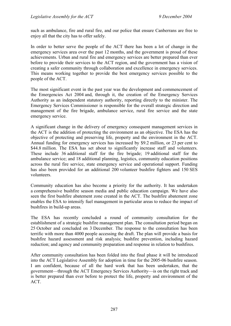such as ambulance, fire and rural fire, and our police that ensure Canberrans are free to enjoy all that the city has to offer safely.

In order to better serve the people of the ACT there has been a lot of change in the emergency services area over the past 12 months, and the government is proud of these achievements. Urban and rural fire and emergency services are better prepared than ever before to provide their services to the ACT region, and the government has a vision of creating a safer community through collaboration and excellence in emergency services. This means working together to provide the best emergency services possible to the people of the ACT.

The most significant event in the past year was the development and commencement of the Emergencies Act 2004 and, through it, the creation of the Emergency Services Authority as an independent statutory authority, reporting directly to the minister. The Emergency Services Commissioner is responsible for the overall strategic direction and management of the fire brigade, ambulance service, rural fire service and the state emergency service.

A significant change in the delivery of emergency consequent management services in the ACT is the addition of protecting the environment as an objective. The ESA has the objective of protecting and preserving life, property and the environment in the ACT. Annual funding for emergency services has increased by \$9.2 million, or 23 per cent to \$44.8 million. The ESA has set about to significantly increase staff and volunteers. These include 36 additional staff for the fire brigade; 19 additional staff for the ambulance service; and 18 additional planning, logistics, community education positions across the rural fire service, state emergency service and operational support. Funding has also been provided for an additional 200 volunteer bushfire fighters and 150 SES volunteers.

Community education has also become a priority for the authority. It has undertaken a comprehensive bushfire season media and public education campaign. We have also seen the first bushfire abatement zone created in the ACT. The bushfire abatement zone enables the ESA to intensify fuel management in particular areas to reduce the impact of bushfires in build-up areas.

The ESA has recently concluded a round of community consultation for the establishment of a strategic bushfire management plan. The consultation period began on 25 October and concluded on 3 December. The response to the consultation has been terrific with more than 4000 people accessing the draft. The plan will provide a basis for bushfire hazard assessment and risk analysis; bushfire prevention, including hazard reduction; and agency and community preparation and response in relation to bushfires.

After community consultation has been folded into the final phase it will be introduced into the ACT Legislative Assembly for adoption in time for the 2005-06 bushfire season. I am confident, because of all the hard work that has been undertaken, that the government—through the ACT Emergency Services Authority—is on the right track and is better prepared than ever before to protect the life, property and environment of the ACT.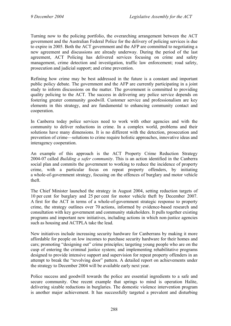Turning now to the policing portfolio, the overarching arrangement between the ACT government and the Australian Federal Police for the delivery of policing services is due to expire in 2005. Both the ACT government and the AFP are committed to negotiating a new agreement and discussions are already underway. During the period of the last agreement, ACT Policing has delivered services focusing on crime and safety management, crime detection and investigation, traffic law enforcement; road safety, prosecution and judicial support; and crime prevention.

Refining how crime may be best addressed in the future is a constant and important public policy debate. The government and the AFP are currently participating in a joint study to inform discussions on the matter. The government is committed to providing quality policing to the ACT. The success in delivering any police service depends on fostering greater community goodwill. Customer service and professionalism are key elements in this strategy, and are fundamental to enhancing community contact and cooperation.

In Canberra today police services need to work with other agencies and with the community to deliver reductions in crime. In a complex world, problems and their solutions have many dimensions. It is no different with the detection, prosecution and prevention of crime—solutions to crime require holistic approaches, innovative ideas and interagency cooperation.

An example of this approach is the ACT Property Crime Reduction Strategy 2004-07 called *Building a safer community*. This is an action identified in the Canberra social plan and commits the government to working to reduce the incidence of property crime, with a particular focus on repeat property offenders, by initiating a whole-of-government strategy, focusing on the offences of burglary and motor vehicle theft.

The Chief Minister launched the strategy in August 2004, setting reduction targets of 10 per cent for burglary and 25 per cent for motor vehicle theft by December 2007. A first for the ACT in terms of a whole-of-government strategic response to property crime, the strategy outlines over 70 actions, informed by evidence-based research and consultation with key government and community stakeholders. It pulls together existing programs and important new initiatives, including actions in which non-justice agencies such as housing and ACTPLA take the lead.

New initiatives include increasing security hardware for Canberrans by making it more affordable for people on low incomes to purchase security hardware for their homes and cars; promoting "designing out" crime principles; targeting young people who are on the cusp of entering the criminal justice system; and implementing rehabilitative programs designed to provide intensive support and supervision for repeat property offenders in an attempt to break the "revolving door" pattern. A detailed report on achievements under the strategy to December 2004 will be available early next year.

Police success and goodwill towards the police are essential ingredients to a safe and secure community. One recent example that springs to mind is operation Halite, delivering sizable reductions in burglaries. The domestic violence intervention program is another major achievement. It has successfully targeted a prevalent and disturbing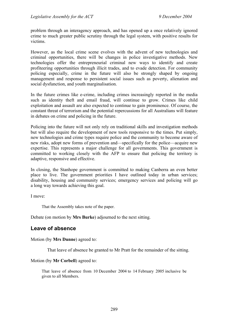problem through an interagency approach, and has opened up a once relatively ignored crime to much greater public scrutiny through the legal system, with positive results for victims.

However, as the local crime scene evolves with the advent of new technologies and criminal opportunities, there will be changes in police investigative methods. New technologies offer the entrepreneurial criminal new ways to identify and create profiteering opportunities through illicit trades, and to evade detection. For community policing especially, crime in the future will also be strongly shaped by ongoing management and response to persistent social issues such as poverty, alienation and social dysfunction, and youth marginalisation.

In the future crimes like e-crime, including crimes increasingly reported in the media such as identity theft and email fraud, will continue to grow. Crimes like child exploitation and assault are also expected to continue to gain prominence. Of course, the constant threat of terrorism and the potential repercussions for all Australians will feature in debates on crime and policing in the future.

Policing into the future will not only rely on traditional skills and investigation methods but will also require the development of new tools responsive to the times. Put simply, new technologies and crime types require police and the community to become aware of new risks, adopt new forms of prevention and—specifically for the police—acquire new expertise. This represents a major challenge for all governments. This government is committed to working closely with the AFP to ensure that policing the territory is adaptive, responsive and effective.

In closing, the Stanhope government is committed to making Canberra an even better place to live. The government priorities I have outlined today in urban services; disability, housing and community services; emergency services and policing will go a long way towards achieving this goal.

I move:

That the Assembly takes note of the paper.

Debate (on motion by **Mrs Burke**) adjourned to the next sitting.

### **Leave of absence**

Motion (by **Mrs Dunne**) agreed to:

That leave of absence be granted to Mr Pratt for the remainder of the sitting.

#### Motion (by **Mr Corbell**) agreed to:

That leave of absence from 10 December 2004 to 14 February 2005 inclusive be given to all Members.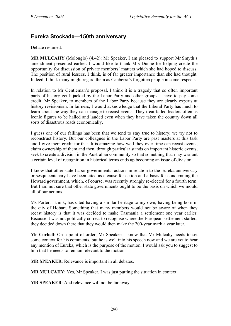# **Eureka Stockade—150th anniversary**

Debate resumed.

**MR MULCAHY** (Molonglo) (4.42): Mr Speaker, I am pleased to support Mr Smyth's amendment presented earlier. I would like to thank Mrs Dunne for helping create the opportunity for discussion of private members' matters which she had hoped to discuss. The position of rural lessees, I think, is of far greater importance than she had thought. Indeed, I think many might regard them as Canberra's forgotten people in some respects.

In relation to Mr Gentleman's proposal, I think it is a tragedy that so often important parts of history get hijacked by the Labor Party and other groups. I have to pay some credit, Mr Speaker, to members of the Labor Party because they are clearly experts at history revisionism. In fairness, I would acknowledge that the Liberal Party has much to learn about the way they can manage to recast events. They treat failed leaders often as iconic figures to be hailed and lauded even when they have taken the country down all sorts of disastrous roads economically.

I guess one of our failings has been that we tend to stay true to history; we try not to reconstruct history. But our colleagues in the Labor Party are past masters at this task and I give them credit for that. It is amazing how well they over time can recast events, claim ownership of them and then, through particular stands on important historic events, seek to create a division in the Australian community so that something that may warrant a certain level of recognition in historical terms ends up becoming an issue of division.

I know that other state Labor governments' actions in relation to the Eureka anniversary or sesquicentenary have been cited as a cause for action and a basis for condemning the Howard government, which, of course, was recently strongly re-elected for a fourth term. But I am not sure that other state governments ought to be the basis on which we mould all of our actions.

Ms Porter, I think, has cited having a similar heritage to my own, having being born in the city of Hobart. Something that many members would not be aware of when they recast history is that it was decided to make Tasmania a settlement one year earlier. Because it was not politically correct to recognise where the European settlement started, they decided down there that they would then make the 200-year mark a year later.

**Mr Corbell**: On a point of order, Mr Speaker: I know that Mr Mulcahy needs to set some context for his comments, but he is well into his speech now and we are yet to hear any mention of Eureka, which is the purpose of the motion. I would ask you to suggest to him that he needs to remain relevant to the motion.

**MR SPEAKER**: Relevance is important in all debates.

**MR MULCAHY**: Yes, Mr Speaker. I was just putting the situation in context.

**MR SPEAKER**: And relevance will not be far away.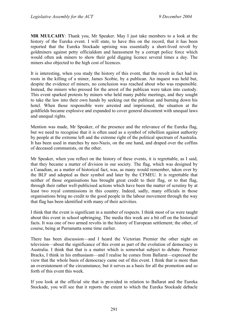**MR MULCAHY**: Thank you, Mr Speaker. May I just take members to a look at the history of the Eureka event. I will state, to have this on the record, that it has been reported that the Eureka Stockade uprising was essentially a short-lived revolt by goldminers against petty officialdom and harassment by a corrupt police force which would often ask miners to show their gold digging licence several times a day. The miners also objected to the high cost of licences.

It is interesting, when you study the history of this event, that the revolt in fact had its roots in the killing of a miner, James Scobie, by a publican. An inquest was held but, despite the evidence of miners, no conclusion was reached about who was responsible. Instead, the miners who pressed for the arrest of the publican were taken into custody. This event sparked protests by miners who held many public meetings, and they sought to take the law into their own hands by seeking out the publican and burning down his hotel. When those responsible were arrested and imprisoned, the situation at the goldfields became explosive and expanded to cover general discontent with unequal laws and unequal rights.

Mention was made, Mr Speaker, of the presence and the relevance of the Eureka flag, but we need to recognise that it is often used as a symbol of rebellion against authority by people at the extreme left and the extreme right of the political spectrum of Australia. It has been used in marches by neo-Nazis, on the one hand, and draped over the coffins of deceased communists, on the other.

Mr Speaker, when you reflect on the history of these events, it is regrettable, as I said, that they became a matter of division in our society. The flag, which was designed by a Canadian, as a matter of historical fact, was, as many would remember, taken over by the BLF and adopted as their symbol and later by the CFMEU. It is regrettable that neither of those organisations has brought great credit to their flag, or to that flag, through their rather well-publicised actions which have been the matter of scrutiny by at least two royal commissions in this country. Indeed, sadly, many officials in those organisations bring no credit to the good people in the labour movement through the way that flag has been identified with many of their activities.

I think that the event is significant in a number of respects. I think most of us were taught about this event in school upbringing. The media this week are a bit off on the historical facts. It was one of two armed revolts in the history of European settlement; the other, of course, being at Parramatta some time earlier.

There has been discussion—and I heard the Victorian Premier the other night on television—about the significance of this event as part of the evolution of democracy in Australia. I think that that is a matter which is somewhat subject to debate. Premier Bracks, I think in his enthusiasm—and I realise he comes from Ballarat—expressed the view that the whole basis of democracy came out of this event. I think that is more than an overstatement of the circumstance, but it serves as a basis for all the promotion and so forth of this event this week.

If you look at the official site that is provided in relation to Ballarat and the Eureka Stockade, you will see that it reports the extent to which the Eureka Stockade debacle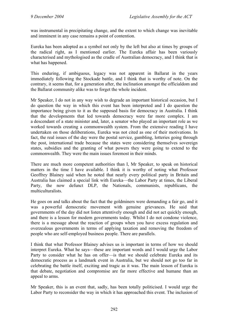was instrumental in precipitating change, and the extent to which change was inevitable and imminent in any case remains a point of contention.

Eureka has been adopted as a symbol not only by the left but also at times by groups of the radical right, as I mentioned earlier. The Eureka affair has been variously characterised and mythologised as the cradle of Australian democracy, and I think that is what has happened.

This enduring, if ambiguous, legacy was not apparent in Ballarat in the years immediately following the Stockade battle, and I think that is worthy of note. On the contrary, it seems that, for a generation after, the inclination amongst the officialdom and the Ballarat community alike was to forget the whole incident.

Mr Speaker, I do not in any way wish to degrade an important historical occasion, but I do question the way in which this event has been interpreted and I do question the importance being given to it as the supposed basis for democracy in Australia. I think that the developments that led towards democracy were far more complex. I am a descendant of a state minister and, later, a senator who played an important role as we worked towards creating a commonwealth system. From the extensive reading I have undertaken on those deliberations, Eureka was not cited as one of their motivations. In fact, the real issues of the day were the postal service, gambling, lotteries going through the post, international trade because the states were considering themselves sovereign states, subsidies and the granting of what powers they were going to extend to the commonwealth. They were the main issues foremost in their minds.

There are much more competent authorities than I, Mr Speaker, to speak on historical matters in the time I have available. I think it is worthy of noting what Professor Geoffrey Blainey said when he noted that nearly every political party in Britain and Australia has claimed a special link with Eureka—the Labor Party at times, the Liberal Party, the now defunct DLP, the Nationals, communists, republicans, the multiculturalists.

He goes on and talks about the fact that the goldminers were demanding a fair go, and it was a powerful democratic movement with genuine grievances. He said that governments of the day did not listen attentively enough and did not act quickly enough, and there is a lesson for modern governments today. Whilst I do not condone violence, there is a message about the reaction of groups when you have excess regulation and overzealous governments in terms of applying taxation and removing the freedom of people who are self-employed business people. There are parallels.

I think that what Professor Blainey advises us is important in terms of how we should interpret Eureka. What he says—these are important words and I would urge the Labor Party to consider what he has on offer—is that we should celebrate Eureka and its democratic process as a landmark event in Australia, but we should not go too far in celebrating the battle itself, exciting and tragic as it was. The main lesson of Eureka is that debate, negotiation and compromise are far more effective and humane than an appeal to arms.

Mr Speaker, this is an event that, sadly, has been totally politicised. I would urge the Labor Party to reconsider the way in which it has approached this event. The inclusion of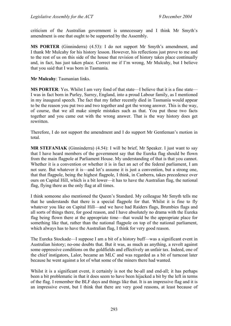criticism of the Australian government is unnecessary and I think Mr Smyth's amendment is one that ought to be supported by the Assembly.

**MS PORTER** (Ginninderra) (4.53): I do not support Mr Smyth's amendment, and I thank Mr Mulcahy for his history lesson. However, his reflections just prove to me and to the rest of us on this side of the house that revision of history takes place continually and, in fact, has just taken place. Correct me if I'm wrong, Mr Mulcahy, but I believe that you said that I was born in Tasmania.

**Mr Mulcahy**: Tasmanian links.

**MS PORTER:** Yes. Whilst I am very fond of that state—I believe that it is a fine state— I was in fact born in Purley, Surrey, England, into a proud Labour family, as I mentioned in my inaugural speech. The fact that my father recently died in Tasmania would appear to be the reason you put two and two together and got the wrong answer. This is the way, of course, that we all make simple mistakes such as that. You put those two facts together and you came out with the wrong answer. That is the way history does get rewritten.

Therefore, I do not support the amendment and I do support Mr Gentleman's motion in total.

**MR STEFANIAK** (Ginninderra) (4.54): I will be brief, Mr Speaker. I just want to say that I have heard members of the government say that the Eureka flag should be flown from the main flagpole at Parliament House. My understanding of that is that you cannot. Whether it is a convention or whether it is in fact an act of the federal parliament, I am not sure. But whatever it is—and let's assume it is just a convention, but a strong one, that that flagpole, being the highest flagpole, I think, in Canberra, takes precedence over ours on Capital Hill, which is a bit lower—it has to have the Australian flag, the national flag, flying there as the only flag at all times.

I think someone also mentioned the Queen's Standard. My colleague Mr Smyth tells me that he understands that there is a special flagpole for that. Whilst it is fine to fly whatever you like on Capital Hill—and we have had Raiders flags, Brumbies flags and all sorts of things there, for good reason, and I have absolutely no drama with the Eureka flag being flown there at the appropriate time—that would be the appropriate place for something like that, rather than the national flagpole on top of the national parliament, which always has to have the Australian flag, I think for very good reason.

The Eureka Stockade—I suppose I am a bit of a history buff—was a significant event in Australian history; no-one doubts that. But it was, as much as anything, a revolt against some oppressive conditions on the goldfields and effectively an unfair tax. Indeed, one of the chief instigators, Lalor, became an MLC and was regarded as a bit of turncoat later because he went against a lot of what some of the miners there had wanted.

Whilst it is a significant event, it certainly is not the be-all and end-all; it has perhaps been a bit problematic in that it does seem to have been hijacked a bit by the left in terms of the flag. I remember the BLF days and things like that. It is an impressive flag and it is an impressive event, but I think that there are very good reasons, at least because of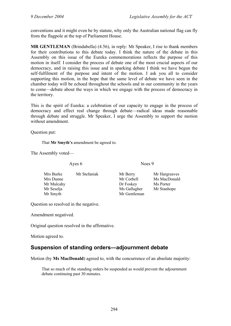conventions and it might even be by statute, why only the Australian national flag can fly from the flagpole at the top of Parliament House.

**MR GENTLEMAN** (Brindabella) (4.56), in reply: Mr Speaker, I rise to thank members for their contributions to this debate today. I think the nature of the debate in this Assembly on this issue of the Eureka commemorations reflects the purpose of this motion in itself. I consider the process of debate one of the most crucial aspects of our democracy, and in raising this issue and in sparking debate I think we have begun the self-fulfilment of the purpose and intent of the motion. I ask you all to consider supporting this motion, in the hope that the same level of debate we have seen in the chamber today will be echoed throughout the schools and in our community in the years to come—debate about the ways in which we engage with the process of democracy in the territory.

This is the spirit of Eureka: a celebration of our capacity to engage in the process of democracy and effect real change through debate—radical ideas made reasonable through debate and struggle. Mr Speaker, I urge the Assembly to support the motion without amendment.

Question put:

That **Mr Smyth's** amendment be agreed to.

The Assembly voted—

Ayes 6 Noes 9

Mrs Burke Mr Stefaniak Mr Berry Mr Hargreaves Mrs Dunne Mr Corbell Ms MacDonald Mr Mulcahy Dr Foskey Ms Porter Mr Seselia **Mr Stanhope** Ms Gallagher Mr Stanhope Mr Smyth Mr Gentleman

Question so resolved in the negative.

Amendment negatived.

Original question resolved in the affirmative.

Motion agreed to.

# **Suspension of standing orders—adjournment debate**

Motion (by **Ms MacDonald**) agreed to, with the concurrence of an absolute majority:

That so much of the standing orders be suspended as would prevent the adjournment debate continuing past 30 minutes.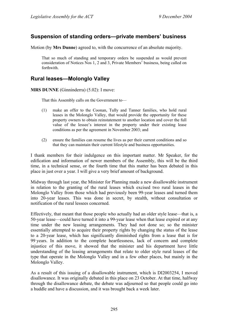# **Suspension of standing orders—private members' business**

Motion (by **Mrs Dunne**) agreed to, with the concurrence of an absolute majority.

That so much of standing and temporary orders be suspended as would prevent consideration of Notices Nos 1, 2 and 3, Private Members' business, being called on forthwith.

## **Rural leases—Molonglo Valley**

**MRS DUNNE** (Ginninderra) (5.02): I move:

That this Assembly calls on the Government to—

- (1) make an offer to the Coonan, Tully and Tanner families, who hold rural leases in the Molonglo Valley, that would provide the opportunity for these property owners to obtain reinstatement to another location and cover the full value of the lessee's interest in the property under their existing lease conditions as per the agreement in November 2003; and
- (2) ensure the families can resume the lives as per their current conditions and so that they can maintain their current lifestyle and business opportunities.

I thank members for their indulgence on this important matter. Mr Speaker, for the edification and information of newer members of the Assembly, this will be the third time, in a technical sense, or the fourth time that this matter has been debated in this place in just over a year. I will give a very brief amount of background.

Midway through last year, the Minister for Planning made a new disallowable instrument in relation to the granting of the rural leases which excised two rural leases in the Molonglo Valley from those which had previously been 99-year leases and turned them into 20-year leases. This was done in secret, by stealth, without consultation or notification of the rural lessees concerned.

Effectively, that meant that those people who actually had an older style lease—that is, a 50-year lease—could have turned it into a 99-year lease when that lease expired or at any time under the new leasing arrangements. They had not done so; so the minister essentially attempted to acquire their property rights by changing the status of the lease to a 20-year lease, which has significantly diminished rights from a lease that is for 99 years. In addition to the complete heartlessness, lack of concern and complete injustice of this move, it showed that the minister and his department have little understanding of the leasing arrangements that relate to older style rural leases of the type that operate in the Molonglo Valley and in a few other places, but mainly in the Molonglo Valley.

As a result of this issuing of a disallowable instrument, which is DI2003254, I moved disallowance. It was originally debated in this place on 23 October. At that time, halfway through the disallowance debate, the debate was adjourned so that people could go into a huddle and have a discussion, and it was brought back a week later.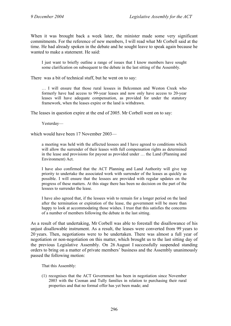When it was brought back a week later, the minister made some very significant commitments. For the reference of new members, I will read what Mr Corbell said at the time. He had already spoken in the debate and he sought leave to speak again because he wanted to make a statement. He said:

I just want to briefly outline a range of issues that I know members have sought some clarification on subsequent to the debate in the last sitting of the Assembly.

There was a bit of technical stuff, but he went on to say:

… I will ensure that those rural lessees in Belconnen and Weston Creek who formerly have had access to 99-year leases and now only have access to 20-year leases will have adequate compensation, as provided for under the statutory framework, when the leases expire or the land is withdrawn.

The leases in question expire at the end of 2005. Mr Corbell went on to say:

Yesterday—

which would have been 17 November 2003—

a meeting was held with the affected lessees and I have agreed to conditions which will allow the surrender of their leases with full compensation rights as determined in the lease and provisions for payout as provided under … the Land (Planning and Environment) Act.

I have also confirmed that the ACT Planning and Land Authority will give top priority to undertake the associated work with surrender of the leases as quickly as possible. I will ensure that the lessees are provided with regular updates on the progress of these matters. At this stage there has been no decision on the part of the lessees to surrender the lease.

I have also agreed that, if the lessees wish to remain for a longer period on the land after the termination or expiration of the lease, the government will be more than happy to look at accommodating those wishes. I trust that this satisfies the concerns of a number of members following the debate in the last sitting.

As a result of that undertaking, Mr Corbell was able to forestall the disallowance of his unjust disallowable instrument. As a result, the leases were converted from 99 years to 20 years. Then, negotiations were to be undertaken. There was almost a full year of negotiation or non-negotiation on this matter, which brought us to the last sitting day of the previous Legislative Assembly. On 26 August I successfully suspended standing orders to bring on a matter of private members' business and the Assembly unanimously passed the following motion:

That this Assembly:

(1) recognises that the ACT Government has been in negotiation since November 2003 with the Coonan and Tully families in relation to purchasing their rural properties and that no formal offer has yet been made; and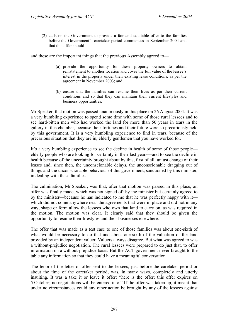(2) calls on the Government to provide a fair and equitable offer to the families before the Government's caretaker period commences in September 2004 and that this offer should—

and these are the important things that the previous Assembly agreed to—

- (a) provide the opportunity for these property owners to obtain reinstatement to another location and cover the full value of the lessee's interest in the property under their existing lease conditions, as per the agreement in November 2003; and
- (b) ensure that the families can resume their lives as per their current conditions and so that they can maintain their current lifestyles and business opportunities.

Mr Speaker, that motion was passed unanimously in this place on 26 August 2004. It was a very humbling experience to spend some time with some of those rural lessees and to see hard-bitten men who had worked the land for more than 50 years in tears in the gallery in this chamber, because their fortunes and their future were so precariously held by this government. It is a very humbling experience to find in tears, because of the precarious situation that they are in, elderly gentlemen that you have worked for.

It's a very humbling experience to see the decline in health of some of those people elderly people who are looking for certainty in their last years—and to see the decline in health because of the uncertainty brought about by this, first of all, unjust change of their leases and, since then, the unconscionable delays, the unconscionable dragging out of things and the unconscionable behaviour of this government, sanctioned by this minister, in dealing with these families.

The culmination, Mr Speaker, was that, after that motion was passed in this place, an offer was finally made, which was not signed off by the minister but certainly agreed to by the minister—because he has indicated to me that he was perfectly happy with it which did not come anywhere near the agreements that were in place and did not in any way, shape or form allow the lessees who own that land to carry on, as was required in the motion. The motion was clear. It clearly said that they should be given the opportunity to resume their lifestyles and their businesses elsewhere.

The offer that was made as a test case to one of those families was about one-sixth of what would be necessary to do that and about one-sixth of the valuation of the land provided by an independent valuer. Valuers always disagree. But what was agreed to was a without-prejudice negotiation. The rural lessees were prepared to do just that, to offer information on a without-prejudice basis. But the ACT government never brought to the table any information so that they could have a meaningful conversation.

The tenor of the letter of offer sent to the lessees, just before the caretaker period or about the time of the caretaker period, was, in many ways, completely and utterly insulting. It was a take it or leave it offer: "here is the offer; this offer expires on 5 October; no negotiations will be entered into." If the offer was taken up, it meant that under no circumstances could any other action be brought by any of the lessees against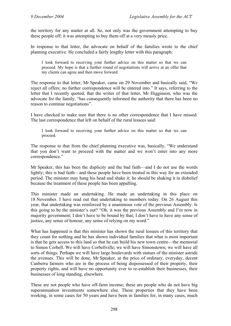the territory for any matter at all. So, not only was the government attempting to buy these people off; it was attempting to buy them off at a very measly price.

In response to that letter, the advocate on behalf of the families wrote to the chief planning executive. He concluded a fairly lengthy letter with this paragraph:

I look forward to receiving your further advice on this matter so that we can proceed. My hope is that a further round of negotiations will arrive at an offer that my clients can agree and then move forward.

The response to that letter, Mr Speaker, came on 29 November and basically said, "We reject all offers; no further correspondence will be entered into." It says, referring to the letter that I recently quoted, that the writer of that letter, Mr Higginson, who was the advocate for the family, "has consequently informed the authority that there has been no reason to continue negotiations".

I have checked to make sure that there is no other correspondence that I have missed. The last correspondence that left on behalf of the rural lessees said:

I look forward to receiving your further advice on this matter so that we can proceed.

The response to that from the chief planning executive was, basically, "We understand that you don't want to proceed with the matter and we won't enter into any more correspondence."

Mr Speaker, this has been the duplicity and the bad faith—and I do not use the words lightly; this is bad faith—and these people have been treated in this way for an extended period. The minister may hang his head and shake it; he should be shaking it in disbelief because the treatment of these people has been appalling.

This minister made an undertaking. He made an undertaking in this place on 18 November. I have read out that undertaking to members today. On 26 August this year, that undertaking was reinforced by a unanimous vote of the previous Assembly. Is this going to be the minister's out? "Oh, it was the previous Assembly and I'm now in majority government; I don't have to be bound by that; I don't have to have any sense of justice, any sense of honour, any sense of relying on my word."

What has happened is that this minister has shown the rural lessees of this territory that they count for nothing and he has shown individual families that what is most important is that he gets access to this land so that he can build his new town centre—the memorial to Simon Corbell. We will have Corbellville; we will have Simonstown; we will have all sorts of things. Perhaps we will have large boulevards with statues of the minister astride the avenues. This will be done, Mr Speaker, at the price of ordinary, everyday, decent Canberra farmers who are in the process of being dispossessed of their property, their property rights, and will have no opportunity ever to re-establish their businesses, their businesses of long standing, elsewhere.

These are not people who have off-farm income; these are people who do not have big superannuation investments somewhere else. These properties that they have been working, in some cases for 50 years and have been in families for, in many cases, much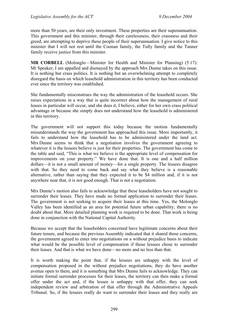more than 50 years, are their only investment. These properties are their superannuation. This government and this minister, through their carelessness, their crassness and their greed, are attempting to deprive these people of their superannuation. I give notice to this minister that I will not rest until the Coonan family, the Tully family and the Tanner family receive justice from this minister.

**MR CORBELL** (Molonglo—Minister for Health and Minister for Planning) (5.17): Mr Speaker, I am appalled and dismayed by the approach Mrs Dunne takes on this issue. It is nothing but crass politics. It is nothing but an overwhelming attempt to completely disregard the basis on which leasehold administration in this territory has been conducted ever since the territory was established.

She fundamentally misconstrues the way the administration of the leasehold occurs. She raises expectations in a way that is quite incorrect about how the management of rural leases in particular will occur, and she does it, I believe, either for her own crass political advantage or because she simply does not understand how the leasehold is administered in this territory.

The government will not support this today because the motion fundamentally misunderstands the way the government has approached this issue. More importantly, it fails to understand how the leasehold has to be administered under the land act. Mrs Dunne seems to think that a negotiation involves the government agreeing to whatever it is the lessees believe is just for their properties. The government has come to the table and said, "This is what we believe is the appropriate level of compensation for improvements on your property." We have done that. It is one and a half million dollars—it is not a small amount of money—for a single property. The lessees disagree with that. So they need to come back and say what they believe is a reasonable alternative, rather than saying that they expected it to be \$4 million and, if it is not anywhere near that, it is not good enough. That is not a negotiation.

Mrs Dunne's motion also fails to acknowledge that these leaseholders have not sought to surrender their leases. They have made no formal application to surrender their leases. The government is not seeking to acquire their leases at this time. Yes, the Molonglo Valley has been identified as an area for potential future urban capability; there is no doubt about that. More detailed planning work is required to be done. That work is being done in conjunction with the National Capital Authority.

Because we accept that the leaseholders concerned have legitimate concerns about their future tenure, and because the previous Assembly indicated that it shared those concerns, the government agreed to enter into negotiations on a without prejudice basis to indicate what would be the possible level of compensation if those lessees chose to surrender their leases. And that is what we have done—no more and no less than that.

It is worth making the point that, if the lessees are unhappy with the level of compensation proposed in the without prejudice negotiations, they do have another avenue open to them, and it is something that Mrs Dunne fails to acknowledge. They can initiate formal surrender processes for their leases, the territory can then make a formal offer under the act and, if the lessee is unhappy with that offer, they can seek independent review and arbitration of that offer through the Administrative Appeals Tribunal. So, if the lessees really do want to surrender their leases and they really are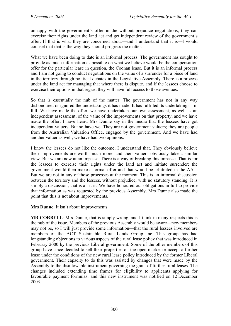unhappy with the government's offer in the without prejudice negotiations, they can exercise their rights under the land act and get independent review of the government's offer. If that is what they are concerned about—and I understand that it is—I would counsel that that is the way they should progress the matter.

What we have been doing to date is an informal process. The government has sought to provide as much information as possible on what we believe would be the compensation offer for the particular lease in question, the Coonan lease. But it is an informal process and I am not going to conduct negotiations on the value of a surrender for a piece of land in the territory through political debates in the Legislative Assembly. There is a process under the land act for managing that where there is dispute, and if the lessees choose to exercise their options in that regard they will have full access to those avenues.

So that is essentially the nub of the matter. The government has not in any way dishonoured or ignored the undertakings it has made. It has fulfilled its undertakings—in full. We have made the offer, we have undertaken our own assessment, as well as an independent assessment, of the value of the improvements on that property, and we have made the offer. I have heard Mrs Dunne say in the media that the lessees have got independent valuers. But so have we. They are not government valuers; they are people from the Australian Valuation Office, engaged by the government. And we have had another valuer as well; we have had two opinions.

I know the lessees do not like the outcome; I understand that. They obviously believe their improvements are worth much more, and their valuers obviously take a similar view. But we are now at an impasse. There is a way of breaking this impasse. That is for the lessees to exercise their rights under the land act and initiate surrender; the government would then make a formal offer and that would be arbitrated in the AAT. But we are not in any of those processes at the moment. This is an informal discussion between the territory and the lessees, without prejudice, with no statutory standing. It is simply a discussion; that is all it is. We have honoured our obligations in full to provide that information as was requested by the previous Assembly. Mrs Dunne also made the point that this is not about improvements.

**Mrs Dunne**: It isn't about improvements.

**MR CORBELL**: Mrs Dunne, that is simply wrong, and I think in many respects this is the nub of the issue. Members of the previous Assembly would be aware—new members may not be, so I will just provide some information—that the rural lessees involved are members of the ACT Sustainable Rural Lands Group Inc. This group has had longstanding objections to various aspects of the rural lease policy that was introduced in February 2000 by the previous Liberal government. Some of the other members of this group have since decided to sell their properties on the open market or accept a further lease under the conditions of the new rural lease policy introduced by the former Liberal government. Their capacity to do this was assisted by changes that were made by the Assembly to the disallowable instrument governing the grant of further rural leases. The changes included extending time frames for eligibility to applicants applying for favourable payment formulas, and this new instrument was notified on 12 December 2003.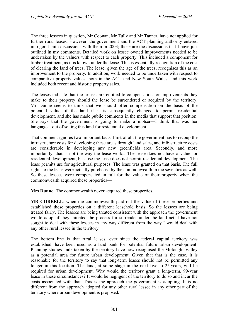The three lessees in question, Mr Coonan, Mr Tully and Mr Tanner, have not applied for further rural leases. However, the government and the ACT planning authority entered into good faith discussions with them in 2003; those are the discussions that I have just outlined in my comments. Detailed work on lessee owned improvements needed to be undertaken by the valuers with respect to each property. This included a component for timber treatment, as it is known under the lease. This is essentially recognition of the cost of clearing the land of trees. The lease, given the age of the trees, recognises this as an improvement to the property. In addition, work needed to be undertaken with respect to comparative property values, both in the ACT and New South Wales, and this work included both recent and historic property sales.

The leases indicate that the lessees are entitled to compensation for improvements they make to their property should the lease be surrendered or acquired by the territory. Mrs Dunne seems to think that we should offer compensation on the basis of the potential value of the land if it is subsequently changed to permit residential development, and she has made public comments in the media that support that position. She says that the government is going to make a motser—I think that was her language—out of selling this land for residential development.

That comment ignores two important facts. First of all, the government has to recoup the infrastructure costs for developing these areas through land sales, and infrastructure costs are considerable in developing any new greenfields area. Secondly, and more importantly, that is not the way the lease works. The lease does not have a value for residential development, because the lease does not permit residential development. The lease permits use for agricultural purposes. The lease was granted on that basis. The full rights to the lease were actually purchased by the commonwealth in the seventies as well. So these lessees were compensated in full for the value of their property when the commonwealth acquired these properties—

**Mrs Dunne**: The commonwealth never acquired these properties.

**MR CORBELL**: when the commonwealth paid out the value of these properties and established these properties on a different leasehold basis. So the lessees are being treated fairly. The lessees are being treated consistent with the approach the government would adopt if they initiated the process for surrender under the land act. I have not sought to deal with these lessees in any way different from the way I would deal with any other rural lessee in the territory.

The bottom line is that rural leases, ever since the federal capital territory was established, have been used as a land bank for potential future urban development. Planning studies undertaken by the territory have now recognised the Molonglo Valley as a potential area for future urban development. Given that that is the case, it is reasonable for the territory to say that long-term leases should not be permitted any longer in this location. The land, at some stage in the next five to 25 years, will be required for urban development. Why would the territory grant a long-term, 99-year lease in these circumstances? It would be negligent of the territory to do so and incur the costs associated with that. This is the approach the government is adopting. It is no different from the approach adopted for any other rural lessee in any other part of the territory where urban development is proposed.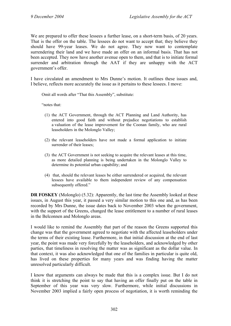We are prepared to offer these lessees a further lease, on a short-term basis, of 20 years. That is the offer on the table. The lessees do not want to accept that; they believe they should have 99-year leases. We do not agree. They now want to contemplate surrendering their land and we have made an offer on an informal basis. That has not been accepted. They now have another avenue open to them, and that is to initiate formal surrender and arbitration through the AAT if they are unhappy with the ACT government's offer.

I have circulated an amendment to Mrs Dunne's motion. It outlines these issues and, I believe, reflects more accurately the issue as it pertains to these lessees. I move:

Omit all words after "That this Assembly", substitute:

"notes that:

- (1) the ACT Government, through the ACT Planning and Land Authority, has entered into good faith and without prejudice negotiations to establish a valuation of the lease improvement for the Coonan family, who are rural leaseholders in the Molonglo Valley;
- (2) the relevant leaseholders have not made a formal application to initiate surrender of their leases;
- (3) the ACT Government is not seeking to acquire the relevant leases at this time, as more detailed planning is being undertaken in the Molonglo Valley to determine its potential urban capability; and
- (4) that, should the relevant leases be either surrendered or acquired, the relevant lessees have available to them independent review of any compensation subsequently offered."

**DR FOSKEY** (Molonglo) (5.32): Apparently, the last time the Assembly looked at these issues, in August this year, it passed a very similar motion to this one and, as has been recorded by Mrs Dunne, the issue dates back to November 2003 when the government, with the support of the Greens, changed the lease entitlement to a number of rural leases in the Belconnen and Molonglo areas.

I would like to remind the Assembly that part of the reason the Greens supported this change was that the government agreed to negotiate with the affected leaseholders under the terms of their existing lease. Furthermore, in that initial discussion at the end of last year, the point was made very forcefully by the leaseholders, and acknowledged by other parties, that timeliness in resolving the matter was as significant as the dollar value. In that context, it was also acknowledged that one of the families in particular is quite old, has lived on these properties for many years and was finding having the matter unresolved particularly difficult.

I know that arguments can always be made that this is a complex issue. But I do not think it is stretching the point to say that having an offer finally put on the table in September of this year was very slow. Furthermore, while initial discussions in November 2003 implied a fairly open process of negotiation, it is worth reminding the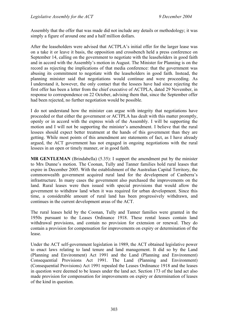Assembly that the offer that was made did not include any details or methodology; it was simply a figure of around one and a half million dollars.

After the leaseholders were advised that ACTPLA's initial offer for the larger lease was on a take it or leave it basis, the opposition and crossbench held a press conference on September 14, calling on the government to negotiate with the leaseholders in good faith and in accord with the Assembly's motion in August. The Minister for Planning is on the record as rejecting the implications of that media conference: that the government was abusing its commitment to negotiate with the leaseholders in good faith. Instead, the planning minister said that negotiations would continue and were proceeding. As I understand it, however, the only contact that the lessees have had since rejecting the first offer has been a letter from the chief executive of ACTPLA, dated 29 November, in response to correspondence on 22 October, advising them that, since the September offer had been rejected, no further negotiation would be possible.

I do not understand how the minister can argue with integrity that negotiations have proceeded or that either the government or ACTPLA has dealt with this matter promptly, openly or in accord with the express wish of the Assembly. I will be supporting the motion and I will not be supporting the minister's amendment. I believe that the rural lessees should expect better treatment at the hands of this government than they are getting. While most points of this amendment are statements of fact, as I have already argued, the ACT government has not engaged in ongoing negotiations with the rural lessees in an open or timely manner, or in good faith.

**MR GENTLEMAN** (Brindabella) (5.35): I support the amendment put by the minister to Mrs Dunne's motion. The Coonan, Tully and Tanner families hold rural leases that expire in December 2005. With the establishment of the Australian Capital Territory, the commonwealth government acquired rural land for the development of Canberra's infrastructure. In many cases the government also purchased the improvements on the land. Rural leases were then issued with special provisions that would allow the government to withdraw land when it was required for urban development. Since this time, a considerable amount of rural land has been progressively withdrawn, and continues in the current development areas of the ACT.

The rural leases held by the Coonan, Tully and Tanner families were granted in the 1950s pursuant to the Leases Ordinance 1918. These rental leases contain land withdrawal provisions, and contain no provision for extension or renewal. They do contain a provision for compensation for improvements on expiry or determination of the lease.

Under the ACT self-government legislation in 1989, the ACT obtained legislative power to enact laws relating to land tenure and land management. It did so by the Land (Planning and Environment) Act 1991 and the Land (Planning and Environment) Consequential Provisions Act 1991. The Land (Planning and Environment) (Consequential Provisions) Act 1991 repealed the Leases Ordinance 1918 and the leases in question were deemed to be leases under the land act. Section 173 of the land act also made provision for compensation for improvements on expiry or determination of leases of the kind in question.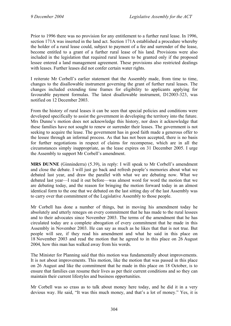Prior to 1996 there was no provision for any entitlement to a further rural lease. In 1996, section 171A was inserted in the land act. Section 171A established a procedure whereby the holder of a rural lease could, subject to payment of a fee and surrender of the lease, become entitled to a grant of a further rural lease of his land. Provisions were also included in the legislation that required rural leases to be granted only if the proposed lessee entered a land management agreement. These provisions also restricted dealings with leases. Further leases did not confer certain water rights.

I reiterate Mr Corbell's earlier statement that the Assembly made, from time to time, changes to the disallowable instrument governing the grant of further rural leases. The changes included extending time frames for eligibility to applicants applying for favourable payment formulas. The latest disallowable instrument, D12003-323, was notified on 12 December 2003.

From the history of rural leases it can be seen that special policies and conditions were developed specifically to assist the government in developing the territory into the future. Mrs Dunne's motion does not acknowledge this history, nor does it acknowledge that these families have not sought to renew or surrender their leases. The government is not seeking to acquire the lease. The government has in good faith made a generous offer to the lessee through an informal process. As that has not been accepted, there is no basis for further negotiations in respect of claims for recompense, which are in all the circumstances simply inappropriate, as the lease expires on 31 December 2005. I urge the Assembly to support Mr Corbell's amendment.

**MRS DUNNE** (Ginninderra) (5.39), in reply: I will speak to Mr Corbell's amendment and close the debate. I will just go back and refresh people's memories about what we debated last year, and draw the parallel with what we are debating now. What we debated last year—I read it out before—was almost word for word the motion that we are debating today, and the reason for bringing the motion forward today in an almost identical form to the one that we debated on the last sitting day of the last Assembly was to carry over that commitment of the Legislative Assembly to those people.

Mr Corbell has done a number of things, but in moving his amendment today he absolutely and utterly reneges on every commitment that he has made to the rural lessees and to their advocates since November 2003. The terms of the amendment that he has circulated today are a complete abrogation of every commitment that he made in this Assembly in November 2003. He can say as much as he likes that that is not true. But people will see, if they read his amendment and what he said in this place on 18 November 2003 and read the motion that he agreed to in this place on 26 August 2004, how this man has walked away from his words.

The Minister for Planning said that this motion was fundamentally about improvements. It is not about improvements. This motion, like the motion that was passed in this place on 26 August and like the commitment that he made in this place on 18 October, is to ensure that families can resume their lives as per their current conditions and so they can maintain their current lifestyles and business opportunities.

Mr Corbell was so crass as to talk about money here today, and he did it in a very devious way. He said, "It was this much money, and that's a lot of money." Yes, it is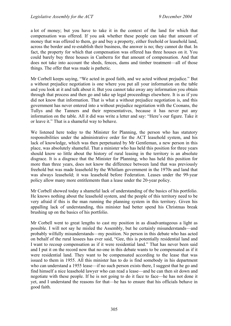a lot of money; but you have to take it in the context of the land for which that compensation was offered. If you ask whether these people can take that amount of money that was offered to them, go and buy a property, either freehold or leasehold land, across the border and re-establish their business, the answer is no; they cannot do that. In fact, the property for which that compensation was offered has three houses on it. You could barely buy three houses in Canberra for that amount of compensation. And that does not take into account the sheds, fences, dams and timber treatment—all of those things. The offer that was made is pathetic.

Mr Corbell keeps saying, "We acted in good faith, and we acted without prejudice." But a without prejudice negotiation is one where you put all your information on the table and you look at it and talk about it. But you cannot take away any information you obtain through that process and then go and take up legal proceedings elsewhere. It is as if you did not know that information. That is what a without prejudice negotiation is, and this government has never entered into a without prejudice negotiation with the Coonans, the Tullys and the Tanners and their representatives, because it has never put any information on the table. All it did was write a letter and say: "Here's our figure. Take it or leave it." That is a shameful way to behave.

We listened here today to the Minister for Planning, the person who has statutory responsibilities under the administrative order for the ACT leasehold system, and his lack of knowledge, which was then perpetuated by Mr Gentleman, a new person in this place, was absolutely shameful. That a minister who has held this position for three years should know so little about the history of rural leasing in the territory is an absolute disgrace. It is a disgrace that the Minister for Planning, who has held this position for more than three years, does not know the difference between land that was previously freehold but was made leasehold by the Whitlam government in the 1970s and land that was always leasehold; it was leasehold before Federation. Leases under the 99-year policy allow many more entitlements than a lease under the 20-year policy.

Mr Corbell showed today a shameful lack of understanding of the basics of his portfolio. He knows nothing about the leasehold system, and the people of this territory need to be very afraid if this is the man running the planning system in this territory. Given his appalling lack of understanding, this minister had better spend his Christmas break brushing up on the basics of his portfolio.

Mr Corbell went to great lengths to cast my position in as disadvantageous a light as possible. I will not say he misled the Assembly, but he certainly misunderstands—and probably wilfully misunderstands—my position. No person in this debate who has acted on behalf of the rural lessees has ever said, "Gee, this is potentially residential land and I want to recoup compensation as if it were residential land." That has never been said and I put it on the record now that no-one in this debate wants to be compensated as if it were residential land. They want to be compensated according to the lease that was issued to them in 1955. All this minister has to do is find somebody in his department who can understand a 1955 lease—if no such person exists there, I suggest that he go and find himself a nice leasehold lawyer who can read a lease—and he can then sit down and negotiate with these people. If he is not going to do it face to face—he has not done it yet, and I understand the reasons for that—he has to ensure that his officials behave in good faith.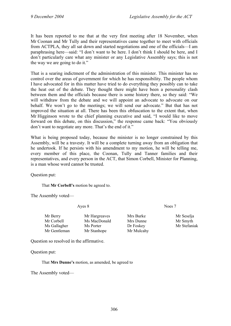It has been reported to me that at the very first meeting after 18 November, when Mr Coonan and Mr Tully and their representatives came together to meet with officials from ACTPLA, they all sat down and started negotiations and one of the officials—I am paraphrasing here—said: "I don't want to be here. I don't think I should be here, and I don't particularly care what any minister or any Legislative Assembly says; this is not the way we are going to do it."

That is a searing indictment of the administration of this minister. This minister has no control over the areas of government for which he has responsibility. The people whom I have advocated for in this matter have tried to do everything they possibly can to take the heat out of the debate. They thought there might have been a personality clash between them and the officials because there is some history there, so they said: "We will withdraw from the debate and we will appoint an advocate to advocate on our behalf. We won't go to the meetings; we will send our advocate." But that has not improved the situation at all. There has been this obfuscation to the extent that, when Mr Higginson wrote to the chief planning executive and said, "I would like to move forward on this debate, on this discussion," the response came back: "You obviously don't want to negotiate any more. That's the end of it."

What is being proposed today, because the minister is no longer constrained by this Assembly, will be a travesty. It will be a complete turning away from an obligation that he undertook. If he persists with his amendment to my motion, he will be telling me, every member of this place, the Coonan, Tully and Tanner families and their representatives, and every person in the ACT, that Simon Corbell, Minister for Planning, is a man whose word cannot be trusted.

Question put:

That **Mr Corbell's** motion be agreed to.

The Assembly voted—

Ayes 8 Noes 7

Mr Berry Mr Hargreaves Mrs Burke Mr Seselja Mr Corbell Ms MacDonald Mrs Dunne Mr Smyth Ms Gallagher Ms Porter Dr Foskey Mr Stefaniak Mr Gentleman Mr Stanhope Mr Mulcahy

Question so resolved in the affirmative.

Question put:

That **Mrs Dunne's** motion, as amended, be agreed to

The Assembly voted—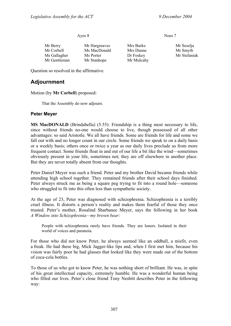Ayes 8 Noes 7

| Mr Berry<br>Mr Corbell | Mr Hargreaves<br>Ms MacDonald | Mrs Burke<br>Mrs Dunne | Mr Seselja<br>Mr Smyth |
|------------------------|-------------------------------|------------------------|------------------------|
| Ms Gallagher           | Ms Porter                     | Dr Foskey              | Mr Stefaniak           |
| Mr Gentleman           | Mr Stanhope                   | Mr Mulcahy             |                        |

Question so resolved in the affirmative.

# **Adjournment**

Motion (by **Mr Corbell**) proposed:

That the Assembly do now adjourn.

#### **Peter Meyer**

**MS MacDONALD** (Brindabella) (5.55): Friendship is a thing most necessary to life, since without friends no-one would choose to live, though possessed of all other advantages: so said Aristotle. We all have friends. Some are friends for life and some we fall out with and no longer count in our circle. Some friends we speak to on a daily basis or a weekly basis; others once or twice a year as our daily lives preclude us from more frequent contact. Some friends float in and out of our life a bit like the wind—sometimes obviously present in your life, sometimes not; they are off elsewhere in another place. But they are never totally absent from our thoughts.

Peter Daniel Meyer was such a friend. Peter and my brother David became friends while attending high school together. They remained friends after their school days finished. Peter always struck me as being a square peg trying to fit into a round hole—someone who struggled to fit into this often less than sympathetic society.

At the age of 23, Peter was diagnosed with schizophrenia. Schizophrenia is a terribly cruel illness. It distorts a person's reality and makes them fearful of those they once trusted. Peter's mother, Rosalind Sharbanee Meyer, says the following in her book *A Window into Schizophrenia—my brown bear*:

People with schizophrenia rarely have friends. They are loners. Isolated in their world of voices and paranoia.

For those who did not know Peter, he always seemed like an oddball, a misfit, even a freak. He had these big, Mick Jagger-like lips and, when I first met him, because his vision was fairly poor he had glasses that looked like they were made out of the bottom of coca-cola bottles.

To those of us who got to know Peter, he was nothing short of brilliant. He was, in spite of his great intellectual capacity, extremely humble. He was a wonderful human being who filled our lives. Peter's close friend Tony Nesbitt describes Peter in the following way: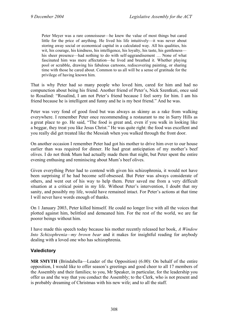Peter Meyer was a rare connoisseur—he knew the value of most things but cared little for the price of anything. He lived his life intuitively—it was never about storing away social or economical capital in a calculated way. All his qualities, his wit, his courage, his kindness, his intelligence, his loyalty, his taste, his gentleness his sheer presence—had nothing to do with self-aggrandisement … None of what fascinated him was mere affectation—he lived and breathed it. Whether playing pool or scrabble, drawing his fabulous cartoons, rediscovering painting, or sharing time with those he cared about. Common to us all will be a sense of gratitude for the privilege of having known him.

That is why Peter had so many people who loved him, cared for him and had no compunction about being his friend. Another friend of Peter's, Nick Szentkuti, once said to Rosalind: "Rosalind, I am not Peter's friend because I feel sorry for him. I am his friend because he is intelligent and funny and he is my best friend." And he was.

Peter was very fond of good food but was always as skinny as a rake from walking everywhere. I remember Peter once recommending a restaurant to me in Surry Hills as a great place to go. He said, "The food is great and, even if you walk in looking like a beggar, they treat you like Jesus Christ." He was quite right: the food was excellent and you really did get treated like the Messiah when you walked through the front door.

On another occasion I remember Peter had got his mother to drive him over to our house earlier than was required for dinner. He had great anticipation of my mother's beef olives. I do not think Mum had actually made them that night, but Peter spent the entire evening enthusing and reminiscing about Mum's beef olives.

Given everything Peter had to contend with given his schizophrenia, it would not have been surprising if he had become self-obsessed. But Peter was always considerate of others, and went out of his way to help them. Peter saved me from a very difficult situation at a critical point in my life. Without Peter's intervention, I doubt that my sanity, and possibly my life, would have remained intact. For Peter's actions at that time I will never have words enough of thanks.

On 1 January 2003, Peter killed himself. He could no longer live with all the voices that plotted against him, belittled and demeaned him. For the rest of the world, we are far poorer beings without him.

I have made this speech today because his mother recently released her book, *A Window Into Schizophrenia—my brown bear* and it makes for insightful reading for anybody dealing with a loved one who has schizophrenia.

### **Valedictory**

**MR SMYTH** (Brindabella—Leader of the Opposition) (6.00): On behalf of the entire opposition, I would like to offer season's greetings and good cheer to all 17 members of the Assembly and their families; to you, Mr Speaker, in particular, for the leadership you offer us and the way that you conduct the Assembly; to the Clerk, who is not present and is probably dreaming of Christmas with his new wife; and to all the staff.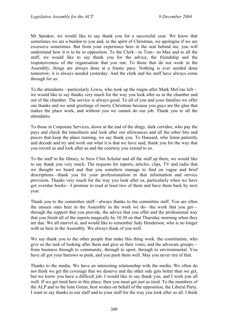Mr Speaker, we would like to say thank you for a successful year. We know that sometimes we are a burden to you and, in the spirit of Christmas, we apologise if we are excessive sometimes. But from your experience here in the seat behind me, you will understand how it is to be in opposition. To the Clerk—to Tom—to Max and to all the staff, we would like to say thank you for the advice, the friendship and the responsiveness of the organisation that you run. To those that do not work in the Assembly, things are always done at a frantic pace. Nothing is ever needed done tomorrow; it is always needed yesterday. And the clerk and his staff have always come through for us.

To the attendants—particularly Lewis, who took up the reigns after Mark McCrae left we would like to say thanks very much for the way you look after us in the chamber and out of the chamber. The service is always good. To all of you and your families we offer our thanks and we send greetings of merry Christmas because you guys are the glue that makes the place work, and without you we cannot do our job. Thank you to all the attendants.

To those in Corporate Services, down at the end of the dingy, dark corridor, who pay the pays and check the timesheets and look after our allowances and all the other bits and pieces that keep the place running, we say thank you. To Hansard, who listen patiently and decode and try and work out what it is that we have said, thank you for the way that you record us and look after us and the courtesy you extend to us.

To the staff in the library, to Siew Chin Scholar and all the staff up there, we would like to say thank you very much. The requests for reports, articles, clips, TV and radio that we thought we heard and that you somehow manage to find on vague and brief descriptions—thank you for your professionalism in that information and service provision. Thanks very much for the way you look after us, particularly when we have got overdue books—I promise to read at least two of them and have them back by next year.

Thank you to the committee staff—always thanks to the committee staff. You are often the unseen ones here in the Assembly in the work we do—the work that you get through the support that you provide, the advice that you offer and the professional way that you finish all of the reports magically by 10.30 on that Thursday morning when they are due. We all marvel at, and would like to remember Judy Henderson, who is no longer with us here in the Assembly. We always think of you well.

We say thank you to the other people that make this thing work: the constituents, who give us the task of looking after them and give us their votes; and the advocate groups from business through to community, through to sport, through to environmental. You have all got your barrows to push, and you push them well. May you never tire of that.

Thanks to the media. We have an interesting relationship with the media. We often do not think we get the coverage that we deserve and the other side gets better than we get, but we know you have a difficult job. I would like to say thank you, and I wish you all well. If we get tired here in this place, then you must get just as tired. To the members of the ALP and to the lone Green, best wishes on behalf of the opposition, the Liberal Party. I want to say thanks to our staff and to your staff for the way you look after us all. I think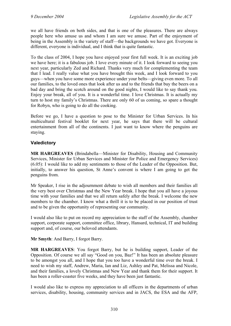we all have friends on both sides, and that is one of the pleasures. There are always people here who amuse us and whom I am sure we amuse. Part of the enjoyment of being in the Assembly is the variety of staff—the backgrounds we have got. Everyone is different, everyone is individual, and I think that is quite fantastic.

To the class of 2004, I hope you have enjoyed your first full week. It is an exciting job we have here; it is a fabulous job. I love every minute of it. I look forward to seeing you next year, particularly Zed and Richard. Thanks very much for complementing the team that I lead. I really value what you have brought this week, and I look forward to you guys—when you have some more experience under your belts—giving even more. To all our families, to the loved ones that look after us and to the friends that buy the beers on a bad day and bring the scotch around on the good nights, I would like to say thank you. Enjoy your break, all of you. It is a wonderful time. I love Christmas. It is actually my turn to host my family's Christmas. There are only 60 of us coming, so spare a thought for Robyn, who is going to do all the cooking.

Before we go, I have a question to pose to the Minister for Urban Services. In his multicultural festival booklet for next year, he says that there will be cultural entertainment from all of the continents. I just want to know where the penguins are staying.

### **Valedictory**

**MR HARGREAVES** (Brindabella—Minister for Disability, Housing and Community Services, Minister for Urban Services and Minister for Police and Emergency Services) (6.05): I would like to add my sentiments to those of the Leader of the Opposition. But, initially, to answer his question, St Anne's convent is where I am going to get the penguins from.

Mr Speaker, I rise in the adjournment debate to wish all members and their families all the very best over Christmas and the New Year break. I hope that you all have a joyous time with your families and that we all return safely after the break. I welcome the new members to the chamber. I know what a thrill it is to be placed in our position of trust and to be given the opportunity of representing our community.

I would also like to put on record my appreciation to the staff of the Assembly, chamber support, corporate support, committee office, library, Hansard, technical, IT and building support and, of course, our beloved attendants.

**Mr Smyth**: And Barry, I forgot Barry.

**MR HARGREAVES**: You forgot Barry, but he is building support, Leader of the Opposition. Of course we all say "Good on you, Baz!" It has been an absolute pleasure to be amongst you all, and I hope that you too have a wonderful time over the break. I need to wish my staff, Andrew, Maria, Ian and Liz, Ashley and Pat, Melissa and Nicole, and their families, a lovely Christmas and New Year and thank them for their support. It has been a roller-coaster five weeks, and they have been just fantastic.

I would also like to express my appreciation to all officers in the departments of urban services, disability, housing, community services and in JACS, the ESA and the AFP,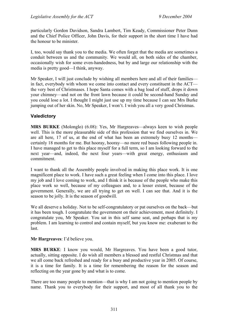particularly Gordon Davidson, Sandra Lambert, Tim Keady, Commissioner Peter Dunn and the Chief Police Officer, John Davis, for their support in the short time I have had the honour to be minister.

I, too, would say thank you to the media. We often forget that the media are sometimes a conduit between us and the community. We would all, on both sides of the chamber, occasionally wish for some even-handedness, but by and large our relationship with the media is pretty good—I think, anyway.

Mr Speaker. I will just conclude by wishing all members here and all of their families in fact, everybody with whom we come into contact and every constituent in the ACT the very best of Christmases. I hope Santa comes with a bag load of stuff, drops it down your chimney—and not on the front lawn because it could be second-hand Sunday and you could lose a lot. I thought I might just use up my time because I can see Mrs Burke jumping out of her skin. No, Mr Speaker, I won't. I wish you all a very good Christmas.

### **Valedictory**

**MRS BURKE** (Molonglo) (6.08): Yes, Mr Hargreaves—always keen to wish people well. This is the more pleasurable side of this profession that we find ourselves in. We are all here, 17 of us, at the end of what has been an extremely busy 12 months certainly 18 months for me. But hooray, hooray—no more red buses following people in. I have managed to get to this place myself for a full term, so I am looking forward to the next year—and, indeed, the next four years—with great energy, enthusiasm and commitment.

I want to thank all the Assembly people involved in making this place work. It is one magnificent place to work. I have such a great feeling when I come into this place. I love my job and I love coming to work, and I think it is because of the people who make this place work so well, because of my colleagues and, to a lesser extent, because of the government. Generally, we are all trying to get on well. I can see that. And it is the season to be jolly. It is the season of goodwill.

We all deserve a holiday. Not to be self-congratulatory or pat ourselves on the back—but it has been tough. I congratulate the government on their achievement, most definitely. I congratulate you, Mr Speaker. You sat in this self same seat, and perhaps that is my problem. I am learning to control and contain myself, but you know me: exuberant to the last.

**Mr Hargreaves**: I'd believe you.

**MRS BURKE**: I know you would, Mr Hargreaves. You have been a good tutor, actually, sitting opposite. I do wish all members a blessed and restful Christmas and that we all come back refreshed and ready for a busy and productive year in 2005. Of course, it is a time for family. It is a time for remembering the reason for the season and reflecting on the year gone by and what is to come.

There are too many people to mention—that is why I am not going to mention people by name. Thank you to everybody for their support, and most of all thank you to the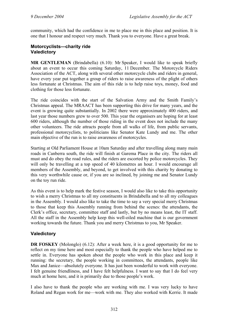community, which had the confidence in me to place me in this place and position. It is one that I honour and respect very much. Thank you to everyone. Have a great break.

### **Motorcyclists—charity ride Valedictory**

**MR GENTLEMAN** (Brindabella) (6.10): Mr Speaker, I would like to speak briefly about an event to occur this coming Saturday, 11 December. The Motorcycle Riders Association of the ACT, along with several other motorcycle clubs and riders in general, have every year put together a group of riders to raise awareness of the plight of others less fortunate at Christmas. The aim of this ride is to help raise toys, money, food and clothing for those less fortunate.

The ride coincides with the start of the Salvation Army and the Smith Family's Christmas appeal. The MRAACT has been supporting this drive for many years, and the event is growing quite substantially. In 2002 there were approximately 400 riders, and last year those numbers grew to over 500. This year the organisers are hoping for at least 600 riders, although the number of those riding in the event does not include the many other volunteers. The ride attracts people from all walks of life, from public servants, professional motorcyclists, to politicians like Senator Kate Lundy and me. The other main objective of the run is to raise awareness of motorcycles.

Starting at Old Parliament House at 10am Saturday and after travelling along many main roads in Canberra south, the ride will finish at Garema Place in the city. The riders all must and do obey the road rules, and the riders are escorted by police motorcycles. They will only be travelling at a top speed of 40 kilometres an hour. I would encourage all members of the Assembly, and beyond, to get involved with this charity by donating to this very worthwhile cause or, if you are so inclined, by joining me and Senator Lundy on the toy run ride.

As this event is to help mark the festive season, I would also like to take this opportunity to wish a merry Christmas to all my constituents in Brindabella and to all my colleagues in the Assembly. I would also like to take the time to say a very special merry Christmas to those that keep this Assembly running from behind the scenes: the attendants, the Clerk's office, secretary, committee staff and lastly, but by no means least, the IT staff. All the staff in the Assembly help keep this well-oiled machine that is our government working towards the future. Thank you and merry Christmas to you, Mr Speaker.

### **Valedictory**

**DR FOSKEY** (Molonglo) (6.12): After a week here, it is a good opportunity for me to reflect on my time here and most especially to thank the people who have helped me to settle in. Everyone has spoken about the people who work in this place and keep it running: the secretary, the people working in committees, the attendants, people like Max and Janice—absolutely everyone. It has just been wonderful to work with everyone. I felt genuine friendliness, and I have felt helpfulness. I want to say that I do feel very much at home here, and it is primarily due to those people's work.

I also have to thank the people who are working with me. I was very lucky to have Roland and Regan work for me—work with me. They also worked with Kerrie. It made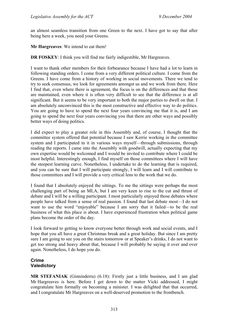an almost seamless transition from one Green to the next. I have got to say that after being here a week, you need your Greens.

**Mr Hargreaves**: We intend to eat them!

**DR FOSKEY**: I think you will find me fairly indigestible, Mr Hargreaves.

I want to thank other members for their forbearance because I have had a lot to learn in following standing orders. I come from a very different political culture. I come from the Greens. I have come from a history of working in social movements. There we tend to try to seek consensus, we look for agreements amongst us and we work from there. Here I find that, even where there is agreement, the focus is on the differences and that those are maintained, even where it is often very difficult to see that the difference is at all significant. But it seems to be very important to both the major parties to dwell on that. I am absolutely unconvinced this is the most constructive and effective way to do politics. You are going to have to spend the next four years convincing me that it is, and I am going to spend the next four years convincing you that there are other ways and possibly better ways of doing politics.

I did expect to play a greater role in this Assembly and, of course, I thought that the committee system offered that potential because I saw Kerrie working in the committee system and I participated in it in various ways myself—through submissions, through reading the reports. I came into the Assembly with goodwill, actually expecting that my own expertise would be welcomed and I would be invited to contribute where I could be most helpful. Interestingly enough, I find myself on those committees where I will have the steepest learning curve. Nonetheless, I undertake to do the learning that is required, and you can be sure that I will participate strongly, I will learn and I will contribute to those committees and I will provide a very critical lens to the work that we do.

I found that I absolutely enjoyed the sittings. To me the sittings were perhaps the most challenging part of being an MLA, but I am very keen to rise to the cut and thrust of debate and I will be a willing participant. I most particularly enjoyed those debates where people have talked from a sense of real passion. I found that last debate most—I do not want to use the word "enjoyable" because I am sorry that it failed—to be the real business of what this place is about. I have experienced frustration when political game plans become the order of the day.

I look forward to getting to know everyone better through work and social events, and I hope that you all have a great Christmas break and a great holiday. But since I am pretty sure I am going to see you on the stairs tomorrow or at Speaker's drinks, I do not want to get too strong and heavy about that, because I will probably be saying it over and over again. Nonetheless, I do hope you do.

### **Crime Valedictory**

**MR STEFANIAK** (Ginninderra) (6.18): Firstly just a little business, and I am glad Mr Hargreaves is here. Before I get down to the matter Vicki addressed, I might congratulate him formally on becoming a minister. I was delighted that that occurred, and I congratulate Mr Hargreaves on a well-deserved promotion to the frontbench.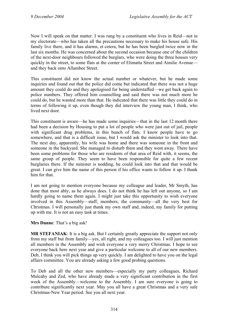Now I will speak on that matter. I was rung by a constituent who lives in Reid—not in my electorate—who has taken all the precautions necessary to make his house safe. His family live there, and it has alarms, et cetera, but he has been burgled twice now in the last six months. He was concerned about the second occasion because one of the children of the next-door neighbours followed the burglars, who were doing the three houses very quickly in the street, to some flats at the corner of Elimatta Street and Ainslie Avenue and they back onto Allambee Street.

This constituent did not know the actual number or whatever, but he made some inquiries and found out that the police did come but indicated that there was not a huge amount they could do and they apologised for being understaffed—we get back again to police numbers. They offered him counselling and said there was not much more he could do, but he wanted more than that. He indicated that there was little they could do in terms of following it up, even though they did interview the young man, I think, who lived next door.

This constituent is aware—he has made some inquiries—that in the last 12 month there had been a decision by Housing to put a lot of people who were just out of jail, people with significant drug problems, in this bunch of flats. I know people have to go somewhere, and that is a difficult issue, but I would ask the minister to look into that. The next day, apparently, his wife was home and there was someone in the front and someone in the backyard. She managed to disturb them and they went away. There have been some problems for those who are residents of that area of Reid with, it seems, the same group of people. They seem to have been responsible for quite a few recent burglaries there. If the minister is nodding, he could look into that and that would be great. I can give him the name of this person if his office wants to follow it up. I thank him for that.

I am not going to mention everyone because my colleague and leader, Mr Smyth, has done that most ably, as he always does. I do not think he has left out anyone, so I am hardly going to name them again. I might just take this opportunity to wish everyone involved in this Assembly—staff, members, the community—all the very best for Christmas. I will personally just thank my own staff and, indeed, my family for putting up with me. It is not an easy task at times.

### **Mrs Dunne**: That's a big ask!

**MR STEFANIAK**: It is a big ask. But I certainly greatly appreciate the support not only from my staff but from family—yes, all right, and my colleagues too. I will just mention all members in the Assembly and wish everyone a very merry Christmas. I hope to see everyone back here next year and give a particular welcome to all of our new members. Deb, I think you will pick things up very quickly. I am delighted to have you on the legal affairs committee. You are already asking a few good probing questions.

To Deb and all the other new members—especially my party colleagues, Richard Mulcahy and Zed, who have already made a very significant contribution in the first week of the Assembly—welcome to the Assembly. I am sure everyone is going to contribute significantly next year. May you all have a great Christmas and a very safe Christmas-New Year period. See you all next year.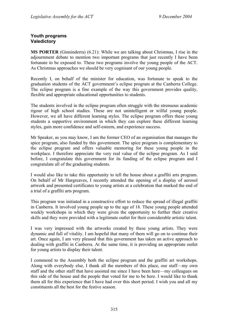#### **Youth programs Valedictory**

**MS PORTER** (Ginninderra) (6.21): While we are talking about Christmas, I rise in the adjournment debate to mention two important programs that just recently I have been fortunate to be exposed to. These two programs involve the young people of the ACT. As Christmas approaches we should be very cognisant of our young people.

Recently I, on behalf of the minister for education, was fortunate to speak to the graduation students of the ACT government's eclipse program at the Canberra College. The eclipse program is a fine example of the way this government provides quality, flexible and appropriate educational opportunities to students.

The students involved in the eclipse program often struggle with the strenuous academic rigour of high school studies. These are not unintelligent or wilful young people. However, we all have different learning styles. The eclipse program offers these young students a supportive environment in which they can explore these different learning styles, gain more confidence and self-esteem, and experience success.

Mr Speaker, as you may know, I am the former CEO of an organisation that manages the spice program, also funded by this government. The spice program is complementary to the eclipse program and offers valuable mentoring for these young people in the workplace. I therefore appreciate the very real value of the eclipse program. As I said before, I congratulate this government for its funding of the eclipse program and I congratulate all of the graduating students.

I would also like to take this opportunity to tell the house about a graffiti arts program. On behalf of Mr Hargreaves, I recently attended the opening of a display of aerosol artwork and presented certificates to young artists at a celebration that marked the end of a trial of a graffiti arts program.

This program was initiated in a constructive effort to reduce the spread of illegal graffiti in Canberra. It involved young people up to the age of 18. These young people attended weekly workshops in which they were given the opportunity to further their creative skills and they were provided with a legitimate outlet for their considerable artistic talent.

I was very impressed with the artworks created by these young artists. They were dynamic and full of vitality. I am hopeful that many of them will go on to continue their art. Once again, I am very pleased that this government has taken an active approach to dealing with graffiti in Canberra. At the same time, it is providing an appropriate outlet for young artists to display their talent.

I commend to the Assembly both the eclipse program and the graffiti art workshops. Along with everybody else, I thank all the members of this place, our staff—my own staff and the other staff that have assisted me since I have been here—my colleagues on this side of the house and the people that voted for me to be here. I would like to thank them all for this experience that I have had over this short period. I wish you and all my constituents all the best for the festive season.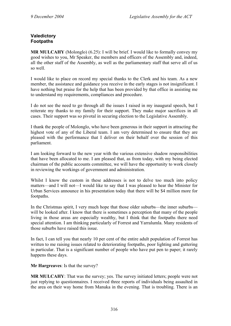### **Valedictory Footpaths**

**MR MULCAHY** (Molonglo) (6.25): I will be brief. I would like to formally convey my good wishes to you, Mr Speaker, the members and officers of the Assembly and, indeed, all the other staff of the Assembly, as well as the parliamentary staff that serve all of us so well.

I would like to place on record my special thanks to the Clerk and his team. As a new member, the assistance and guidance you receive in the early stages is not insignificant. I have nothing but praise for the help that has been provided by that office in assisting me to understand my requirements, compliances and procedure.

I do not see the need to go through all the issues I raised in my inaugural speech, but I reiterate my thanks to my family for their support. They make major sacrifices in all cases. Their support was so pivotal in securing election to the Legislative Assembly.

I thank the people of Molonglo, who have been generous in their support in attracting the highest vote of any of the Liberal team. I am very determined to ensure that they are pleased with the performance that I deliver on their behalf over the session of this parliament.

I am looking forward to the new year with the various extensive shadow responsibilities that have been allocated to me. I am pleased that, as from today, with my being elected chairman of the public accounts committee, we will have the opportunity to work closely in reviewing the workings of government and administration.

Whilst I know the custom in these addresses is not to delve too much into policy matters—and I will not—I would like to say that I was pleased to hear the Minister for Urban Services announce in his presentation today that there will be \$4 million more for footpaths.

In the Christmas spirit, I very much hope that those older suburbs—the inner suburbs will be looked after. I know that there is sometimes a perception that many of the people living in those areas are especially wealthy, but I think that the footpaths there need special attention. I am thinking particularly of Forrest and Yarralumla. Many residents of those suburbs have raised this issue.

In fact, I can tell you that nearly 10 per cent of the entire adult population of Forrest has written to me raising issues related to deteriorating footpaths, poor lighting and guttering in particular. That is a significant number of people who have put pen to paper; it rarely happens these days.

**Mr Hargreaves**: Is that the survey?

**MR MULCAHY**: That was the survey; yes. The survey initiated letters; people were not just replying to questionnaires. I received three reports of individuals being assaulted in the area on their way home from Manuka in the evening. That is troubling. There is an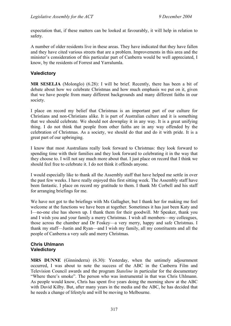expectation that, if these matters can be looked at favourably, it will help in relation to safety.

A number of older residents live in these areas. They have indicated that they have fallen and they have cited various streets that are a problem. Improvements in this area and the minister's consideration of this particular part of Canberra would be well appreciated, I know, by the residents of Forrest and Yarralumla.

#### **Valedictory**

**MR SESELJA** (Molonglo) (6.28): I will be brief. Recently, there has been a bit of debate about how we celebrate Christmas and how much emphasis we put on it, given that we have people from many different backgrounds and many different faiths in our society.

I place on record my belief that Christmas is an important part of our culture for Christians and non-Christians alike. It is part of Australian culture and it is something that we should celebrate. We should not downplay it in any way. It is a great unifying thing. I do not think that people from other faiths are in any way offended by the celebration of Christmas. As a society, we should do that and do it with pride. It is a great part of our upbringing.

I know that most Australians really look forward to Christmas: they look forward to spending time with their families and they look forward to celebrating it in the way that they choose to. I will not say much more about that. I just place on record that I think we should feel free to celebrate it. I do not think it offends anyone.

I would especially like to thank all the Assembly staff that have helped me settle in over the past few weeks. I have really enjoyed this first sitting week. The Assembly staff have been fantastic. I place on record my gratitude to them. I thank Mr Corbell and his staff for arranging briefings for me.

We have not got to the briefings with Ms Gallagher, but I thank her for making me feel welcome at the functions we have been at together. Sometimes it has just been Katy and I—no-one else has shown up. I thank them for their goodwill. Mr Speaker, thank you and I wish you and your family a merry Christmas. I wish all members—my colleagues, those across the chamber and Dr Foskey—a very merry, happy and safe Christmas. I thank my staff—Justin and Ryan—and I wish my family, all my constituents and all the people of Canberra a very safe and merry Christmas.

#### **Chris Uhlmann Valedictory**

**MRS DUNNE** (Ginninderra) (6.30): Yesterday, when the untimely adjournment occurred, I was about to note the success of the ABC in the Canberra Film and Television Council awards and the program *Stateline* in particular for the documentary "Where there's smoke". The person who was instrumental in that was Chris Uhlmann. As people would know, Chris has spent five years doing the morning show at the ABC with David Kilby. But, after many years in the media and the ABC, he has decided that he needs a change of lifestyle and will be moving to Melbourne.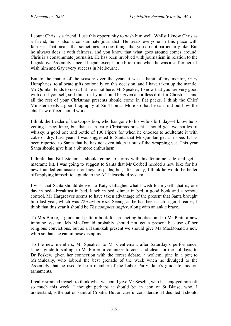I count Chris as a friend. I use this opportunity to wish him well. Whilst I know Chris as a friend, he is also a consummate journalist. He treats everyone in this place with fairness. That means that sometimes he does things that you do not particularly like. But he always does it with fairness, and you know that what goes around comes around. Chris is a consummate journalist. He has been involved with journalism in relation to the Legislative Assembly since it began, except for a brief time when he was a staffer here. I wish him and Gay every success in Melbourne.

But to the matter of the season: over the years it was a habit of my mentor, Gary Humphries, to allocate gifts notionally on this occasion, and I have taken up the mantle. Mr Quinlan tends to do it, but he is not here. Mr Speaker, I know that you are very good with do-it-yourself, so I think that you should be given a cordless drill for Christmas, and all the rest of your Christmas presents should come in flat packs. I think the Chief Minister needs a good biography of Sir Thomas More so that he can find out how the chief law officer should work.

I think the Leader of the Opposition, who has gone to his wife's birthday—I know he is getting a new knee, but that is an early Christmas present—should get two bottles of whisky: a good one and bottle of 100 Pipers for when he chooses to adulterate it with coke or dry. Last year, it was suggested to Santa that Mr Quinlan get a frisbee. It has been reported to Santa that he has not even taken it out of the wrapping yet. This year Santa should give him a bit more enthusiasm.

I think that Bill Stefaniak should come to terms with his feminine side and get a macrame kit. I was going to suggest to Santa that Mr Corbell needed a new bike for his new-founded enthusiasm for bicycles paths; but, after today, I think he would be better off applying himself to a guide to the ACT leasehold system.

I wish that Santa should deliver to Katy Gallagher what I wish for myself; that is, one day in bed—breakfast in bed, lunch in bed, dinner in bed, a good book and a remote control. Mr Hargreaves seems to have taken advantage of the present that Santa brought him last year, which was *The art of war*. Seeing as he has been such a good reader, I think that this year it should be *The complete angler*, along with an ankle brace.

To Mrs Burke, a guide and pattern book for crocheting booties; and to Mr Pratt, a new immune system. Ms MacDonald probably should not get a present because of her religious convictions, but as a Hanukkah present we should give Ms MacDonald a new whip so that she can impose discipline.

To the new members, Mr Speaker: to Mr Gentleman, after Saturday's performance, Jane's guide to sailing; to Ms Porter, a volunteer to cook and clean for the holidays; to Dr Foskey, given her connection with the forest debate, a wollemi pine in a pot; to Mr Mulcahy, who lobbed the best grenade of the week when he divulged to the Assembly that he used to be a member of the Labor Party, Jane's guide to modern armaments.

I really strained myself to think what we could give Mr Seselja, who has enjoyed himself so much this week. I thought perhaps it should be an icon of St Blaise, who, I understand, is the patron saint of Croatia. But on careful consideration I decided it should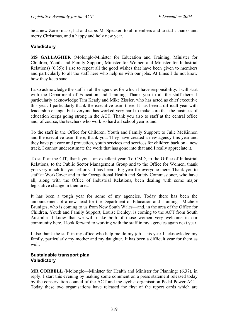be a new Zorro mask, hat and cape. Mr Speaker, to all members and to staff: thanks and merry Christmas, and a happy and holy new year.

# **Valedictory**

**MS GALLAGHER** (Molonglo-Minister for Education and Training, Minister for Children, Youth and Family Support, Minister for Women and Minister for Industrial Relations) (6.35): I rise to repeat all the good wishes that have been given to members and particularly to all the staff here who help us with our jobs. At times I do not know how they keep sane.

I also acknowledge the staff in all the agencies for which I have responsibility. I will start with the Department of Education and Training. Thank you to all the staff there. I particularly acknowledge Tim Keady and Mike Zissler, who has acted as chief executive this year. I particularly thank the executive team there. It has been a difficult year with leadership change, but everyone has worked very hard to make sure that the business of education keeps going strong in the ACT. Thank you also to staff at the central office and, of course, the teachers who work so hard all school year round.

To the staff in the Office for Children, Youth and Family Support; to Julie McKinnon and the executive team there, thank you. They have created a new agency this year and they have put care and protection, youth services and services for children back on a new track. I cannot underestimate the work that has gone into that and I really appreciate it.

To staff at the CIT, thank you—an excellent year. To CMD, to the Office of Industrial Relations, to the Public Sector Management Group and to the Office for Women, thank you very much for your efforts. It has been a big year for everyone there. Thank you to staff at WorkCover and to the Occupational Health and Safety Commissioner, who have all, along with the Office of Industrial Relations, been dealing with some major legislative change in their area.

It has been a tough year for some of my agencies. Today there has been the announcement of a new head for the Department of Education and Training—Michele Bruniges, who is coming to us from New South Wales—and, in the area of the Office for Children, Youth and Family Support, Louise Denley, is coming to the ACT from South Australia. I know that we will make both of those women very welcome in our community here. I look forward to working with the staff in my agencies again next year.

I also thank the staff in my office who help me do my job. This year I acknowledge my family, particularly my mother and my daughter. It has been a difficult year for them as well.

### **Sustainable transport plan Valedictory**

**MR CORBELL** (Molonglo—Minister for Health and Minister for Planning) (6.37), in reply: I start this evening by making some comment on a press statement released today by the conservation council of the ACT and the cyclist organisation Pedal Power ACT. Today these two organisations have released the first of the report cards which are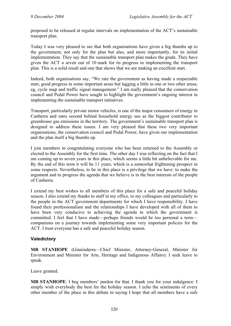proposed to be released at regular intervals on implementation of the ACT's sustainable transport plan.

Today I was very pleased to see that both organisations have given a big thumbs up to the government, not only for the plan but also, and more importantly, for its initial implementation. They say that the sustainable transport plan makes the grade. They have given the ACT a seven out of 10 mark for its progress in implementing the transport plan. This is a solid result and one that shows that we are making an excellent start.

Indeed, both organisations say, "We rate the government as having made a respectable start, good progress in some important areas but lagging a little in one or two other areas; eg, cycle map and traffic signal management." I am really pleased that the conservation council and Pedal Power have sought to highlight the government's ongoing interest in implementing the sustainable transport initiatives.

Transport, particularly private motor vehicles, is one of the major consumers of energy in Canberra and rates second behind household energy use as the biggest contributor to greenhouse gas emissions in the territory. The government's sustainable transport plan is designed to address these issues. I am very pleased that these two very important organisations, the conservation council and Pedal Power, have given our implementation and the plan itself a big thumbs up.

I join members in congratulating everyone who has been returned to the Assembly or elected to the Assembly for the first time. The other day I was reflecting on the fact that I am coming up to seven years in this place, which seems a little bit unbelievable for me. By the end of this term it will be 11 years, which is a somewhat frightening prospect in some respects. Nevertheless, to be in this place is a privilege that we have: to make the argument and to progress the agenda that we believe is in the best interests of the people of Canberra.

I extend my best wishes to all members of this place for a safe and peaceful holiday season. I also extend my thanks to staff in my office, to my colleagues and particularly to the people in the ACT government departments for which I have responsibility. I have found their professionalism and the relationships I have developed with all of them to have been very conducive to achieving the agenda to which the government is committed. I feel that I have made—perhaps friends would be too personal a term companions on a journey towards implementing some very important policies for the ACT. I trust everyone has a safe and peaceful holiday season.

# **Valedictory**

**MR STANHOPE** (Ginninderra—Chief Minister, Attorney-General, Minister for Environment and Minister for Arts, Heritage and Indigenous Affairs): I seek leave to speak.

Leave granted.

**MR STANHOPE**: I beg members' pardon for that. I thank you for your indulgence. I simply wish everybody the best for the holiday season. I echo the sentiments of every other member of the place in this debate in saying I hope that all members have a safe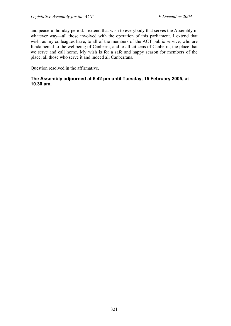and peaceful holiday period. I extend that wish to everybody that serves the Assembly in whatever way—all those involved with the operation of this parliament. I extend that wish, as my colleagues have, to all of the members of the ACT public service, who are fundamental to the wellbeing of Canberra, and to all citizens of Canberra, the place that we serve and call home. My wish is for a safe and happy season for members of the place, all those who serve it and indeed all Canberrans.

Question resolved in the affirmative.

# **The Assembly adjourned at 6.42 pm until Tuesday, 15 February 2005, at 10.30 am.**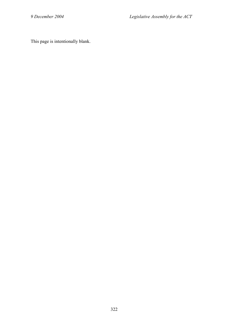This page is intentionally blank.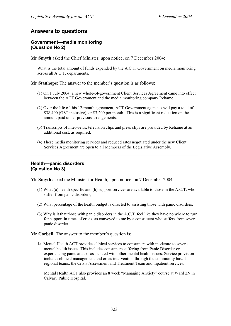# **Answers to questions**

#### **Government—media monitoring (Question No 2)**

**Mr Smyth** asked the Chief Minister, upon notice, on 7 December 2004:

What is the total amount of funds expended by the A.C.T. Government on media monitoring across all A.C.T. departments.

**Mr Stanhope**: The answer to the member's question is as follows:

- (1) On 1 July 2004, a new whole-of-government Client Services Agreement came into effect between the ACT Government and the media monitoring company Rehame.
- (2) Over the life of this 12-month agreement, ACT Government agencies will pay a total of \$38,400 (GST inclusive), or \$3,200 per month. This is a significant reduction on the amount paid under previous arrangements.
- (3) Transcripts of interviews, television clips and press clips are provided by Rehame at an additional cost, as required.
- (4) These media monitoring services and reduced rates negotiated under the new Client Services Agreement are open to all Members of the Legislative Assembly.

### **Health—panic disorders (Question No 3)**

**Mr Smyth** asked the Minister for Health, upon notice, on 7 December 2004:

- (1) What (a) health specific and (b) support services are available to those in the A.C.T. who suffer from panic disorders;
- (2) What percentage of the health budget is directed to assisting those with panic disorders;
- (3) Why is it that those with panic disorders in the A.C.T. feel like they have no where to turn for support in times of crisis, as conveyed to me by a constituent who suffers from severe panic disorder.

#### **Mr Corbell**: The answer to the member's question is:

1a. Mental Health ACT provides clinical services to consumers with moderate to severe mental health issues. This includes consumers suffering from Panic Disorder or experiencing panic attacks associated with other mental health issues. Service provision includes clinical management and crisis intervention through the community based regional teams, the Crisis Assessment and Treatment Team and inpatient services.

Mental Health ACT also provides an 8 week "Managing Anxiety" course at Ward 2N in Calvary Public Hospital.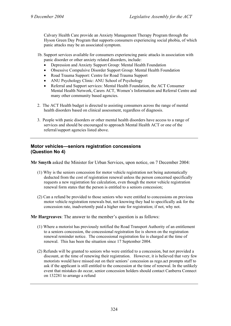Calvary Health Care provide an Anxiety Management Therapy Program through the Hyson Green Day Program that supports consumers experiencing social phobia, of which panic attacks may be an associated symptom.

- 1b. Support services available for consumers experiencing panic attacks in association with panic disorder or other anxiety related disorders, include:
	- Depression and Anxiety Support Group: Mental Health Foundation
	- Obsessive Compulsive Disorder Support Group: Mental Health Foundation
	- Road Trauma Support: Centre for Road Trauma Support
	- ANU Psychology Clinic: ANU School of Psychology
	- Referral and Support services: Mental Health Foundation, the ACT Consumer Mental Health Network, Carers ACT, Women's Information and Referral Centre and many other community based agencies.
- 2. The ACT Health budget is directed to assisting consumers across the range of mental health disorders based on clinical assessment, regardless of diagnosis.
- 3. People with panic disorders or other mental health disorders have access to a range of services and should be encouraged to approach Mental Health ACT or one of the referral/support agencies listed above.

#### **Motor vehicles—seniors registration concessions (Question No 4)**

**Mr Smyth** asked the Minister for Urban Services, upon notice, on 7 December 2004:

- (1) Why is the seniors concession for motor vehicle registration not being automatically deducted from the cost of registration renewal unless the person concerned specifically requests a new registration fee calculation, even though the motor vehicle registration renewal form states that the person is entitled to a seniors concession;
- (2) Can a refund be provided to those seniors who were entitled to concessions on previous motor vehicle registration renewals but, not knowing they had to specifically ask for the concession rate, inadvertently paid a higher rate for registration; if not, why not.

**Mr Hargreaves**: The answer to the member's question is as follows:

- (1) Where a motorist has previously notified the Road Transport Authority of an entitlement to a seniors concession, the concessional registration fee is shown on the registration renewal reminder notice. The concessional registration fee is charged at the time of renewal. This has been the situation since 17 September 2004.
- (2) Refunds will be granted to seniors who were entitled to a concession, but not provided a discount, at the time of renewing their registration. However, it is believed that very few motorists would have missed out on their seniors' concession as rego.act prompts staff to ask if the applicant is still entitled to the concession at the time of renewal. In the unlikely event that mistakes do occur, senior concession holders should contact Canberra Connect on 132281 to arrange a refund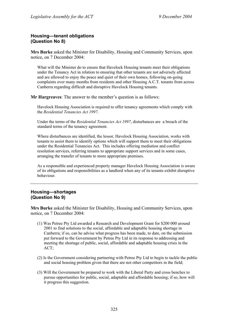### **Housing—tenant obligations (Question No 8)**

**Mrs Burke** asked the Minister for Disability, Housing and Community Services, upon notice, on 7 December 2004:

What will the Minister do to ensure that Havelock Housing tenants meet their obligations under the Tenancy Act in relation to ensuring that other tenants are not adversely affected and are allowed to enjoy the peace and quiet of their own homes, following on-going complaints over many months from residents and other Housing A.C.T. tenants from across Canberra regarding difficult and disruptive Havelock Housing tenants.

**Mr Hargreaves**: The answer to the member's question is as follows:

Havelock Housing Association is required to offer tenancy agreements which comply with the *Residential Tenancies Act 1997*.

Under the terms of the *Residential Tenancies Act 1997*, disturbances are a breach of the standard terms of the tenancy agreement.

Where disturbances are identified, the lessor, Havelock Housing Association, works with tenants to assist them to identify options which will support them to meet their obligations under the Residential Tenancies Act. This includes offering mediation and conflict resolution services, referring tenants to appropriate support services and in some cases, arranging the transfer of tenants to more appropriate premises.

As a responsible and experienced property manager Havelock Housing Association is aware of its obligations and responsibilities as a landlord when any of its tenants exhibit disruptive behaviour.

#### **Housing—shortages (Question No 9)**

**Mrs Burke** asked the Minister for Disability, Housing and Community Services, upon notice, on 7 December 2004:

- (1) Was Petree Pty Ltd awarded a Research and Development Grant for \$200 000 around 2001 to find solutions to the social, affordable and adaptable housing shortage in Canberra; if so, can he advise what progress has been made, to date, on the submission put forward to the Government by Petree Pty Ltd in its response to addressing and meeting the shortage of public, social, affordable and adaptable housing crisis in the ACT;
- (2) Is the Government considering partnering with Petree Pty Ltd to begin to tackle the public and social housing problem given that there are not other competitors in the field;
- (3) Will the Government be prepared to work with the Liberal Party and cross benches to pursue opportunities for public, social, adaptable and affordable housing; if so, how will it progress this suggestion.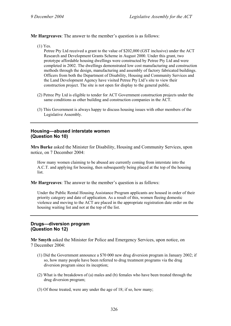**Mr Hargreaves**: The answer to the member's question is as follows:

(1) Yes.

Petree Pty Ltd received a grant to the value of \$202,000 (GST inclusive) under the ACT Research and Development Grants Scheme in August 2000. Under this grant, two prototype affordable housing dwellings were constructed by Petree Pty Ltd and were completed in 2002. The dwellings demonstrated low cost manufacturing and construction methods through the design, manufacturing and assembly of factory fabricated buildings. Officers from both the Department of Disability, Housing and Community Services and the Land Development Agency have visited Petree Pty Ltd's site to view their construction project. The site is not open for display to the general public.

- (2) Petree Pty Ltd is eligible to tender for ACT Government construction projects under the same conditions as other building and construction companies in the ACT.
- (3) This Government is always happy to discuss housing issues with other members of the Legislative Assembly.

#### **Housing—abused interstate women (Question No 10)**

**Mrs Burke** asked the Minister for Disability, Housing and Community Services, upon notice, on 7 December 2004:

How many women claiming to be abused are currently coming from interstate into the A.C.T. and applying for housing, then subsequently being placed at the top of the housing list.

**Mr Hargreaves**: The answer to the member's question is as follows:

Under the Public Rental Housing Assistance Program applicants are housed in order of their priority category and date of application. As a result of this, women fleeing domestic violence and moving to the ACT are placed in the appropriate registration date order on the housing waiting list and not at the top of the list.

#### **Drugs—diversion program (Question No 12)**

**Mr Smyth** asked the Minister for Police and Emergency Services, upon notice, on 7 December 2004:

- (1) Did the Government announce a \$70 000 new drug diversion program in January 2002; if so, how many people have been referred to drug treatment programs via the drug diversion program since its inception:
- (2) What is the breakdown of (a) males and (b) females who have been treated through the drug diversion program;
- (3) Of those treated, were any under the age of 18; if so, how many;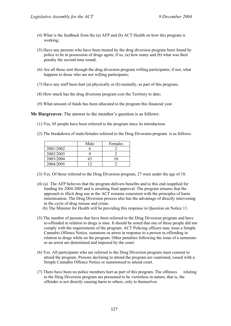- (4) What is the feedback from the (a) AFP and (b) ACT Health on how this program is working;
- (5) Have any persons who have been treated by the drug diversion program been found by police to be in possession of drugs again; if so, (a) how many and (b) what was their penalty the second time round;
- (6) Are all those sent through the drug diversion program willing participants; if not, what happens to those who are not willing participants;
- (7) Have any staff been hurt (a) physically or (b) mentally, as part of this program;
- (8) How much has the drug diversion program cost the Territory to date;
- (9) What amount of funds has been allocated to the program this financial year.

**Mr Hargreaves**: The answer to the member's question is as follows:

- (1) Yes, 85 people have been referred to the program since its introduction.
- (2) The breakdown of male/females referred to the Drug Diversion program is as follows:

|           | Male | Females |
|-----------|------|---------|
| 2001/2002 |      |         |
| 2002/2003 |      |         |
| 2003/2004 | 43   |         |
| 2004/2005 |      |         |

- (3) Yes. Of those referred to the Drug Diversion program, 27 were under the age of 18.
- (4) (a) The AFP believes that the program delivers benefits and to this end reapplied for funding for 2004-2005 and is awaiting final approval. The program ensures that the approach to illicit drug use in the ACT remains consistent with the principles of harm minimisation. The Drug Diversion process also has the advantage of directly intervening in the cycle of drug misuse and crime.
	- (b) The Minister for Health will be providing this response in Question on Notice 11.
- (5) The number of persons that have been referred to the Drug Diversion program and have re-offended in relation to drugs is nine. It should be noted that one of these people did not comply with the requirements of the program. ACT Policing officers may issue a Simple Cannabis Offence Notice, summons or arrest in response to a person re-offending in relation to drugs while on the program. Other penalties following the issue of a summons or an arrest are determined and imposed by the court.
- (6) Yes. All participants who are referred to the Drug Diversion program must consent to attend the program. Persons declining to attend the program are cautioned, issued with a Simple Cannabis Offence Notice or summonsed to attend court.
- (7) There have been no police members hurt as part of this program. The offences relating to the Drug Diversion program are presumed to be victimless in nature, that is, the offender is not directly causing harm to others, only to themselves.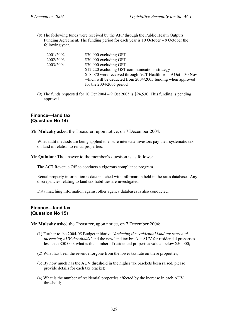(8) The following funds were received by the AFP through the Public Health Outputs Funding Agreement. The funding period for each year is 10 October – 9 October the following year.

| 2001/2002<br>2002/2003 | \$70,000 excluding GST<br>\$70,000 excluding GST                                                                 |
|------------------------|------------------------------------------------------------------------------------------------------------------|
| 2003/2004              | \$70,000 excluding GST                                                                                           |
|                        | \$12,220 excluding GST communications strategy<br>\$ 8,070 were received through ACT Health from 9 Oct $-30$ Nov |
|                        | which will be deducted from 2004/2005 funding when approved<br>for the $2004/2005$ period                        |

(9) The funds requested for  $10$  Oct  $2004 - 9$  Oct  $2005$  is \$94,530. This funding is pending approval.

#### **Finance—land tax (Question No 14)**

**Mr Mulcahy** asked the Treasurer, upon notice, on 7 December 2004:

What audit methods are being applied to ensure interstate investors pay their systematic tax on land in relation to rental properties.

**Mr Quinlan**: The answer to the member's question is as follows:

The ACT Revenue Office conducts a vigorous compliance program.

Rental property information is data matched with information held in the rates database. Any discrepancies relating to land tax liabilities are investigated.

Data matching information against other agency databases is also conducted.

#### **Finance—land tax (Question No 15)**

**Mr Mulcahy** asked the Treasurer, upon notice, on 7 December 2004:

- (1) Further to the 2004-05 Budget initiative *'Reducing the residential land tax rates and increasing AUV thresholds'* and the new land tax bracket AUV for residential properties less than \$50 000, what is the number of residential properties valued below \$50 000;
- (2) What has been the revenue forgone from the lower tax rate on these properties;
- (3) By how much has the AUV threshold in the higher tax brackets been raised, please provide details for each tax bracket;
- (4) What is the number of residential properties affected by the increase in each AUV threshold;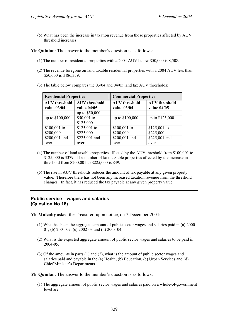(5) What has been the increase in taxation revenue from those properties affected by AUV threshold increases.

**Mr Quinlan**: The answer to the member's question is as follows:

- (1) The number of residential properties with a 2004 AUV below \$50,000 is 8,508.
- (2) The revenue foregone on land taxable residential properties with a 2004 AUV less than \$50,000 is \$486,359.
- (3) The table below compares the 03/04 and 04/05 land tax AUV thresholds:

| <b>Residential Properties</b>       |                                     | <b>Commercial Properties</b>        |                                     |  |
|-------------------------------------|-------------------------------------|-------------------------------------|-------------------------------------|--|
| <b>AUV</b> threshold<br>value 03/04 | <b>AUV</b> threshold<br>value 04/05 | <b>AUV</b> threshold<br>value 03/04 | <b>AUV</b> threshold<br>value 04/05 |  |
|                                     | up to \$50,000                      |                                     |                                     |  |
| up to \$100,000                     | \$50,001 to                         | up to \$100,000                     | up to \$125,000                     |  |
|                                     | \$125,000                           |                                     |                                     |  |
| \$100,001 to                        | $$125,001$ to                       | $$100,001$ to                       | $$125,001$ to                       |  |
| \$200,000                           | \$225,000                           | \$200,000                           | \$225,000                           |  |
| \$200,001 and                       | \$225,001 and                       | \$200,001 and                       | \$225,001 and                       |  |
| over                                | over                                | over                                | over                                |  |

- (4) The number of land taxable properties affected by the AUV threshold from \$100,001 to \$125,000 is 3379. The number of land taxable properties affected by the increase in threshold from \$200,001 to \$225,000 is 849.
- (5) The rise in AUV thresholds reduces the amount of tax payable at any given property value. Therefore there has not been any increased taxation revenue from the threshold changes. In fact, it has reduced the tax payable at any given property value.

#### **Public service—wages and salaries (Question No 16)**

**Mr Mulcahy** asked the Treasurer, upon notice, on 7 December 2004:

- (1) What has been the aggregate amount of public sector wages and salaries paid in (a) 2000- 01, (b) 2001-02, (c) 2002-03 and (d) 2003-04;
- (2) What is the expected aggregate amount of public sector wages and salaries to be paid in 2004-05;
- (3) Of the amounts in parts (1) and (2), what is the amount of public sector wages and salaries paid and payable in the (a) Health, (b) Education, (c) Urban Services and (d) Chief Minister's Departments.

**Mr Quinlan**: The answer to the member's question is as follows:

(1) The aggregate amount of public sector wages and salaries paid on a whole-of-government level are: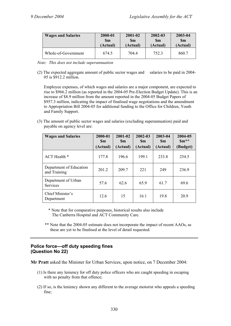| <b>Wages and Salaries</b> | 2000-01   | 2001-02       | 2002-03   | 2003-04       |
|---------------------------|-----------|---------------|-----------|---------------|
|                           | <b>Sm</b> | $\mathbf{Sm}$ | <b>Sm</b> | $\mathbf{Sm}$ |
|                           | (Actual)  | (Actual)      | (Actual)  | (Actual)      |
| Whole-of-Government       | 674.5     | 704.4         | 752.3     | 860.7         |

*Note: This does not include superannuation* 

(2) The expected aggregate amount of public sector wages and salaries to be paid in 2004- 05 is \$912.2 million.

Employee expenses, of which wages and salaries are a major component, are expected to rise to \$966.2 million (as reported in the 2004-05 Pre-Election Budget Update). This is an increase of \$8.9 million from the amount reported in the 2004-05 Budget Papers of \$957.3 million, indicating the impact of finalised wage negotiations and the amendment to Appropriation Bill 2004-05 for additional funding to the Office for Children, Youth and Family Support.

(3) The amount of public sector wages and salaries (excluding superannuation) paid and payable on agency level are:

| <b>Wages and Salaries</b>               | 2000-01<br>$\mathbf{Sm}$ | 2001-02<br>$\mathbf{Sm}$ | 2002-03<br>$\mathbf{Sm}$ | 2003-04<br>$\mathbf{Sm}$ | 2004-05<br>$\mathbf{Sm}^{**}$ |
|-----------------------------------------|--------------------------|--------------------------|--------------------------|--------------------------|-------------------------------|
|                                         | (Actual)                 | (Actual)                 | (Actual)                 | (Actual)                 | <b>Budget</b> )               |
| ACT Health *                            | 177.8                    | 196.6                    | 199.1                    | 233.8                    | 254.5                         |
| Department of Education<br>and Training | 201.2                    | 209.7                    | 221                      | 249                      | 236.9                         |
| Department of Urban<br><b>Services</b>  | 57.6                     | 62.6                     | 65.9                     | 61.7                     | 69.6                          |
| Chief Minister's<br>Department          | 12.6                     | 15                       | 16.1                     | 19.8                     | 20.9                          |

- \* Note that for comparative purposes, historical results also include The Canberra Hospital and ACT Community Care.
- \*\* Note that the 2004-05 estimate does not incorporate the impact of recent AAOs, as these are yet to be finalised at the level of detail requested.

### **Police force—off duty speeding fines (Question No 22)**

**Mr Pratt** asked the Minister for Urban Services, upon notice, on 7 December 2004:

- (1) Is there any leniency for off duty police officers who are caught speeding in escaping with no penalty from that offence;
- (2) If so, is the leniency shown any different to the average motorist who appeals a speeding fine;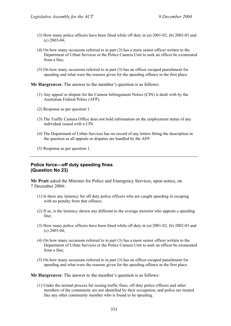- (3) How many police officers have been fined while off duty in (a) 2001-02, (b) 2002-03 and (c) 2003-04;
- (4) On how many occasions referred to in part (3) has a more senior officer written to the Department of Urban Services or the Police Camera Unit to seek an officer be exonerated from a fine;
- (5) On how many occasions referred to in part (3) has an officer escaped punishment for speeding and what were the reasons given for the speeding offence in the first place.

**Mr Hargreaves**: The answer to the member's question is as follows:

- (1) Any appeal or dispute for the Camera Infringement Notice (CIN) is dealt with by the Australian Federal Police (AFP).
- (2) Response as per question 1.
- (3) The Traffic Camera Office does not hold information on the employment status of any individual issued with a CIN.
- (4) The Department of Urban Services has no record of any letters fitting the description in the question as all appeals or disputes are handled by the AFP.
- (5) Response as per question 1.

#### **Police force—off duty speeding fines (Question No 23)**

**Mr Pratt** asked the Minister for Police and Emergency Services, upon notice, on 7 December 2004:

- (1) Is there any leniency for off duty police officers who are caught speeding in escaping with no penalty from that offence;
- (2) If so, is the leniency shown any different to the average motorist who appeals a speeding fine;
- (3) How many police officers have been fined while off duty in (a) 2001-02, (b) 2002-03 and (c) 2003-04;
- (4) On how many occasions referred to in part (3) has a more senior officer written to the Department of Urban Services or the Police Camera Unit to seek an officer be exonerated from a fine;
- (5) On how many occasions referred to in part (3) has an officer escaped punishment for speeding and what were the reasons given for the speeding offence in the first place.

**Mr Hargreaves**: The answer to the member's question is as follows:

(1) Under the normal process for issuing traffic fines, off duty police officers and other members of the community are not identified by their occupation, and police are treated like any other community member who is found to be speeding.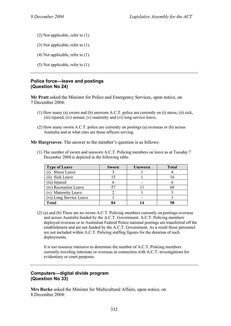- (2) Not applicable, refer to (1).
- (3) Not applicable, refer to (1).
- (4) Not applicable, refer to (1).
- (5) Not applicable, refer to (1).

#### **Police force—leave and postings (Question No 24)**

**Mr Pratt** asked the Minister for Police and Emergency Services, upon notice, on 7 December 2004:

- (1) How many (a) sworn and (b) unsworn A.C.T. police are currently on (i) stress, (ii) sick, (iii) injured, (iv) annual, (v) maternity and (vi) long service leave;
- (2) How many sworn A.C.T. police are currently on postings (a) overseas or (b) across Australia and at what sites are those officers serving.

**Mr Hargreaves**: The answer to the member's question is as follows:

(1) The number of sworn and unsworn A.C.T. Policing members on leave as at Tuesday 7 December 2004 is depicted in the following table.

| <b>Type of Leave</b>    | Sworn | <b>Unsworn</b> | <b>Total</b> |
|-------------------------|-------|----------------|--------------|
| <b>Stress Leave</b>     |       |                |              |
| (ii) Sick Leave         |       |                |              |
| (iii) Injured           |       |                |              |
| (iv) Recreation Leave   |       |                | 68           |
| (v) Maternity Leave     |       |                |              |
| (vi) Long Service Leave |       |                |              |
| <b>Total</b>            | 84    |                |              |

(2) (a) and (b) There are no sworn A.C.T. Policing members currently on postings overseas and across Australia funded by the A.C.T. Government. A.C.T. Policing members deployed overseas or to Australian Federal Police national postings are transferred off the establishment and are not funded by the A.C.T. Government. As a result those personnel are not included within A.C.T. Policing staffing figures for the duration of such deployments.

It is too resource intensive to determine the number of A.C.T. Policing members currently traveling interstate or overseas in connection with A.C.T. investigations for evidentiary or court purposes.

### **Computers—digital divide program (Question No 33)**

**Mrs Burke** asked the Minister for Multicultural Affairs, upon notice, on 8 December 2004: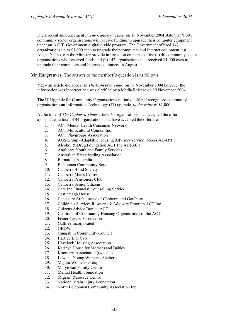Did a recent announcement in *The Canberra Times* on 18 November 2004 state that 'Forty community sector organisations will receive funding to upgrade their computer equipment under an A.C.T. Government digital divide program. The Government offered 142 organizations up to \$1,000 each to upgrade their computers and Internet equipment last August'; if so, can the Minister provide information on names of the (a) 40 community sector organisations who received funds and (b) 142 organisations that received \$1 000 each to upgrade their computers and Internet equipment in August.

**Mr Hargreaves**: The answer to the member's question is as follows:

Yes – an article did appear in *The Canberra Times* on 18 November 2004 however the information was incorrect and was clarified by a Media Release on 19 November 2004.

The IT Upgrade for Community Organisations initiative offered recognised community organisations an Information Technology (IT) upgrade, *to the value* of \$1,000

At the time of *The Canberra Times* article 40 organisations had accepted the offer. a) To date , a total of 44 organisations that have accepted the offer are:

- 1. ACT Mental Health Consumer Network
- 2. ACT Multicultural Council Inc
- 3. ACT Playgroups Association
- 4. AGS Group (Adaptable Housing Advisory service) access ADAPT
- 5. Alcohol & Drug Foundation ACT Inc ADFACT
- 6. Anglicare Youth and Family Services
- 7. Australian Breastfeeding Association
- 8. Barnardos Australia
- 9. Belconnen Community Service
- 10. Canberra Blind Society
- 11. Canberra Men's Centre
- 12. Canberra Pensioners Club
- 13. Canberra Senior Citizens
- 14. Care Inc Financial Counselling Service
- 15. Castlereagh House
- 16. Centacare Archdiocese of Canberra and Goulburn
- 17. Children's Services Resource & Advisory Program ACT Inc
- 18. Citizens Advice Bureau ACT
- 19. Coalition of Community Housing Organisations of the ACT
- 20. Foster Carers Association
- 21. Gallilee Incorporated
- 22. GROW
- 23. Gungahlin Community Council
- 24. Hartley Life Care
- 25. Havelock Housing Association
- 26. Karinya House for Mothers and Babies
- 27. Koomarri Association (two sites)
- 28. Lowana Young Women's Shelter
- 29. Majura Womens Group
- 30. Marymead Family Centre
- 31. Mental Health Foundation
- 32. Migrant Resource Centre
- 33. National Brain Injury Foundation
- 34. North Belconnen Community Association Inc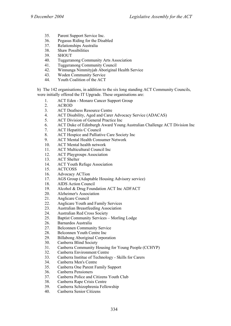- 35. Parent Support Service Inc.
- 36. Pegasus Riding for the Disabled
- 37. Relationships Australia
- 38. Shaw Possibilities
- 39. SHOUT
- 40. Tuggeranong Community Arts Association
- 41. Tuggeranong Community Council
- 42. Winnunga Nimmityjah Aboriginal Health Service
- 43. Woden Community Service
- 44. Youth Coalition of the ACT

b) The 142 organisations, in addition to the six long standing ACT Community Councils, were initially offered the IT Upgrade. These organisations are:

- 1. ACT Eden Monaro Cancer Support Group
- 2. ACROD
- 3. ACT Deafness Resource Centre
- 4. ACT Disability, Aged and Carer Advocacy Service (ADACAS)
- 5. ACT Division of General Practice Inc
- 6. ACT Duke of Edinburgh Award Young Australian Challenge ACT Division Inc
- 7. ACT Hepatitis C Council
- 8. ACT Hospice and Palliative Care Society Inc
- 9. ACT Mental Health Consumer Network
- 10. ACT Mental health network
- 11. ACT Multicultural Council Inc
- 12. ACT Playgroups Association
- 13. ACT Shelter
- 14. ACT Youth Refuge Association
- 15. ACTCOSS
- 16. Advocacy ACTion
- 17. AGS Group (Adaptable Housing Advisory service)
- 18. AIDS Action Council
- 19. Alcohol & Drug Foundation ACT Inc ADFACT
- 20. Alzheimer's Association
- 21. Anglicare Council
- 22. Anglicare Youth and Family Services
- 23. Australian Breastfeeding Association
- 24. Australian Red Cross Society
- 25. Baptist Community Services Morling Lodge
- 26. Barnardos Australia
- 27. Belconnen Community Service
- 28. Belconnen Youth Centre Inc
- 29. Billabong Aboriginal Corporation
- 30. Canberra Blind Society
- 31. Canberra Community Housing for Young People (CCHYP)
- 32. Canberra Environment Centre
- 33. Canberra Institue of Technology Skills for Carers
- 34. Canberra Men's Centre
- 35. Canberra One Parent Family Support
- 36. Canberra Pensioners
- 37. Canberra Police and Citizens Youth Club
- 38. Canberra Rape Crisis Centre
- 39. Canberra Schizophrenia Fellowship
- 40. Canberra Senior Citizens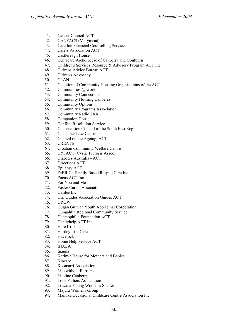- 41. Cancer Council ACT
- 42. CANFACS (Marymead)
- 43. Care Inc Financial Counselling Service
- 44. Carers Association ACT
- 45. Castlereagh House
- 46. Centacare Archdiocese of Canberra and Goulburn
- 47. Children's Services Resource & Advisory Program ACT Inc
- 48. Citizens Advice Bureau ACT
- 49. Citizen's Advocacy
- 50. CLAN
- 51. Coalition of Community Housing Organisations of the ACT
- 52. Communities @ work
- 53. Community Connections
- 54. Community Housing Canberra
- 55. Community Options
- 56. Community Programs Association
- 57. Community Radio 2XX
- 58. Companion House
- 59. Conflict Resolution Service
- 60. Conservation Council of the South East Region
- 61. Consumer Law Centre
- 62. Council on the Ageing, ACT
- 63. CREATE
- 64. Croatian Community Welfare Centre
- 65. CYFACT (Cystic Fibrosis Assoc)
- 66. Diabetes Australia ACT
- 67. Directions ACT
- 68. Epilepsy ACT
- 69. FaBRiC Family Based Respite Care Inc.
- 70. Focus ACT Inc
- 71. For You and Me
- 72. Foster Carers Association
- 73. Galilee Inc
- 74. Girl Guides Association Guides ACT
- 75. GROW
- 76. Gugan Gulwan Youth Aboriginal Corporation
- 77. Gungahlin Regional Community Service
- 78. Haemophilia Foundation ACT
- 79. Handyhelp ACT Inc
- 80. Hare Krishna
- 81. Hartley Life Care
- 82. Havelock
- 83. Home Help Service ACT
- 84. INALA
- 85. Inanna
- 86. Karinya House for Mothers and Babies
- 87. Kincare
- 88. Koomarri Association
- 89. Life without Barriers
- 90. Lifeline Canberra
- 91. Lone Fathers Association
- 92. Lowana Young Women's Shelter
- 93. Majura Womens Group
- 94. Manuka Occasional Childcare Centre Association Inc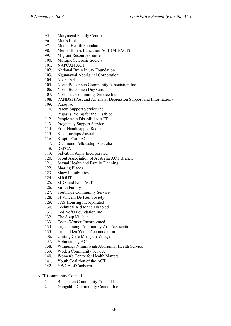- 95. Marymead Family Centre
- 96. Men's Link
- 97. Mental Health Foundation
- 98. Mental Illness Education ACT (MIEACT)
- 99. Migrant Resource Centre
- 100. Multiple Sclerosis Society
- 101. NAPCAN ACT
- 102. National Brain Injury Foundation
- 103. Ngunnawal Aboriginal Corporation
- 104. Noahs ArK
- 105. North Belconnen Community Association Inc
- 106. North Belconnen Day Care
- 107. Northside Community Service Inc
- 108. PANDSI (Post and Antenatal Depression Support and Information)
- 109. Paraquad
- 110. Parent Support Service Inc.
- 111. Pegasus Riding for the Disabled
- 112. People with Disabilities ACT
- 113. Pregnancy Support Service
- 114. Print Handicapped Radio
- 115. Relationships Australia
- 116. Respite Care ACT
- 117. Richmond Fellowship Australia
- 118. RSPCA
- 119. Salvation Army Incorporated
- 120. Scout Association of Australia ACT Branch
- 121. Sexual Health and Family Planning
- 122. Sharing Places
- 123. Shaw Possibilities
- 124. SHOUT
- 125. SIDS and Kids ACT
- 126. Smith Family
- 127. Southside Community Service
- 128. St Vincent De Paul Society
- 129. TAS Housing Incorporated
- 130. Technical Aid to the Disabled
- 131. Ted Noffs Foundation Inc
- 132. The Soup Kitchen
- 133. Toora Women Incorporated
- 134. Tuggeranong Community Arts Association
- 135. Tumladden Youth Accomodation
- 136. Uniting Care Mirinjani Village
- 137. Volunterring ACT
- 138. Winnunga Nimmityjah Aboriginal Health Service
- 139. Woden Community Service
- 140. Women's Centre for Health Matters
- 141. Youth Coalition of the ACT
- 142. YWCA of Canberra

#### ACT Community Councils

- 1. Belconnen Community Council Inc.
- 2. Gungahlin Community Council Inc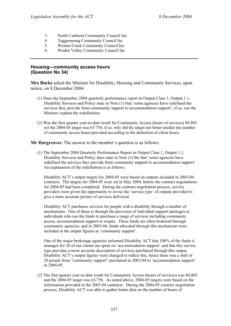- 3. North Canberra Community Council Inc
- 4. Tuggeranong Community Council Inc
- 5. Weston Creek Community Council Inc
- 6. Woden Valley Community Council Inc

#### **Housing—community access hours (Question No 34)**

**Mrs Burke** asked the Minister for Disability, Housing and Community Services, upon notice, on 8 December 2004:

- (1) Does the September 2004 quarterly performance report in Output Class 1, Output 1.1, Disability Services and Policy state in Note (1) that 'some agencies have redefined the services they provide from community support to accommodation support'; if so, can the Minister explain the redefinition;
- (2) Was the first quarter year-to-date result for Community Access (hours of services) 84 803 yet the 2004-05 target was 63 756; if so, why did the target not better predict the number of community access hours provided according to the definition of client hours.

**Mr Hargreaves**: The answer to the member's question is as follows:

(1) The September 2004 Quarterly Performance Report in Output Class 1, Output 1.1, Disability Services and Policy does state in Note (1) the that 'some agencies have redefined the services they provide from community support to accommodation support'. An explanation of the redefinition is as follows.

Disability ACT's output targets for 2004-05 were based on outputs included in 2003-04 contracts. The targets for 2004-05 were set in May 2004, before the contract negotiations for 2004-05 had been completed. During the contract negotiation process, service providers were given the opportunity to revise the 'service type' of outputs provided to give a more accurate picture of services delivered.

Disability ACT purchases services for people with a disability through a number of mechanisms. One of these is through the provision of individual support packages to individuals who use the funds to purchase a range of services including community access, accommodation support or respite. These funds are often brokered through community agencies, and in 2003-04, funds allocated through this mechanism were included in the output figures as 'community support'.

One of the major brokerage agencies informed Disability ACT that 100% of the funds it manages for 20 of our clients are spent on 'accommodation support' and that this service type provides a more accurate description of services purchased through this output. Disability ACT's output figures were changed to reflect this, hence there was a shift of 20 people from "community support" purchased in 2003-04 to 'accommodation support' in 2004-05.

(2) The first quarter year-to-date result for Community Access (hours of services) was 84,803 and the 2004-05 target was 63,756. As stated above, 2004-05 targets were based on the information provided in the 2003-04 contracts. During the 2004-05 contract negotiation process, Disability ACT was able to gather better data on the number of hours of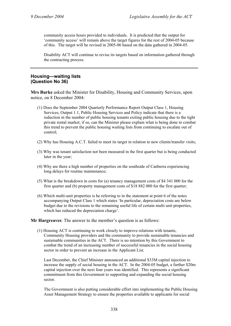community access hours provided to individuals. It is predicted that the output for 'community access' will remain above the target figures for the rest of 2004-05 because of this. The target will be revised in 2005-06 based on the data gathered in 2004-05.

Disability ACT will continue to revise its targets based on information gathered through the contracting process.

#### **Housing—waiting lists (Question No 36)**

**Mrs Burke** asked the Minister for Disability, Housing and Community Services, upon notice, on 8 December 2004:

- (1) Does the September 2004 Quarterly Performance Report Output Class 1, Housing Services, Output 1.1, Public Housing Services and Policy indicate that there is a reduction in the number of public housing tenants exiting public housing due to the tight private rental market; if so, can the Minister please explain what is being done to combat this trend to prevent the public housing waiting lists from continuing to escalate out of control;
- (2) Why has Housing A.C.T. failed to meet its target in relation to new clients/transfer visits;
- (3) Why was tenant satisfaction not been measured in the first quarter but is being conducted later in the year;
- (4) Why are there a high number of properties on the southside of Canberra experiencing long delays for routine maintenance;
- (5) What is the breakdown in costs for (a) tenancy management costs of \$4 341 000 for the first quarter and (b) property management costs of \$18 882 000 for the first quarter;
- (6) Which multi-unit properties is he referring to in the statement at point 6 of the notes accompanying Output Class 1 which states 'In particular, depreciation costs are below budget due to the revisions to the remaining useful life of certain multi unit properties, which has reduced the depreciation charge'.

**Mr Hargreaves**: The answer to the member's question is as follows:

(1) Housing ACT is continuing to work closely to improve relations with tenants, Community Housing providers and the community to provide sustainable tenancies and sustainable communities in the ACT. There is no intention by this Government to combat the trend of an increasing number of successful tenancies in the social housing sector in order to prevent an increase in the Applicant List.

Last December, the Chief Minister announced an additional \$33M capital injection to increase the supply of social housing in the ACT. In the 2004-05 budget, a further \$20m capital injection over the next four years was identified. This represents a significant commitment from this Government to supporting and expanding the social housing sector.

The Government is also putting considerable effort into implementing the Public Housing Asset Management Strategy to ensure the properties available to applicants for social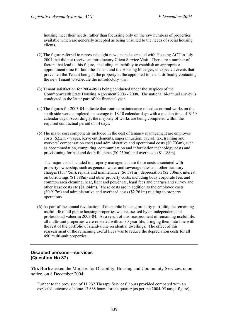housing meet their needs, rather than focussing only on the raw numbers of properties available which are generally accepted as being unsuited to the needs of social housing clients.

- (2) The figure referred to represents eight new tenancies created with Housing ACT in July 2004 that did not receive an introductory Client Service Visit. There are a number of factors that lead to this figure, including an inability to establish an appropriate appointment time for both the Tenant and the Housing Manager, unexpected events that prevented the Tenant being at the property at the appointed time and difficulty contacting the new Tenant to schedule the introductory visit.
- (3) Tenant satisfaction for 2004-05 is being conducted under the auspices of the Commonwealth State Housing Agreement 2003 - 2008. The national bi-annual survey is conducted in the latter part of the financial year.
- (4) The figures for 2003-04 indicate that routine maintenance raised as normal works on the south side were completed on average in 18.10 calendar days with a median time of 9.60 calendar days. Accordingly, the majority of works are being completed within the required contractual period of 14 days.
- (5) The major cost components included in the cost of tenancy management are employee costs (\$2.2m - wages, leave entitlements, superannuation, payroll tax, training and workers' compensation costs) and administrative and operational costs (\$0.703m), such as accommodation, computing, communication and information technology costs and provisioning for bad and doubtful debts (\$0.250m) and overheads (\$1.188m).

The major costs included in property management are those costs associated with property ownership, such as general, water and sewerage rates and other statutory charges (\$3.775m), repairs and maintenance (\$6.591m), depreciation (\$2.706m), interest on borrowings (\$1.388m) and other property costs, including body corporate fees and common area cleaning, heat, light and power etc, legal fees and charges and survey and other lease costs etc (\$1.244m). These costs are in addition to the employee costs (\$0.917m) and administrative and overhead costs (\$2.261m) relating to property operations.

(6) As part of the annual revaluation of the public housing property portfolio, the remaining useful life of all public housing properties was reassessed by an independent and professional valuer in 2003-04. As a result of this reassessment of remaining useful life, all multi-unit properties were re-stated with an 80-year life, bringing them into line with the rest of the portfolio of stand-alone residential dwellings. The effect of this reassessment of the remaining useful lives was to reduce the depreciation costs for all 450 multi-unit properties.

### **Disabled persons—services (Question No 37)**

**Mrs Burke** asked the Minister for Disability, Housing and Community Services, upon notice, on 8 December 2004:

Further to the provision of 11 232 Therapy Services' hours provided compared with an expected outcome of some 13 868 hours for the quarter (as per the 2004-05 target figure),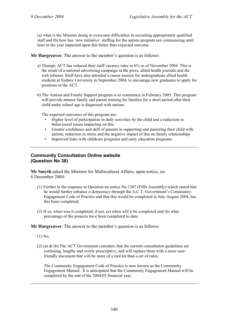(a) what is the Minister doing to overcome difficulties in recruiting appropriately qualified staff and (b) how has 'new initiative' staffing for the autism program not commencing until later in the year impacted upon this better than expected outcome.

**Mr Hargreaves**: The answer to the member's question is as follows:

- a) Therapy ACT has reduced their staff vacancy rates to 6% as of November 2004. This is the result of a national advertising campaign in the press, allied health journals and the web jobsites. Staff have also attended a career session for undergraduate allied health students at Sydney University in September 2004, to encourage new graduates to apply for positions in the ACT.
- b) The Autism and Family Support program is to commence in February 2005. This program will provide intense family and parent training for families for a short period after their child under school age is diagnosed with autism.

The expected outcomes of this program are:

- Higher level of participation in daily activities by the child and a reduction in behavioural issues impacting on this
- Greater confidence and skill of parents in supporting and parenting their child with autism, reduction in stress and the negative impact of this on family relationships
- Improved links with childcare programs and early education programs

# **Community Consultation Online website (Question No 38)**

**Mr Smyth** asked the Minister for Multicultural Affairs, upon notice, on 8 December 2004:

- (1) Further to the response to Question on notice No 1387 (Fifth Assembly) which stated that he would further enhance e-democracy through the A.C.T. Government's Community Engagement Code of Practice and that this would be completed in July-August 2004, has this been completed;
- (2) If so, when was it completed; if not, (a) when will it be completed and (b) what percentage of the projects have been completed to date.

**Mr Hargreaves**: The answer to the member's question is as follows:

- (1) No.
- (2) (a)  $\&$  (b) The ACT Government considers that the current consultation guidelines are confusing, lengthy and overly prescriptive, and will replace them with a more userfriendly document that will be more of a tool kit than a set of rules.

The Community Engagement Code of Practice is now known as the Community Engagement Manual. It is anticipated that the Community Engagement Manual will be completed by the end of the 2004/05 financial year.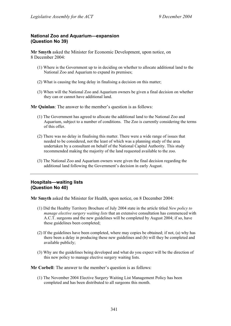### **National Zoo and Aquarium—expansion (Question No 39)**

**Mr Smyth** asked the Minister for Economic Development, upon notice, on 8 December 2004:

- (1) Where is the Government up to in deciding on whether to allocate additional land to the National Zoo and Aquarium to expand its premises;
- (2) What is causing the long delay in finalising a decision on this matter;
- (3) When will the National Zoo and Aquarium owners be given a final decision on whether they can or cannot have additional land.

**Mr Quinlan**: The answer to the member's question is as follows:

- (1) The Government has agreed to allocate the additional land to the National Zoo and Aquarium, subject to a number of conditions. The Zoo is currently considering the terms of this offer.
- (2) There was no delay in finalising this matter. There were a wide range of issues that needed to be considered, not the least of which was a planning study of the area undertaken by a consultant on behalf of the National Capital Authority. This study recommended making the majority of the land requested available to the zoo.
- (3) The National Zoo and Aquarium owners were given the final decision regarding the additional land following the Government's decision in early August.

### **Hospitals—waiting lists (Question No 40)**

**Mr Smyth** asked the Minister for Health, upon notice, on 8 December 2004:

- (1) Did the Healthy Territory Brochure of July 2004 state in the article titled *New policy to manage elective surgery waiting lists* that an extensive consultation has commenced with A.C.T. surgeons and the new guidelines will be completed by August 2004; if so, have these guidelines been completed;
- (2) If the guidelines have been completed, where may copies be obtained; if not, (a) why has there been a delay in producing these new guidelines and (b) will they be completed and available publicly;
- (3) Why are the guidelines being developed and what do you expect will be the direction of this new policy to manage elective surgery waiting lists.

**Mr Corbell**: The answer to the member's question is as follows:

(1) The November 2004 Elective Surgery Waiting List Management Policy has been completed and has been distributed to all surgeons this month.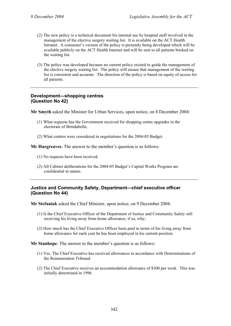- (2) The new policy is a technical document for internal use by hospital staff involved in the management of the elective surgery waiting list. It is available on the ACT Health Intranet. A consumer's version of the policy is presently being developed which will be available publicly on the ACT Health Internet and will be sent to all patients booked on the waiting list.
- (3) The policy was developed because no current policy existed to guide the management of the elective surgery waiting list. The policy will ensure that management of the waiting list is consistent and accurate. The direction of the policy is based on equity of access for all patients.

#### **Development—shopping centres (Question No 42)**

**Mr Smyth** asked the Minister for Urban Services, upon notice, on 8 December 2004:

- (1) What requests has the Government received for shopping centre upgrades in the electorate of Brindabella;
- (2) What centres were considered in negotiations for the 2004-05 Budget.

**Mr Hargreaves**: The answer to the member's question is as follows:

- (1) No requests have been received.
- (2) All Cabinet deliberations for the 2004-05 Budget's Capital Works Program are confidential in nature.

# **Justice and Community Safety, Department—chief executive officer (Question No 44)**

**Mr Stefaniak** asked the Chief Minister, upon notice, on 9 December 2004:

- (1) Is the Chief Executive Officer of the Department of Justice and Community Safety still receiving his living away from home allowance; if so, why;
- (2) How much has the Chief Executive Officer been paid in terms of his living away from home allowance for each year he has been employed in his current position.

**Mr Stanhope**: The answer to the member's question is as follows:

- (1) Yes. The Chief Executive has received allowances in accordance with Determinations of the Remuneration Tribunal.
- (2) The Chief Executive receives an accommodation allowance of \$300 per week. This was initially determined in 1996.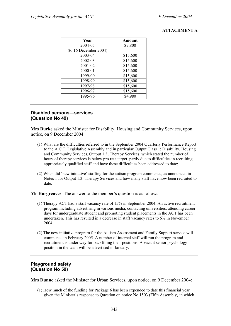#### **ATTACHMENT A**

| Year                  | <b>Amount</b> |
|-----------------------|---------------|
| 2004-05               | \$7,800       |
| (to 16 December 2004) |               |
| 2003-04               | \$15,600      |
| 2002-03               | \$15,600      |
| 2001-02               | \$15,600      |
| 2000-01               | \$15,600      |
| 1999-00               | \$15,600      |
| 1998-99               | \$15,600      |
| 1997-98               | \$15,600      |
| 1996-97               | \$15,600      |
| 1995-96               | \$4,980       |

#### **Disabled persons—services (Question No 49)**

**Mrs Burke** asked the Minister for Disability, Housing and Community Services, upon notice, on 9 December 2004:

- (1) What are the difficulties referred to in the September 2004 Quarterly Performance Report to the A.C.T. Legislative Assembly and in particular Output Class 1: Disability, Housing and Community Services, Output 1.3, Therapy Services, which stated the number of hours of therapy services is below pro rata target, partly due to difficulties in recruiting appropriately qualified staff and have these difficulties been addressed to date;
- (2) When did 'new initiative' staffing for the autism program commence, as announced in Notes 1 for Output 1.3: Therapy Services and how many staff have now been recruited to date.

**Mr Hargreaves**: The answer to the member's question is as follows:

- (1) Therapy ACT had a staff vacancy rate of 15% in September 2004. An active recruitment program including advertising in various media, contacting universities, attending career days for undergraduate student and promoting student placements in the ACT has been undertaken. This has resulted in a decrease in staff vacancy rates to 6% in November 2004.
- (2) The new initiative program for the Autism Assessment and Family Support service will commence in February 2005. A number of internal staff will run the program and recruitment is under way for backfilling their positions. A vacant senior psychology position in the team will be advertised in January.

#### **Playground safety (Question No 59)**

**Mrs Dunne** asked the Minister for Urban Services, upon notice, on 9 December 2004:

(1) How much of the funding for Package 6 has been expended to date this financial year given the Minister's response to Question on notice No 1503 (Fifth Assembly) in which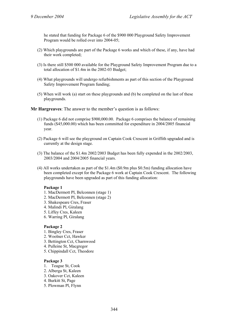he stated that funding for Package 6 of the \$900 000 Playground Safety Improvement Program would be rolled over into 2004-05;

- (2) Which playgrounds are part of the Package 6 works and which of these, if any, have had their work completed;
- (3) Is there still \$500 000 available for the Playground Safety Improvement Program due to a total allocation of \$1.4m in the 2002-03 Budget;
- (4) What playgrounds will undergo refurbishments as part of this section of the Playground Safety Improvement Program funding;
- (5) When will work (a) start on these playgrounds and (b) be completed on the last of these playgrounds.

**Mr Hargreaves**: The answer to the member's question is as follows:

- (1) Package 6 did not comprise \$900,000.00. Package 6 comprises the balance of remaining funds (\$45,000.00) which has been committed for expenditure in 2004/2005 financial year.
- (2) Package 6 will see the playground on Captain Cook Crescent in Griffith upgraded and is currently at the design stage.
- (3) The balance of the \$1.4m 2002/2003 Budget has been fully expended in the 2002/2003, 2003/2004 and 2004/2005 financial years.
- (4) All works undertaken as part of the \$1.4m (\$0.9m plus \$0.5m) funding allocation have been completed except for the Package 6 work at Captain Cook Crescent. The following playgrounds have been upgraded as part of this funding allocation:

#### **Package 1**

- 1. MacDermott Pl, Belconnen (stage 1)
- 2. MacDermott Pl, Belconnen (stage 2)
- 3. Shakespeare Cres, Fraser
- 4. Malindi Pl, Giralang
- 5. Liffey Cres, Kaleen
- 6. Warring Pl, Giralang

#### **Package 2**

- 1. Bingley Cres, Fraser
- 2. Woolner Cct, Hawker
- 3. Bettington Cct, Charnwood
- 4. Pulleine St, Macgregor
- 5. Chippindall Cct, Theodore

#### **Package 3**

- 1. Teague St, Cook
- 2. Alberga St, Kaleen
- 3. Oakover Cct, Kaleen
- 4. Burkitt St, Page
- 5. Plowman Pl, Flynn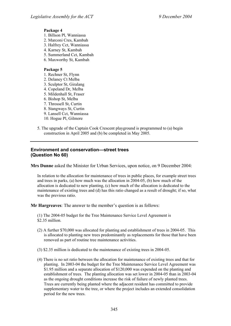#### **Package 4**

- 1. Billson Pl, Wanniassa
- 2. Marconi Cres, Kambah
- 3. Halfrey Cct, Wanniassa
- 4. Karney St, Kambah
- 5. Summerland Cct, Kambah
- 6. Maxworthy St, Kambah

#### **Package 5**

- 1. Rechner St, Flynn 2. Delaney Ct Melba 3. Sculptor St, Giralang 4. Copeland Dr, Melba 5. Mildenhall St, Fraser 6. Bishop St, Melba 7. Throssell St, Curtin 8. Stangways St, Curtin 9. Lansell Cct, Wanniassa 10. Hogue Pl, Gilmore
- 5. The upgrade of the Captain Cook Crescent playground is programmed to (a) begin construction in April 2005 and (b) be completed in May 2005.

### **Environment and conservation—street trees (Question No 60)**

**Mrs Dunne** asked the Minister for Urban Services, upon notice, on 9 December 2004:

In relation to the allocation for maintenance of trees in public places, for example street trees and trees in parks, (a) how much was the allocation in 2004-05, (b) how much of the allocation is dedicated to new planting, (c) how much of the allocation is dedicated to the maintenance of existing trees and (d) has this ratio changed as a result of drought; if so, what was the previous ratio.

**Mr Hargreaves**: The answer to the member's question is as follows:

(1) The 2004-05 budget for the Tree Maintenance Service Level Agreement is \$2.35 million.

- (2) A further \$70,000 was allocated for planting and establishment of trees in 2004-05. This is allocated to planting new trees predominantly as replacements for those that have been removed as part of routine tree maintenance activities.
- (3) \$2.35 million is dedicated to the maintenance of existing trees in 2004-05.
- (4) There is no set ratio between the allocation for maintenance of existing trees and that for planting. In 2003-04 the budget for the Tree Maintenance Service Level Agreement was \$1.95 million and a separate allocation of \$120,000 was expended on the planting and establishment of trees. The planting allocation was set lower in 2004-05 than in 2003-04 as the ongoing drought conditions increase the risk of failure of newly planted trees. Trees are currently being planted where the adjacent resident has committed to provide supplementary water to the tree, or where the project includes an extended consolidation period for the new trees.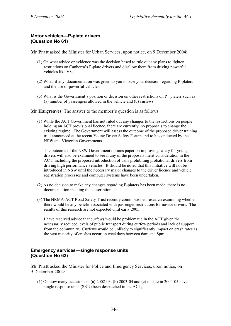# **Motor vehicles—P-plate drivers (Question No 61)**

**Mr Pratt** asked the Minister for Urban Services, upon notice, on 9 December 2004:

- (1) On what advice or evidence was the decision based to rule out any plans to tighten restrictions on Canberra's P-plate drivers and disallow them from driving powerful vehicles like V8s;
- (2) What, if any, documentation was given to you to base your decision regarding P-platers and the use of powerful vehicles;
- (3) What is the Government's position or decision on other restrictions on P platers such as (a) number of passengers allowed in the vehicle and (b) curfews.

**Mr Hargreaves**: The answer to the member's question is as follows:

(1) While the ACT Government has not ruled out any changes to the restrictions on people holding an ACT provisional licence, there are currently no proposals to change the existing regime. The Government will assess the outcome of the proposed driver training trial announced at the recent Young Driver Safety Forum and to be conducted by the NSW and Victorian Governments.

The outcome of the NSW Government options paper on improving safety for young drivers will also be examined to see if any of the proposals merit consideration in the ACT, including the proposed introduction of bans prohibiting probational drivers from driving high performance vehicles. It should be noted that this initiative will not be introduced in NSW until the necessary major changes to the driver licence and vehicle registration processes and computer systems have been undertaken.

- (2) As no decision to make any changes regarding P-platers has been made, there is no documentation meeting this description.
- (3) The NRMA-ACT Road Safety Trust recently commissioned research examining whether there would be any benefit associated with passenger restrictions for novice drivers. The results of this research are not expected until early 2005.

I have received advice that curfews would be problematic in the ACT given the necessarily reduced levels of public transport during curfew periods and lack of support from the community. Curfews would be unlikely to significantly impact on crash rates as the vast majority of crashes occur on weekdays between 6am and 8pm.

### **Emergency services—single response units (Question No 62)**

**Mr Pratt** asked the Minister for Police and Emergency Services, upon notice, on 9 December 2004:

(1) On how many occasions in (a) 2002-03, (b) 2003-04 and (c) to date in 2004-05 have single response units (SRU) been despatched in the ACT;